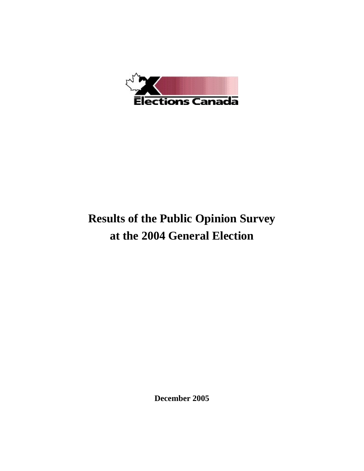

# **Results of the Public Opinion Survey at the 2004 General Election**

**December 2005**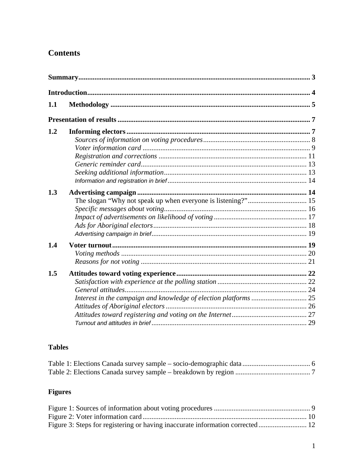# **Contents**

| 1.1 |  |
|-----|--|
|     |  |
| 1.2 |  |
| 1.3 |  |
| 1.4 |  |
| 1.5 |  |

# **Tables**

# **Figures**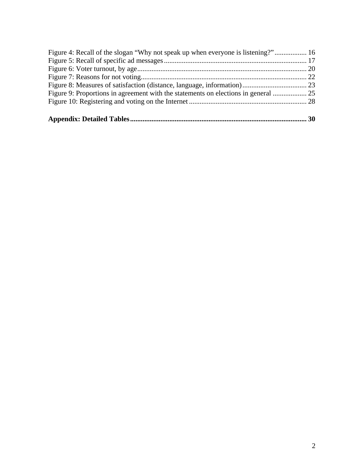| Figure 4: Recall of the slogan "Why not speak up when everyone is listening?" 16 |  |
|----------------------------------------------------------------------------------|--|
|                                                                                  |  |
|                                                                                  |  |
|                                                                                  |  |
|                                                                                  |  |
|                                                                                  |  |
|                                                                                  |  |
|                                                                                  |  |
|                                                                                  |  |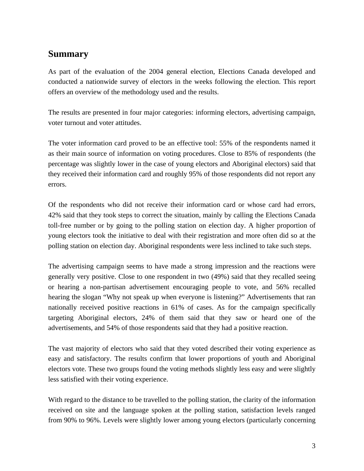# <span id="page-3-0"></span>**Summary**

As part of the evaluation of the 2004 general election, Elections Canada developed and conducted a nationwide survey of electors in the weeks following the election. This report offers an overview of the methodology used and the results.

The results are presented in four major categories: informing electors, advertising campaign, voter turnout and voter attitudes.

The voter information card proved to be an effective tool: 55% of the respondents named it as their main source of information on voting procedures. Close to 85% of respondents (the percentage was slightly lower in the case of young electors and Aboriginal electors) said that they received their information card and roughly 95% of those respondents did not report any errors.

Of the respondents who did not receive their information card or whose card had errors, 42% said that they took steps to correct the situation, mainly by calling the Elections Canada toll-free number or by going to the polling station on election day. A higher proportion of young electors took the initiative to deal with their registration and more often did so at the polling station on election day. Aboriginal respondents were less inclined to take such steps.

The advertising campaign seems to have made a strong impression and the reactions were generally very positive. Close to one respondent in two (49%) said that they recalled seeing or hearing a non-partisan advertisement encouraging people to vote, and 56% recalled hearing the slogan "Why not speak up when everyone is listening?" Advertisements that ran nationally received positive reactions in 61% of cases. As for the campaign specifically targeting Aboriginal electors, 24% of them said that they saw or heard one of the advertisements, and 54% of those respondents said that they had a positive reaction.

The vast majority of electors who said that they voted described their voting experience as easy and satisfactory. The results confirm that lower proportions of youth and Aboriginal electors vote. These two groups found the voting methods slightly less easy and were slightly less satisfied with their voting experience.

With regard to the distance to be travelled to the polling station, the clarity of the information received on site and the language spoken at the polling station, satisfaction levels ranged from 90% to 96%. Levels were slightly lower among young electors (particularly concerning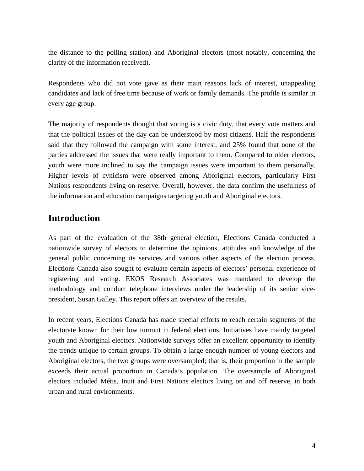<span id="page-4-0"></span>the distance to the polling station) and Aboriginal electors (most notably, concerning the clarity of the information received).

Respondents who did not vote gave as their main reasons lack of interest, unappealing candidates and lack of free time because of work or family demands. The profile is similar in every age group.

The majority of respondents thought that voting is a civic duty, that every vote matters and that the political issues of the day can be understood by most citizens. Half the respondents said that they followed the campaign with some interest, and 25% found that none of the parties addressed the issues that were really important to them. Compared to older electors, youth were more inclined to say the campaign issues were important to them personally. Higher levels of cynicism were observed among Aboriginal electors, particularly First Nations respondents living on reserve. Overall, however, the data confirm the usefulness of the information and education campaigns targeting youth and Aboriginal electors.

# **Introduction**

As part of the evaluation of the 38th general election, Elections Canada conducted a nationwide survey of electors to determine the opinions, attitudes and knowledge of the general public concerning its services and various other aspects of the election process. Elections Canada also sought to evaluate certain aspects of electors' personal experience of registering and voting. EKOS Research Associates was mandated to develop the methodology and conduct telephone interviews under the leadership of its senior vicepresident, Susan Galley. This report offers an overview of the results.

In recent years, Elections Canada has made special efforts to reach certain segments of the electorate known for their low turnout in federal elections. Initiatives have mainly targeted youth and Aboriginal electors. Nationwide surveys offer an excellent opportunity to identify the trends unique to certain groups. To obtain a large enough number of young electors and Aboriginal electors, the two groups were oversampled; that is, their proportion in the sample exceeds their actual proportion in Canada's population. The oversample of Aboriginal electors included Métis, Inuit and First Nations electors living on and off reserve, in both urban and rural environments.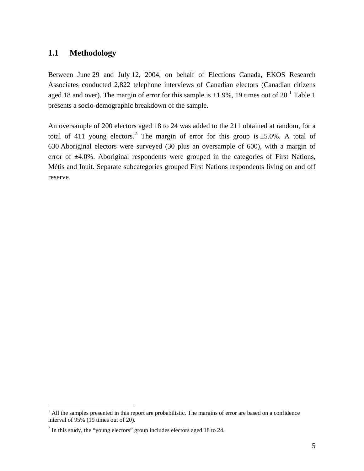# <span id="page-5-0"></span>**1.1 Methodology**

Between June 29 and July 12, 2004, on behalf of Elections Canada, EKOS Research Associates conducted 2,822 telephone interviews of Canadian electors (Canadian citizens aged [1](#page-5-1)8 and over). The margin of error for this sample is  $\pm 1.9\%$ , 19 times out of 20.<sup>1</sup> Table 1 presents a socio-demographic breakdown of the sample.

An oversample of 200 electors aged 18 to 24 was added to the 211 obtained at random, for a total of 411 young electors.<sup>[2](#page-5-2)</sup> The margin of error for this group is  $\pm$ 5.0%. A total of 630 Aboriginal electors were surveyed (30 plus an oversample of 600), with a margin of error of  $\pm 4.0$ %. Aboriginal respondents were grouped in the categories of First Nations, Métis and Inuit. Separate subcategories grouped First Nations respondents living on and off reserve.

<span id="page-5-1"></span><sup>&</sup>lt;sup>1</sup> All the samples presented in this report are probabilistic. The margins of error are based on a confidence interval of 95% (19 times out of 20).

<span id="page-5-2"></span> $2<sup>2</sup>$  In this study, the "young electors" group includes electors aged 18 to 24.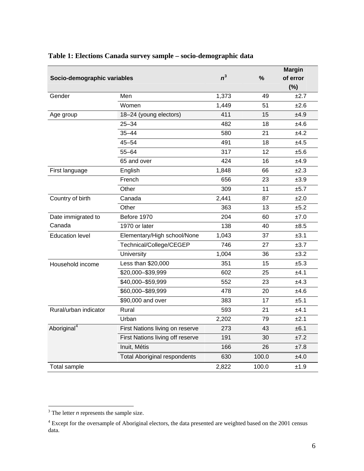|                             |                                     |       | <b>Margin</b> |          |
|-----------------------------|-------------------------------------|-------|---------------|----------|
| Socio-demographic variables |                                     | $n^3$ | %             | of error |
|                             |                                     |       |               | (%)      |
| Gender                      | Men                                 | 1,373 | 49            | ±2.7     |
|                             | Women                               | 1,449 | 51            | ±2.6     |
| Age group                   | 18-24 (young electors)              | 411   | 15            | ±4.9     |
|                             | $25 - 34$                           | 482   | 18            | ±4.6     |
|                             | $35 - 44$                           | 580   | 21            | ±4.2     |
|                             | $45 - 54$                           | 491   | 18            | ±4.5     |
|                             | 317                                 | 12    | ±5.6          |          |
|                             | 65 and over                         | 424   | 16            | ±4.9     |
| English<br>First language   |                                     | 1,848 | 66            | ±2.3     |
|                             | French                              | 656   | 23            | ±3.9     |
|                             | Other                               | 309   | 11            | ±5.7     |
| Country of birth            | Canada                              | 2,441 | 87            | ±2.0     |
|                             | Other                               | 363   | 13            | ±5.2     |
| Date immigrated to          | Before 1970                         | 204   | 60            | ±7.0     |
| Canada                      | 1970 or later                       | 138   | 40            | ±8.5     |
| <b>Education level</b>      | Elementary/High school/None         | 1,043 | 37            | ±3.1     |
|                             | Technical/College/CEGEP             | 746   | 27            | ±3.7     |
|                             | University                          | 1,004 | 36            | ±3.2     |
| Household income            | Less than \$20,000                  | 351   | 15            | ±5.3     |
|                             | \$20,000-\$39,999                   | 602   | 25            | ±4.1     |
|                             | \$40,000-\$59,999                   | 552   | 23            | ±4.3     |
|                             | \$60,000-\$89,999                   | 478   | 20            | ±4.6     |
|                             | \$90,000 and over                   | 383   | 17            | ±5.1     |
| Rural/urban indicator       | Rural                               | 593   | 21            | ±4.1     |
|                             | Urban                               | 2,202 | 79            | ±2.1     |
| Aboriginal <sup>4</sup>     | First Nations living on reserve     | 273   | 43            | ±6.1     |
|                             | First Nations living off reserve    | 191   | 30            | ±7.2     |
|                             | Inuit, Métis                        | 166   | 26            | ±7.8     |
|                             | <b>Total Aboriginal respondents</b> | 630   | 100.0         | ±4.0     |
| Total sample                |                                     | 2,822 | 100.0         | ±1.9     |

# <span id="page-6-0"></span>**Table 1: Elections Canada survey sample – socio-demographic data**

<sup>&</sup>lt;sup>3</sup> The letter *n* represents the sample size.

<span id="page-6-2"></span><span id="page-6-1"></span><sup>&</sup>lt;sup>4</sup> Except for the oversample of Aboriginal electors, the data presented are weighted based on the 2001 census data.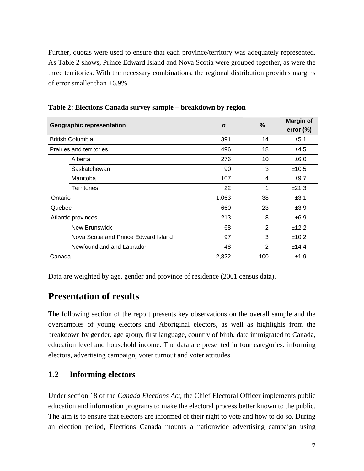<span id="page-7-0"></span>Further, quotas were used to ensure that each province/territory was adequately represented. As Table 2 shows, Prince Edward Island and Nova Scotia were grouped together, as were the three territories. With the necessary combinations, the regional distribution provides margins of error smaller than  $\pm 6.9\%$ .

| <b>Geographic representation</b>     | $\mathbf n$ | %   | <b>Margin of</b><br>error $(\%)$ |
|--------------------------------------|-------------|-----|----------------------------------|
| <b>British Columbia</b>              | 391         | 14  | ±5.1                             |
| Prairies and territories             | 496         | 18  | ±4.5                             |
| Alberta                              | 276         | 10  | ±6.0                             |
| Saskatchewan                         | 90          | 3   | ±10.5                            |
| Manitoba                             | 107         | 4   | ±9.7                             |
| <b>Territories</b>                   | 22          | 1   | ±21.3                            |
| Ontario                              | 1,063       | 38  | ±3.1                             |
| Quebec                               | 660         | 23  | ±3.9                             |
| Atlantic provinces                   | 213         | 8   | ±6.9                             |
| <b>New Brunswick</b>                 | 68          | 2   | ±12.2                            |
| Nova Scotia and Prince Edward Island | 97          | 3   | ±10.2                            |
| Newfoundland and Labrador            | 48          | 2   | ±14.4                            |
| Canada                               | 2,822       | 100 | ±1.9                             |

**Table 2: Elections Canada survey sample – breakdown by region** 

Data are weighted by age, gender and province of residence (2001 census data).

# **Presentation of results**

The following section of the report presents key observations on the overall sample and the oversamples of young electors and Aboriginal electors, as well as highlights from the breakdown by gender, age group, first language, country of birth, date immigrated to Canada, education level and household income. The data are presented in four categories: informing electors, advertising campaign, voter turnout and voter attitudes.

# **1.2 Informing electors**

Under section 18 of the *Canada Elections Act*, the Chief Electoral Officer implements public education and information programs to make the electoral process better known to the public. The aim is to ensure that electors are informed of their right to vote and how to do so. During an election period, Elections Canada mounts a nationwide advertising campaign using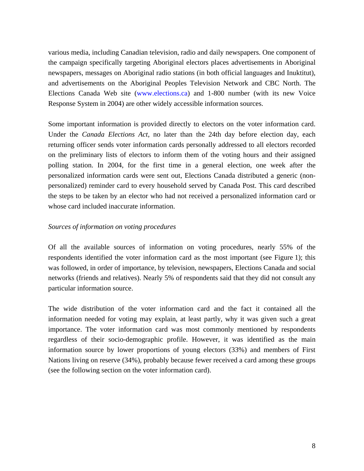<span id="page-8-0"></span>various media, including Canadian television, radio and daily newspapers. One component of the campaign specifically targeting Aboriginal electors places advertisements in Aboriginal newspapers, messages on Aboriginal radio stations (in both official languages and Inuktitut), and advertisements on the Aboriginal Peoples Television Network and CBC North. The Elections Canada Web site [\(www.elections.ca\)](http://www.elections.ca/) and 1-800 number (with its new Voice Response System in 2004) are other widely accessible information sources.

Some important information is provided directly to electors on the voter information card. Under the *Canada Elections Act*, no later than the 24th day before election day, each returning officer sends voter information cards personally addressed to all electors recorded on the preliminary lists of electors to inform them of the voting hours and their assigned polling station. In 2004, for the first time in a general election, one week after the personalized information cards were sent out, Elections Canada distributed a generic (nonpersonalized) reminder card to every household served by Canada Post. This card described the steps to be taken by an elector who had not received a personalized information card or whose card included inaccurate information.

### *Sources of information on voting procedures*

Of all the available sources of information on voting procedures, nearly 55% of the respondents identified the voter information card as the most important (see Figure 1); this was followed, in order of importance, by television, newspapers, Elections Canada and social networks (friends and relatives). Nearly 5% of respondents said that they did not consult any particular information source.

The wide distribution of the voter information card and the fact it contained all the information needed for voting may explain, at least partly, why it was given such a great importance. The voter information card was most commonly mentioned by respondents regardless of their socio-demographic profile. However, it was identified as the main information source by lower proportions of young electors (33%) and members of First Nations living on reserve (34%), probably because fewer received a card among these groups (see the following section on the voter information card).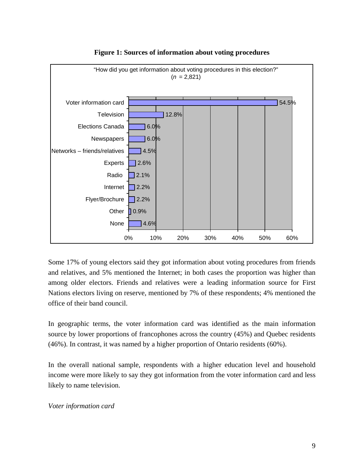<span id="page-9-0"></span>

# **Figure 1: Sources of information about voting procedures**

Some 17% of young electors said they got information about voting procedures from friends and relatives, and 5% mentioned the Internet; in both cases the proportion was higher than among older electors. Friends and relatives were a leading information source for First Nations electors living on reserve, mentioned by 7% of these respondents; 4% mentioned the office of their band council.

In geographic terms, the voter information card was identified as the main information source by lower proportions of francophones across the country (45%) and Quebec residents (46%). In contrast, it was named by a higher proportion of Ontario residents (60%).

In the overall national sample, respondents with a higher education level and household income were more likely to say they got information from the voter information card and less likely to name television.

*Voter information card*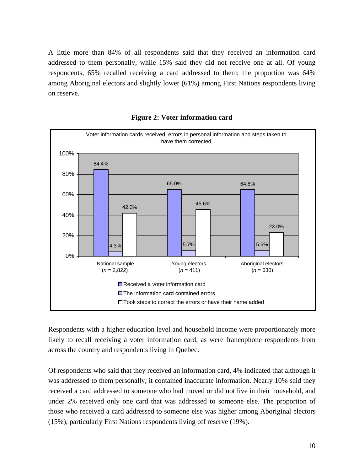<span id="page-10-0"></span>A little more than 84% of all respondents said that they received an information card addressed to them personally, while 15% said they did not receive one at all. Of young respondents, 65% recalled receiving a card addressed to them; the proportion was 64% among Aboriginal electors and slightly lower (61%) among First Nations respondents living on reserve.



**Figure 2: Voter information card** 

Respondents with a higher education level and household income were proportionately more likely to recall receiving a voter information card, as were francophone respondents from across the country and respondents living in Quebec.

Of respondents who said that they received an information card, 4% indicated that although it was addressed to them personally, it contained inaccurate information. Nearly 10% said they received a card addressed to someone who had moved or did not live in their household, and under 2% received only one card that was addressed to someone else. The proportion of those who received a card addressed to someone else was higher among Aboriginal electors (15%), particularly First Nations respondents living off reserve (19%).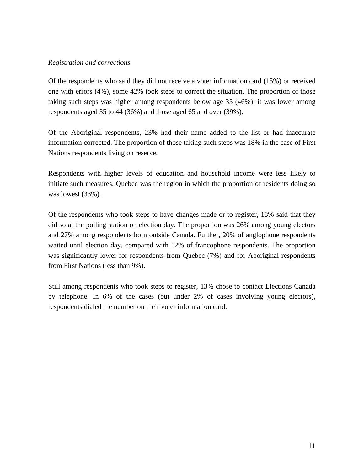### <span id="page-11-0"></span>*Registration and corrections*

Of the respondents who said they did not receive a voter information card (15%) or received one with errors (4%), some 42% took steps to correct the situation. The proportion of those taking such steps was higher among respondents below age 35 (46%); it was lower among respondents aged 35 to 44 (36%) and those aged 65 and over (39%).

Of the Aboriginal respondents, 23% had their name added to the list or had inaccurate information corrected. The proportion of those taking such steps was 18% in the case of First Nations respondents living on reserve.

Respondents with higher levels of education and household income were less likely to initiate such measures. Quebec was the region in which the proportion of residents doing so was lowest (33%).

Of the respondents who took steps to have changes made or to register, 18% said that they did so at the polling station on election day. The proportion was 26% among young electors and 27% among respondents born outside Canada. Further, 20% of anglophone respondents waited until election day, compared with 12% of francophone respondents. The proportion was significantly lower for respondents from Quebec (7%) and for Aboriginal respondents from First Nations (less than 9%).

Still among respondents who took steps to register, 13% chose to contact Elections Canada by telephone. In 6% of the cases (but under 2% of cases involving young electors), respondents dialed the number on their voter information card.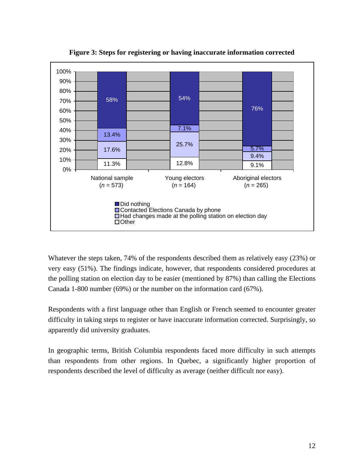<span id="page-12-0"></span>

**Figure 3: Steps for registering or having inaccurate information corrected** 

Whatever the steps taken, 74% of the respondents described them as relatively easy (23%) or very easy (51%). The findings indicate, however, that respondents considered procedures at the polling station on election day to be easier (mentioned by 87%) than calling the Elections Canada 1-800 number (69%) or the number on the information card (67%).

Respondents with a first language other than English or French seemed to encounter greater difficulty in taking steps to register or have inaccurate information corrected. Surprisingly, so apparently did university graduates.

In geographic terms, British Columbia respondents faced more difficulty in such attempts than respondents from other regions. In Quebec, a significantly higher proportion of respondents described the level of difficulty as average (neither difficult nor easy).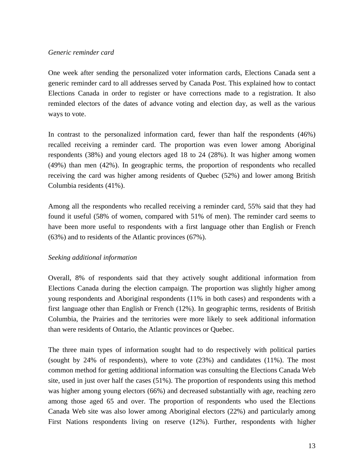### <span id="page-13-0"></span>*Generic reminder card*

One week after sending the personalized voter information cards, Elections Canada sent a generic reminder card to all addresses served by Canada Post. This explained how to contact Elections Canada in order to register or have corrections made to a registration. It also reminded electors of the dates of advance voting and election day, as well as the various ways to vote.

In contrast to the personalized information card, fewer than half the respondents (46%) recalled receiving a reminder card. The proportion was even lower among Aboriginal respondents (38%) and young electors aged 18 to 24 (28%). It was higher among women (49%) than men (42%). In geographic terms, the proportion of respondents who recalled receiving the card was higher among residents of Quebec (52%) and lower among British Columbia residents (41%).

Among all the respondents who recalled receiving a reminder card, 55% said that they had found it useful (58% of women, compared with 51% of men). The reminder card seems to have been more useful to respondents with a first language other than English or French (63%) and to residents of the Atlantic provinces (67%).

# *Seeking additional information*

Overall, 8% of respondents said that they actively sought additional information from Elections Canada during the election campaign. The proportion was slightly higher among young respondents and Aboriginal respondents (11% in both cases) and respondents with a first language other than English or French (12%). In geographic terms, residents of British Columbia, the Prairies and the territories were more likely to seek additional information than were residents of Ontario, the Atlantic provinces or Quebec.

The three main types of information sought had to do respectively with political parties (sought by 24% of respondents), where to vote (23%) and candidates (11%). The most common method for getting additional information was consulting the Elections Canada Web site, used in just over half the cases (51%). The proportion of respondents using this method was higher among young electors (66%) and decreased substantially with age, reaching zero among those aged 65 and over. The proportion of respondents who used the Elections Canada Web site was also lower among Aboriginal electors (22%) and particularly among First Nations respondents living on reserve (12%). Further, respondents with higher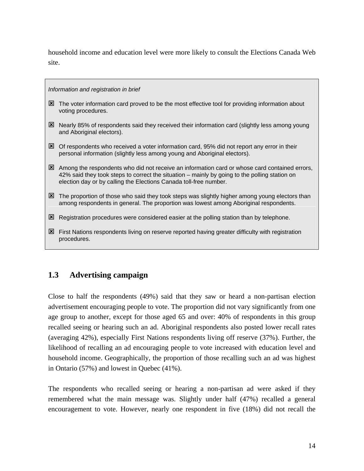<span id="page-14-0"></span>household income and education level were more likely to consult the Elections Canada Web site.

*Information and registration in brief* 

- $\boxtimes$  The voter information card proved to be the most effective tool for providing information about voting procedures.
- $\boxtimes$  Nearly 85% of respondents said they received their information card (slightly less among young and Aboriginal electors).
- $\boxtimes$  Of respondents who received a voter information card, 95% did not report any error in their personal information (slightly less among young and Aboriginal electors).
- $\boxtimes$  Among the respondents who did not receive an information card or whose card contained errors, 42% said they took steps to correct the situation – mainly by going to the polling station on election day or by calling the Elections Canada toll-free number.
- $\boxtimes$  The proportion of those who said they took steps was slightly higher among young electors than among respondents in general. The proportion was lowest among Aboriginal respondents.
- $\boxtimes$  Registration procedures were considered easier at the polling station than by telephone.
- 区 First Nations respondents living on reserve reported having greater difficulty with registration procedures.

# **1.3 Advertising campaign**

Close to half the respondents (49%) said that they saw or heard a non-partisan election advertisement encouraging people to vote. The proportion did not vary significantly from one age group to another, except for those aged 65 and over: 40% of respondents in this group recalled seeing or hearing such an ad. Aboriginal respondents also posted lower recall rates (averaging 42%), especially First Nations respondents living off reserve (37%). Further, the likelihood of recalling an ad encouraging people to vote increased with education level and household income. Geographically, the proportion of those recalling such an ad was highest in Ontario (57%) and lowest in Quebec (41%).

The respondents who recalled seeing or hearing a non-partisan ad were asked if they remembered what the main message was. Slightly under half (47%) recalled a general encouragement to vote. However, nearly one respondent in five (18%) did not recall the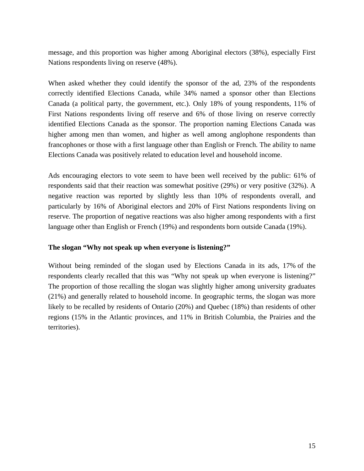<span id="page-15-0"></span>message, and this proportion was higher among Aboriginal electors (38%), especially First Nations respondents living on reserve (48%).

When asked whether they could identify the sponsor of the ad, 23% of the respondents correctly identified Elections Canada, while 34% named a sponsor other than Elections Canada (a political party, the government, etc.). Only 18% of young respondents, 11% of First Nations respondents living off reserve and 6% of those living on reserve correctly identified Elections Canada as the sponsor. The proportion naming Elections Canada was higher among men than women, and higher as well among anglophone respondents than francophones or those with a first language other than English or French. The ability to name Elections Canada was positively related to education level and household income.

Ads encouraging electors to vote seem to have been well received by the public: 61% of respondents said that their reaction was somewhat positive (29%) or very positive (32%). A negative reaction was reported by slightly less than 10% of respondents overall, and particularly by 16% of Aboriginal electors and 20% of First Nations respondents living on reserve. The proportion of negative reactions was also higher among respondents with a first language other than English or French (19%) and respondents born outside Canada (19%).

# **The slogan "Why not speak up when everyone is listening?"**

Without being reminded of the slogan used by Elections Canada in its ads, 17% of the respondents clearly recalled that this was "Why not speak up when everyone is listening?" The proportion of those recalling the slogan was slightly higher among university graduates (21%) and generally related to household income. In geographic terms, the slogan was more likely to be recalled by residents of Ontario (20%) and Quebec (18%) than residents of other regions (15% in the Atlantic provinces, and 11% in British Columbia, the Prairies and the territories).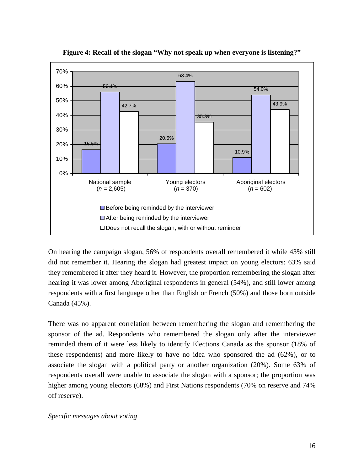<span id="page-16-0"></span>

**Figure 4: Recall of the slogan "Why not speak up when everyone is listening?"** 

On hearing the campaign slogan, 56% of respondents overall remembered it while 43% still did not remember it. Hearing the slogan had greatest impact on young electors: 63% said they remembered it after they heard it. However, the proportion remembering the slogan after hearing it was lower among Aboriginal respondents in general (54%), and still lower among respondents with a first language other than English or French (50%) and those born outside Canada (45%).

There was no apparent correlation between remembering the slogan and remembering the sponsor of the ad. Respondents who remembered the slogan only after the interviewer reminded them of it were less likely to identify Elections Canada as the sponsor (18% of these respondents) and more likely to have no idea who sponsored the ad (62%), or to associate the slogan with a political party or another organization (20%). Some 63% of respondents overall were unable to associate the slogan with a sponsor; the proportion was higher among young electors (68%) and First Nations respondents (70% on reserve and 74% off reserve).

### *Specific messages about voting*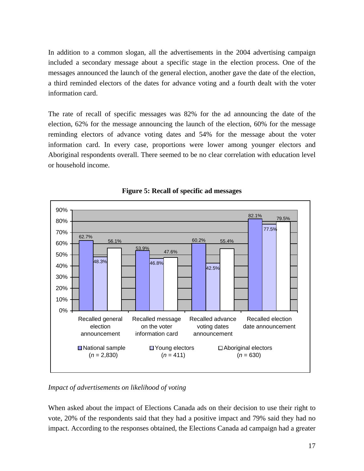<span id="page-17-0"></span>In addition to a common slogan, all the advertisements in the 2004 advertising campaign included a secondary message about a specific stage in the election process. One of the messages announced the launch of the general election, another gave the date of the election, a third reminded electors of the dates for advance voting and a fourth dealt with the voter information card.

The rate of recall of specific messages was 82% for the ad announcing the date of the election, 62% for the message announcing the launch of the election, 60% for the message reminding electors of advance voting dates and 54% for the message about the voter information card. In every case, proportions were lower among younger electors and Aboriginal respondents overall. There seemed to be no clear correlation with education level or household income.



**Figure 5: Recall of specific ad messages** 

*Impact of advertisements on likelihood of voting* 

When asked about the impact of Elections Canada ads on their decision to use their right to vote, 20% of the respondents said that they had a positive impact and 79% said they had no impact. According to the responses obtained, the Elections Canada ad campaign had a greater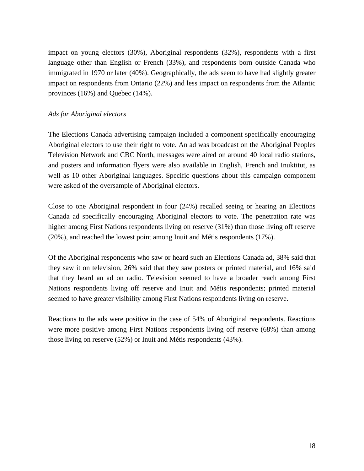<span id="page-18-0"></span>impact on young electors (30%), Aboriginal respondents (32%), respondents with a first language other than English or French (33%), and respondents born outside Canada who immigrated in 1970 or later (40%). Geographically, the ads seem to have had slightly greater impact on respondents from Ontario (22%) and less impact on respondents from the Atlantic provinces (16%) and Quebec (14%).

### *Ads for Aboriginal electors*

The Elections Canada advertising campaign included a component specifically encouraging Aboriginal electors to use their right to vote. An ad was broadcast on the Aboriginal Peoples Television Network and CBC North, messages were aired on around 40 local radio stations, and posters and information flyers were also available in English, French and Inuktitut, as well as 10 other Aboriginal languages. Specific questions about this campaign component were asked of the oversample of Aboriginal electors.

Close to one Aboriginal respondent in four (24%) recalled seeing or hearing an Elections Canada ad specifically encouraging Aboriginal electors to vote. The penetration rate was higher among First Nations respondents living on reserve (31%) than those living off reserve (20%), and reached the lowest point among Inuit and Métis respondents (17%).

Of the Aboriginal respondents who saw or heard such an Elections Canada ad, 38% said that they saw it on television, 26% said that they saw posters or printed material, and 16% said that they heard an ad on radio. Television seemed to have a broader reach among First Nations respondents living off reserve and Inuit and Métis respondents; printed material seemed to have greater visibility among First Nations respondents living on reserve.

Reactions to the ads were positive in the case of 54% of Aboriginal respondents. Reactions were more positive among First Nations respondents living off reserve (68%) than among those living on reserve (52%) or Inuit and Métis respondents (43%).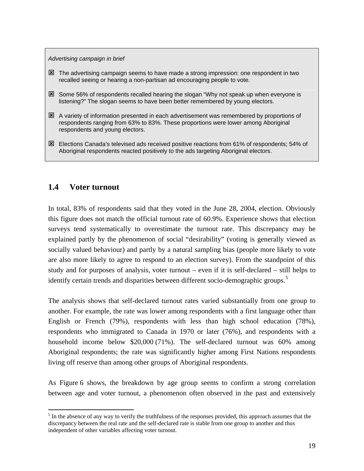#### <span id="page-19-0"></span>*Advertising campaign in brief*

- $\boxtimes$  The advertising campaign seems to have made a strong impression: one respondent in two recalled seeing or hearing a non-partisan ad encouraging people to vote.
- $\boxtimes$  Some 56% of respondents recalled hearing the slogan "Why not speak up when everyone is listening?" The slogan seems to have been better remembered by young electors.
- $\boxtimes$  A variety of information presented in each advertisement was remembered by proportions of respondents ranging from 63% to 83%. These proportions were lower among Aboriginal respondents and young electors.
- : Elections Canada's televised ads received positive reactions from 61% of respondents; 54% of Aboriginal respondents reacted positively to the ads targeting Aboriginal electors.

# **1.4 Voter turnout**

 $\overline{a}$ 

In total, 83% of respondents said that they voted in the June 28, 2004, election. Obviously this figure does not match the official turnout rate of 60.9%. Experience shows that election surveys tend systematically to overestimate the turnout rate. This discrepancy may be explained partly by the phenomenon of social "desirability" (voting is generally viewed as socially valued behaviour) and partly by a natural sampling bias (people more likely to vote are also more likely to agree to respond to an election survey). From the standpoint of this study and for purposes of analysis, voter turnout – even if it is self-declared – still helps to identify certain trends and disparities between different socio-demographic groups.<sup>[5](#page-19-1)</sup>

The analysis shows that self-declared turnout rates varied substantially from one group to another. For example, the rate was lower among respondents with a first language other than English or French (79%), respondents with less than high school education (78%), respondents who immigrated to Canada in 1970 or later (76%), and respondents with a household income below \$20,000 (71%). The self-declared turnout was 60% among Aboriginal respondents; the rate was significantly higher among First Nations respondents living off reserve than among other groups of Aboriginal respondents.

As Figure 6 shows, the breakdown by age group seems to confirm a strong correlation between age and voter turnout, a phenomenon often observed in the past and extensively

<span id="page-19-1"></span> $<sup>5</sup>$  In the absence of any way to verify the truthfulness of the responses provided, this approach assumes that the</sup> discrepancy between the real rate and the self-declared rate is stable from one group to another and thus independent of other variables affecting voter turnout.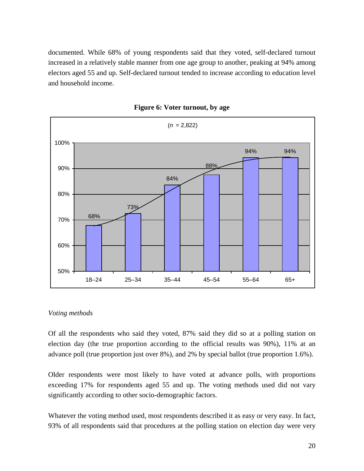<span id="page-20-0"></span>documented. While 68% of young respondents said that they voted, self-declared turnout increased in a relatively stable manner from one age group to another, peaking at 94% among electors aged 55 and up. Self-declared turnout tended to increase according to education level and household income.



**Figure 6: Voter turnout, by age** 

### *Voting methods*

Of all the respondents who said they voted, 87% said they did so at a polling station on election day (the true proportion according to the official results was 90%), 11% at an advance poll (true proportion just over 8%), and 2% by special ballot (true proportion 1.6%).

Older respondents were most likely to have voted at advance polls, with proportions exceeding 17% for respondents aged 55 and up. The voting methods used did not vary significantly according to other socio-demographic factors.

Whatever the voting method used, most respondents described it as easy or very easy. In fact, 93% of all respondents said that procedures at the polling station on election day were very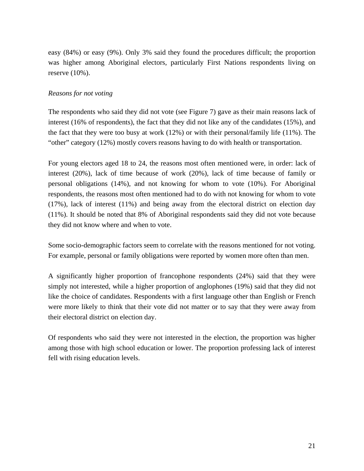<span id="page-21-0"></span>easy (84%) or easy (9%). Only 3% said they found the procedures difficult; the proportion was higher among Aboriginal electors, particularly First Nations respondents living on reserve  $(10\%)$ .

## *Reasons for not voting*

The respondents who said they did not vote (see Figure 7) gave as their main reasons lack of interest (16% of respondents), the fact that they did not like any of the candidates (15%), and the fact that they were too busy at work (12%) or with their personal/family life (11%). The "other" category (12%) mostly covers reasons having to do with health or transportation.

For young electors aged 18 to 24, the reasons most often mentioned were, in order: lack of interest (20%), lack of time because of work (20%), lack of time because of family or personal obligations (14%), and not knowing for whom to vote (10%). For Aboriginal respondents, the reasons most often mentioned had to do with not knowing for whom to vote (17%), lack of interest (11%) and being away from the electoral district on election day (11%). It should be noted that 8% of Aboriginal respondents said they did not vote because they did not know where and when to vote.

Some socio-demographic factors seem to correlate with the reasons mentioned for not voting. For example, personal or family obligations were reported by women more often than men.

A significantly higher proportion of francophone respondents (24%) said that they were simply not interested, while a higher proportion of anglophones (19%) said that they did not like the choice of candidates. Respondents with a first language other than English or French were more likely to think that their vote did not matter or to say that they were away from their electoral district on election day.

Of respondents who said they were not interested in the election, the proportion was higher among those with high school education or lower. The proportion professing lack of interest fell with rising education levels.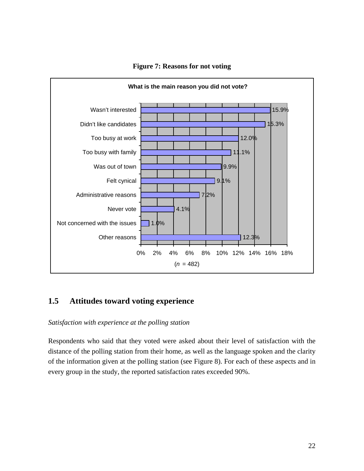<span id="page-22-0"></span>

### **Figure 7: Reasons for not voting**

# **1.5 Attitudes toward voting experience**

### *Satisfaction with experience at the polling station*

Respondents who said that they voted were asked about their level of satisfaction with the distance of the polling station from their home, as well as the language spoken and the clarity of the information given at the polling station (see Figure 8). For each of these aspects and in every group in the study, the reported satisfaction rates exceeded 90%.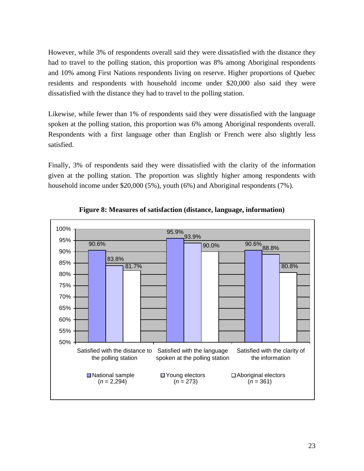<span id="page-23-0"></span>However, while 3% of respondents overall said they were dissatisfied with the distance they had to travel to the polling station, this proportion was 8% among Aboriginal respondents and 10% among First Nations respondents living on reserve. Higher proportions of Quebec residents and respondents with household income under \$20,000 also said they were dissatisfied with the distance they had to travel to the polling station.

Likewise, while fewer than 1% of respondents said they were dissatisfied with the language spoken at the polling station, this proportion was 6% among Aboriginal respondents overall. Respondents with a first language other than English or French were also slightly less satisfied.

Finally, 3% of respondents said they were dissatisfied with the clarity of the information given at the polling station. The proportion was slightly higher among respondents with household income under \$20,000 (5%), youth (6%) and Aboriginal respondents (7%).



**Figure 8: Measures of satisfaction (distance, language, information)**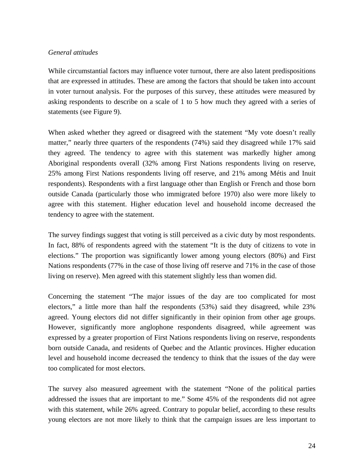### <span id="page-24-0"></span>*General attitudes*

While circumstantial factors may influence voter turnout, there are also latent predispositions that are expressed in attitudes. These are among the factors that should be taken into account in voter turnout analysis. For the purposes of this survey, these attitudes were measured by asking respondents to describe on a scale of 1 to 5 how much they agreed with a series of statements (see Figure 9).

When asked whether they agreed or disagreed with the statement "My vote doesn't really matter," nearly three quarters of the respondents (74%) said they disagreed while 17% said they agreed. The tendency to agree with this statement was markedly higher among Aboriginal respondents overall (32% among First Nations respondents living on reserve, 25% among First Nations respondents living off reserve, and 21% among Métis and Inuit respondents). Respondents with a first language other than English or French and those born outside Canada (particularly those who immigrated before 1970) also were more likely to agree with this statement. Higher education level and household income decreased the tendency to agree with the statement.

The survey findings suggest that voting is still perceived as a civic duty by most respondents. In fact, 88% of respondents agreed with the statement "It is the duty of citizens to vote in elections." The proportion was significantly lower among young electors (80%) and First Nations respondents (77% in the case of those living off reserve and 71% in the case of those living on reserve). Men agreed with this statement slightly less than women did.

Concerning the statement "The major issues of the day are too complicated for most electors," a little more than half the respondents (53%) said they disagreed, while 23% agreed. Young electors did not differ significantly in their opinion from other age groups. However, significantly more anglophone respondents disagreed, while agreement was expressed by a greater proportion of First Nations respondents living on reserve, respondents born outside Canada, and residents of Quebec and the Atlantic provinces. Higher education level and household income decreased the tendency to think that the issues of the day were too complicated for most electors.

The survey also measured agreement with the statement "None of the political parties addressed the issues that are important to me." Some 45% of the respondents did not agree with this statement, while 26% agreed. Contrary to popular belief, according to these results young electors are not more likely to think that the campaign issues are less important to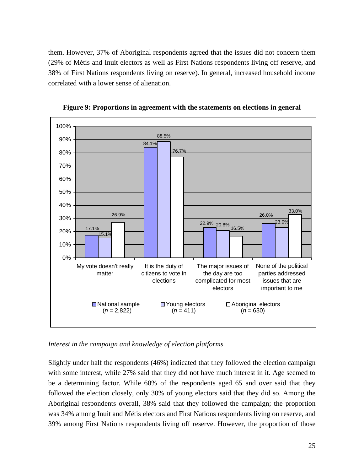<span id="page-25-0"></span>them. However, 37% of Aboriginal respondents agreed that the issues did not concern them (29% of Métis and Inuit electors as well as First Nations respondents living off reserve, and 38% of First Nations respondents living on reserve). In general, increased household income correlated with a lower sense of alienation.



**Figure 9: Proportions in agreement with the statements on elections in general** 

*Interest in the campaign and knowledge of election platforms* 

Slightly under half the respondents (46%) indicated that they followed the election campaign with some interest, while 27% said that they did not have much interest in it. Age seemed to be a determining factor. While 60% of the respondents aged 65 and over said that they followed the election closely, only 30% of young electors said that they did so. Among the Aboriginal respondents overall, 38% said that they followed the campaign; the proportion was 34% among Inuit and Métis electors and First Nations respondents living on reserve, and 39% among First Nations respondents living off reserve. However, the proportion of those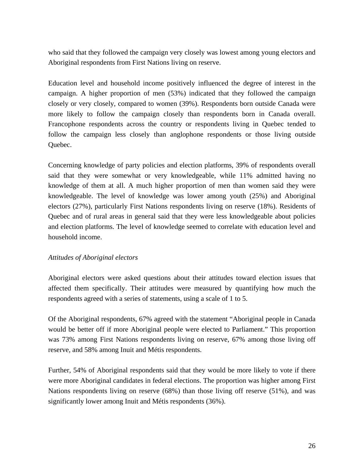<span id="page-26-0"></span>who said that they followed the campaign very closely was lowest among young electors and Aboriginal respondents from First Nations living on reserve.

Education level and household income positively influenced the degree of interest in the campaign. A higher proportion of men (53%) indicated that they followed the campaign closely or very closely, compared to women (39%). Respondents born outside Canada were more likely to follow the campaign closely than respondents born in Canada overall. Francophone respondents across the country or respondents living in Quebec tended to follow the campaign less closely than anglophone respondents or those living outside Quebec.

Concerning knowledge of party policies and election platforms, 39% of respondents overall said that they were somewhat or very knowledgeable, while 11% admitted having no knowledge of them at all. A much higher proportion of men than women said they were knowledgeable. The level of knowledge was lower among youth (25%) and Aboriginal electors (27%), particularly First Nations respondents living on reserve (18%). Residents of Quebec and of rural areas in general said that they were less knowledgeable about policies and election platforms. The level of knowledge seemed to correlate with education level and household income.

### *Attitudes of Aboriginal electors*

Aboriginal electors were asked questions about their attitudes toward election issues that affected them specifically. Their attitudes were measured by quantifying how much the respondents agreed with a series of statements, using a scale of 1 to 5.

Of the Aboriginal respondents, 67% agreed with the statement "Aboriginal people in Canada would be better off if more Aboriginal people were elected to Parliament." This proportion was 73% among First Nations respondents living on reserve, 67% among those living off reserve, and 58% among Inuit and Métis respondents.

Further, 54% of Aboriginal respondents said that they would be more likely to vote if there were more Aboriginal candidates in federal elections. The proportion was higher among First Nations respondents living on reserve (68%) than those living off reserve (51%), and was significantly lower among Inuit and Métis respondents (36%).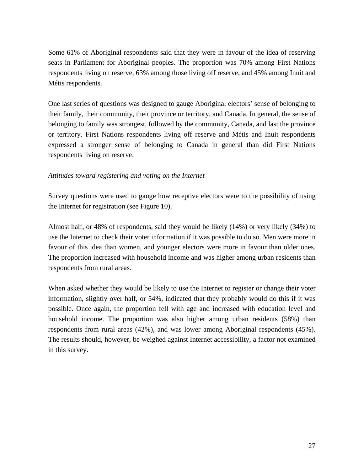<span id="page-27-0"></span>Some 61% of Aboriginal respondents said that they were in favour of the idea of reserving seats in Parliament for Aboriginal peoples. The proportion was 70% among First Nations respondents living on reserve, 63% among those living off reserve, and 45% among Inuit and Métis respondents.

One last series of questions was designed to gauge Aboriginal electors' sense of belonging to their family, their community, their province or territory, and Canada. In general, the sense of belonging to family was strongest, followed by the community, Canada, and last the province or territory. First Nations respondents living off reserve and Métis and Inuit respondents expressed a stronger sense of belonging to Canada in general than did First Nations respondents living on reserve.

### *Attitudes toward registering and voting on the Internet*

Survey questions were used to gauge how receptive electors were to the possibility of using the Internet for registration (see Figure 10).

Almost half, or 48% of respondents, said they would be likely (14%) or very likely (34%) to use the Internet to check their voter information if it was possible to do so. Men were more in favour of this idea than women, and younger electors were more in favour than older ones. The proportion increased with household income and was higher among urban residents than respondents from rural areas.

When asked whether they would be likely to use the Internet to register or change their voter information, slightly over half, or 54%, indicated that they probably would do this if it was possible. Once again, the proportion fell with age and increased with education level and household income. The proportion was also higher among urban residents (58%) than respondents from rural areas (42%), and was lower among Aboriginal respondents (45%). The results should, however, be weighed against Internet accessibility, a factor not examined in this survey.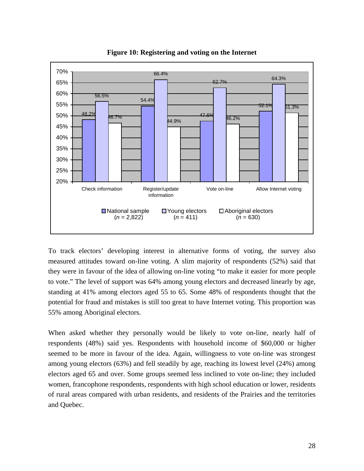<span id="page-28-0"></span>

**Figure 10: Registering and voting on the Internet** 

To track electors' developing interest in alternative forms of voting, the survey also measured attitudes toward on-line voting. A slim majority of respondents (52%) said that they were in favour of the idea of allowing on-line voting "to make it easier for more people to vote." The level of support was 64% among young electors and decreased linearly by age, standing at 41% among electors aged 55 to 65. Some 48% of respondents thought that the potential for fraud and mistakes is still too great to have Internet voting. This proportion was 55% among Aboriginal electors.

When asked whether they personally would be likely to vote on-line, nearly half of respondents (48%) said yes. Respondents with household income of \$60,000 or higher seemed to be more in favour of the idea. Again, willingness to vote on-line was strongest among young electors (63%) and fell steadily by age, reaching its lowest level (24%) among electors aged 65 and over. Some groups seemed less inclined to vote on-line; they included women, francophone respondents, respondents with high school education or lower, residents of rural areas compared with urban residents, and residents of the Prairies and the territories and Quebec.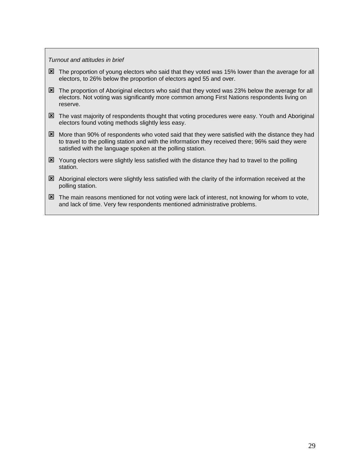<span id="page-29-0"></span>*Turnout and attitudes in brief* 

- $\boxtimes$  The proportion of young electors who said that they voted was 15% lower than the average for all electors, to 26% below the proportion of electors aged 55 and over.
- $\boxtimes$  The proportion of Aboriginal electors who said that they voted was 23% below the average for all electors. Not voting was significantly more common among First Nations respondents living on reserve.
- $\boxtimes$  The vast majority of respondents thought that voting procedures were easy. Youth and Aboriginal electors found voting methods slightly less easy.
- $\boxtimes$  More than 90% of respondents who voted said that they were satisfied with the distance they had to travel to the polling station and with the information they received there; 96% said they were satisfied with the language spoken at the polling station.
- $\boxtimes$  Young electors were slightly less satisfied with the distance they had to travel to the polling station.
- $\boxtimes$  Aboriginal electors were slightly less satisfied with the clarity of the information received at the polling station.
- $\boxtimes$  The main reasons mentioned for not voting were lack of interest, not knowing for whom to vote, and lack of time. Very few respondents mentioned administrative problems.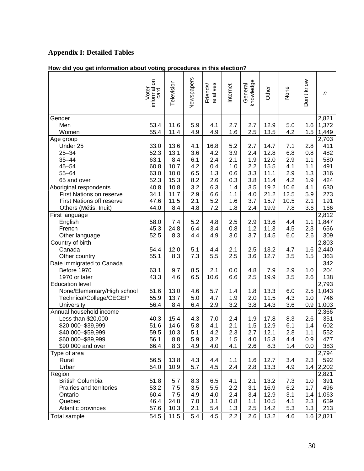# **Appendix I: Detailed Tables**

# **How did you get information about voting procedures in this election?**

|                             | Voter<br>information<br>card | Television   | Newspapers | elatives<br>Friends/ | Internet | knowledge<br>General | Other        | None       | Don't know | n          |
|-----------------------------|------------------------------|--------------|------------|----------------------|----------|----------------------|--------------|------------|------------|------------|
| Gender                      |                              |              |            |                      |          |                      |              |            |            | 2,821      |
| Men                         | 53.4                         | 11.6         | 5.9        | 4.1                  | 2.7      | 2.7                  | 12.9         | 5.0        | 1.6        | 1,372      |
| Women                       | 55.4                         | 11.4         | 4.9        | 4.9                  | 1.6      | 2.5                  | 13.5         | 4.2        | 1.5        | 1,449      |
| Age group                   |                              |              |            |                      | 5.2      |                      |              |            |            | 2,703      |
| Under 25<br>$25 - 34$       | 33.0<br>52.3                 | 13.6<br>13.1 | 4.1<br>3.6 | 16.8<br>4.2          | 3.9      | 2.7<br>2.4           | 14.7<br>12.8 | 7.1<br>6.8 | 2.8<br>0.8 | 411<br>482 |
| $35 - 44$                   | 63.1                         | 8.4          | 6.1        | 2.4                  | 2.1      | 1.9                  | 12.0         | 2.9        | 1.1        | 580        |
| $45 - 54$                   | 60.8                         | 10.7         | 4.2        | 0.4                  | 1.0      | 2.2                  | 15.5         | 4.1        | 1.1        | 491        |
| $55 - 64$                   | 63.0                         | 10.0         | 6.5        | 1.3                  | 0.6      | 3.3                  | 11.1         | 2.9        | 1.3        | 316        |
| 65 and over                 | 52.3                         | 15.3         | 8.2        | 2.6                  | 0.3      | 3.8                  | 11.4         | 4.2        | 1.9        | 424        |
| Aboriginal respondents      | 40.8                         | 10.8         | 3.2        | 6.3                  | 1.4      | 3.5                  | 19.2         | 10.6       | 4.1        | 630        |
| First Nations on reserve    | 34.1                         | 11.7         | 2.9        | 6.6                  | 1.1      | 4.0                  | 21.2         | 12.5       | 5.9        | 273        |
| First Nations off reserve   | 47.6                         | 11.5         | 2.1        | 5.2                  | 1.6      | 3.7                  | 15.7         | 10.5       | 2.1        | 191        |
| Others (Métis, Inuit)       | 44.0                         | 8.4          | 4.8        | 7.2                  | 1.8      | 2.4                  | 19.9         | 7.8        | 3.6        | 166        |
| First language              |                              |              |            |                      |          |                      |              |            |            | 2,812      |
| English                     | 58.0                         | 7.4          | 5.2        | 4.8                  | 2.5      | 2.9                  | 13.6         | 4.4        | 1.1        | 1,847      |
| French                      | 45.3                         | 24.8         | 6.4        | 3.4                  | 0.8      | 1.2                  | 11.3         | 4.5        | 2.3        | 656        |
| Other language              | 52.5                         | 8.3          | 4.4        | 4.9                  | 3.0      | 3.7                  | 14.5         | 6.0        | 2.6        | 309        |
| Country of birth            |                              |              |            |                      |          |                      |              |            |            | 2,803      |
| Canada                      | 54.4                         | 12.0         | 5.1        | 4.4                  | 2.1      | 2.5                  | 13.2         | 4.7        | 1.6        | 2,440      |
| Other country               | 55.1                         | 8.3          | 7.3        | 5.5                  | 2.5      | 3.6                  | 12.7         | 3.5        | 1.5        | 363        |
| Date immigrated to Canada   |                              |              |            |                      |          |                      |              |            |            | 342        |
| Before 1970                 | 63.1                         | 9.7          | 8.5        | 2.1                  | 0.0      | 4.8                  | 7.9          | 2.9        | 1.0        | 204        |
| 1970 or later               | 43.3                         | 4.6          | 6.5        | 10.6                 | 6.6      | 2.5                  | 19.9         | 3.5        | 2.6        | 138        |
| <b>Education level</b>      |                              |              |            |                      |          |                      |              |            |            | 2,793      |
| None/Elementary/High school | 51.6                         | 13.0         | 4.6        | 5.7                  | 1.4      | 1.8                  | 13.3         | 6.0        | 2.5        | 1,043      |
| Technical/College/CEGEP     | 55.9                         | 13.7         | 5.0        | 4.7                  | 1.9      | 2.0                  | 11.5         | 4.3        | 1.0        | 746        |
| University                  | 56.4                         | 8.4          | 6.4        | 2.9                  | 3.2      | 3.8                  | 14.3         | 3.6        | 0.9        | 1,003      |
| Annual household income     |                              |              |            |                      |          |                      |              |            |            | 2,366      |
| Less than \$20,000          | 40.3                         | 15.4         | 4.3        | 7.0                  | 2.4      | 1.9                  | 17.8         | 8.3        | 2.6        | 351        |
| \$20,000 - \$39,999         | 51.6                         | 14.6         | 5.8        | 4.1                  | 2.1      | 1.5                  | 12.9         | 6.1        | 1.4        | 602        |
| \$40,000-\$59,999           | 59.5                         | 10.3         | 5.1        | 4.2                  | 2.3      | 2.7                  | 12.1         | 2.8        | 1.1        | 552        |
| \$60,000-\$89,999           | 56.1                         | 8.8          | 5.9        | 3.2                  | 1.5      | 4.0                  | 15.3         | 4.4        | 0.9        | 477        |
| \$90,000 and over           | 66.4                         | 8.3          | 4.9        | 4.0                  | 4.1      | 2.6                  | 8.3          | 1.4        | 0.0        | 383        |
| Type of area                |                              |              |            |                      |          |                      |              |            |            | 2,794      |
| Rural                       | 56.5                         | 13.8         | 4.3        | 4.4                  | 1.1      | 1.6                  | 12.7         | 3.4        | 2.3        | 592        |
| Urban                       | 54.0                         | 10.9         | 5.7        | 4.5                  | 2.4      | 2.8                  | 13.3         | 4.9        | 1.4        | 2,202      |
| Region                      |                              |              |            |                      |          |                      |              |            |            | 2,821      |
| <b>British Columbia</b>     | 51.8                         | 5.7          | 8.3        | 6.5                  | 4.1      | 2.1                  | 13.2         | 7.3        | 1.0        | 391        |
| Prairies and territories    | 53.2                         | 7.5          | 3.5        | 5.5                  | $2.2\,$  | 3.1                  | 16.9         | 6.2        | 1.7        | 496        |
| Ontario                     | 60.4                         | 7.5          | 4.9        | 4.0                  | 2.4      | 3.4                  | 12.9         | 3.1        | 1.4        | 1,063      |
| Quebec                      | 46.4                         | 24.8         | 7.0        | 3.1                  | 0.8      | 1.1                  | 10.5         | 4.1        | 2.3        | 659        |
| Atlantic provinces          | 57.6                         | 10.3         | 2.1        | 5.4                  | 1.3      | 2.5                  | 14.2         | 5.3        | 1.3        | 213        |
| Total sample                | 54.5                         | 11.5         | 5.4        | 4.5                  | 2.2      | 2.6                  | 13.2         | 4.6        | 1.6        | 2,821      |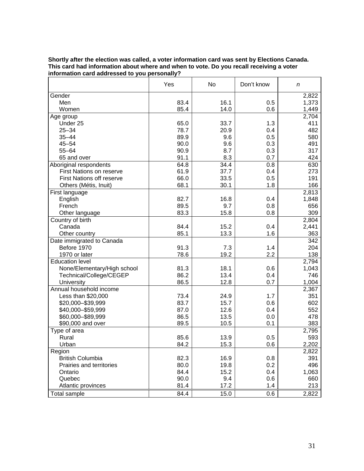|                                   | Yes  | No   | Don't know | n     |
|-----------------------------------|------|------|------------|-------|
| Gender                            |      |      |            | 2,822 |
| Men                               | 83.4 | 16.1 | 0.5        | 1,373 |
| Women                             | 85.4 | 14.0 | 0.6        | 1,449 |
| Age group                         |      |      |            | 2,704 |
| Under 25                          | 65.0 | 33.7 | 1.3        | 411   |
| $25 - 34$                         | 78.7 | 20.9 | 0.4        | 482   |
| $35 - 44$                         | 89.9 | 9.6  | 0.5        | 580   |
| $45 - 54$                         | 90.0 | 9.6  | 0.3        | 491   |
| $55 - 64$                         | 90.9 | 8.7  | 0.3        | 317   |
| 65 and over                       | 91.1 | 8.3  | 0.7        | 424   |
| Aboriginal respondents            | 64.8 | 34.4 | 0.8        | 630   |
| First Nations on reserve          | 61.9 | 37.7 | 0.4        | 273   |
| <b>First Nations off reserve</b>  | 66.0 | 33.5 | 0.5        | 191   |
| Others (Métis, Inuit)             | 68.1 | 30.1 | 1.8        | 166   |
| First language                    |      |      |            | 2,813 |
| English                           | 82.7 | 16.8 | 0.4        | 1,848 |
| French                            | 89.5 | 9.7  | 0.8        | 656   |
| Other language                    | 83.3 | 15.8 | 0.8        | 309   |
| Country of birth                  |      |      |            | 2,804 |
| Canada                            | 84.4 | 15.2 | 0.4        | 2,441 |
| Other country                     | 85.1 | 13.3 | 1.6        | 363   |
| Date immigrated to Canada         |      |      |            | 342   |
| Before 1970                       | 91.3 | 7.3  | 1.4        | 204   |
| 1970 or later                     | 78.6 | 19.2 | 2.2        | 138   |
| Education level                   |      |      |            | 2,794 |
| None/Elementary/High school       | 81.3 | 18.1 | 0.6        | 1,043 |
| Technical/College/CEGEP           | 86.2 | 13.4 | 0.4        | 746   |
| University                        | 86.5 | 12.8 | 0.7        | 1,004 |
| Annual household income           |      |      |            | 2,367 |
| Less than \$20,000                | 73.4 | 24.9 | 1.7        | 351   |
| \$20,000-\$39,999                 | 83.7 | 15.7 | 0.6        | 602   |
| \$40,000-\$59,999                 | 87.0 | 12.6 | 0.4        | 552   |
| \$60,000-\$89,999                 | 86.5 | 13.5 | 0.0        | 478   |
| \$90,000 and over                 | 89.5 | 10.5 | 0.1        | 383   |
| Type of area                      |      |      |            | 2,795 |
| Rural                             | 85.6 | 13.9 | 0.5        | 593   |
| Urban                             | 84.2 | 15.3 | 0.6        | 2,202 |
|                                   |      |      |            | 2,822 |
| Region<br><b>British Columbia</b> | 82.3 | 16.9 | 0.8        | 391   |
| Prairies and territories          | 80.0 | 19.8 | 0.2        | 496   |
| Ontario                           | 84.4 | 15.2 | 0.4        | 1,063 |
| Quebec                            | 90.0 | 9.4  | 0.6        | 660   |
| Atlantic provinces                | 81.4 | 17.2 | 1.4        | 213   |
|                                   |      |      |            |       |
| <b>Total sample</b>               | 84.4 | 15.0 | 0.6        | 2,822 |

#### **Shortly after the election was called, a voter information card was sent by Elections Canada. This card had information about where and when to vote. Do you recall receiving a voter information card addressed to you personally?**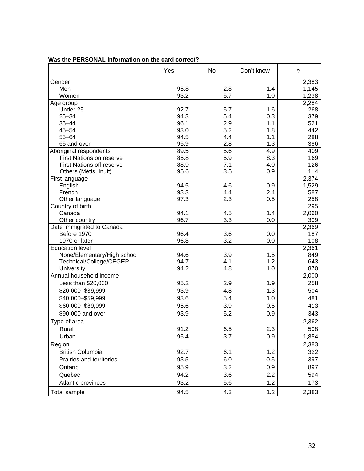|                                  | Yes  | No  | Don't know | n     |
|----------------------------------|------|-----|------------|-------|
| Gender                           |      |     |            | 2,383 |
| Men                              | 95.8 | 2.8 | 1.4        | 1,145 |
| Women                            | 93.2 | 5.7 | 1.0        | 1,238 |
| Age group                        |      |     |            | 2,284 |
| Under 25                         | 92.7 | 5.7 | 1.6        | 268   |
| $25 - 34$                        | 94.3 | 5.4 | 0.3        | 379   |
| $35 - 44$                        | 96.1 | 2.9 | 1.1        | 521   |
| $45 - 54$                        | 93.0 | 5.2 | 1.8        | 442   |
| $55 - 64$                        | 94.5 | 4.4 | 1.1        | 288   |
| 65 and over                      | 95.9 | 2.8 | 1.3        | 386   |
| Aboriginal respondents           | 89.5 | 5.6 | 4.9        | 409   |
| First Nations on reserve         | 85.8 | 5.9 | 8.3        | 169   |
| <b>First Nations off reserve</b> | 88.9 | 7.1 | 4.0        | 126   |
| Others (Métis, Inuit)            | 95.6 | 3.5 | 0.9        | 114   |
| First language                   |      |     |            | 2,374 |
| English                          | 94.5 | 4.6 | 0.9        | 1,529 |
| French                           | 93.3 | 4.4 | 2.4        | 587   |
| Other language                   | 97.3 | 2.3 | 0.5        | 258   |
| Country of birth                 |      |     |            | 295   |
| Canada                           | 94.1 | 4.5 | 1.4        | 2,060 |
| Other country                    | 96.7 | 3.3 | 0.0        | 309   |
| Date immigrated to Canada        |      |     |            | 2,369 |
| Before 1970                      | 96.4 | 3.6 | 0.0        | 187   |
| 1970 or later                    | 96.8 | 3.2 | 0.0        | 108   |
| <b>Education level</b>           |      |     |            | 2,361 |
| None/Elementary/High school      | 94.6 | 3.9 | 1.5        | 849   |
| Technical/College/CEGEP          | 94.7 | 4.1 | 1.2        | 643   |
| University                       | 94.2 | 4.8 | 1.0        | 870   |
| Annual household income          |      |     |            | 2,000 |
| Less than \$20,000               | 95.2 | 2.9 | 1.9        | 258   |
| \$20,000-\$39,999                | 93.9 | 4.8 | 1.3        | 504   |
| \$40,000-\$59,999                | 93.6 | 5.4 | 1.0        | 481   |
| \$60,000-\$89,999                | 95.6 | 3.9 | 0.5        | 413   |
|                                  |      |     |            |       |
| \$90,000 and over                | 93.9 | 5.2 | 0.9        | 343   |
| Type of area                     |      |     |            | 2,362 |
| Rural                            | 91.2 | 6.5 | 2.3        | 508   |
| Urban                            | 95.4 | 3.7 | 0.9        | 1,854 |
| Region                           |      |     |            | 2,383 |
| <b>British Columbia</b>          | 92.7 | 6.1 | 1.2        | 322   |
| Prairies and territories         | 93.5 | 6.0 | 0.5        | 397   |
| Ontario                          | 95.9 | 3.2 | 0.9        | 897   |
| Quebec                           | 94.2 | 3.6 | 2.2        | 594   |
|                                  |      |     |            |       |
| Atlantic provinces               | 93.2 | 5.6 | 1.2        | 173   |
| Total sample                     | 94.5 | 4.3 | 1.2        | 2,383 |

### **Was the PERSONAL information on the card correct?**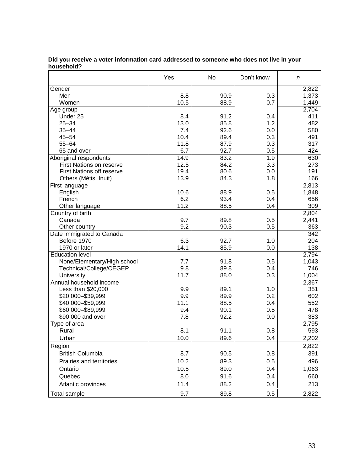|                                  | Yes  | No   | Don't know | n     |
|----------------------------------|------|------|------------|-------|
| Gender                           |      |      |            | 2,822 |
| Men                              | 8.8  | 90.9 | 0.3        | 1,373 |
| Women                            | 10.5 | 88.9 | 0.7        | 1,449 |
| Age group                        |      |      |            | 2,704 |
| Under 25                         | 8.4  | 91.2 | 0.4        | 411   |
| $25 - 34$                        | 13.0 | 85.8 | 1.2        | 482   |
| $35 - 44$                        | 7.4  | 92.6 | 0.0        | 580   |
| $45 - 54$                        | 10.4 | 89.4 | 0.3        | 491   |
| $55 - 64$                        | 11.8 | 87.9 | 0.3        | 317   |
| 65 and over                      | 6.7  | 92.7 | 0.5        | 424   |
| Aboriginal respondents           | 14.9 | 83.2 | 1.9        | 630   |
| First Nations on reserve         | 12.5 | 84.2 | 3.3        | 273   |
| <b>First Nations off reserve</b> | 19.4 | 80.6 | 0.0        | 191   |
| Others (Métis, Inuit)            | 13.9 | 84.3 | 1.8        | 166   |
| First language                   |      |      |            | 2,813 |
| English                          | 10.6 | 88.9 | 0.5        | 1,848 |
| French                           | 6.2  | 93.4 | 0.4        | 656   |
| Other language                   | 11.2 | 88.5 | 0.4        | 309   |
| Country of birth                 |      |      |            | 2,804 |
| Canada                           | 9.7  | 89.8 | 0.5        | 2,441 |
| Other country                    | 9.2  | 90.3 | 0.5        | 363   |
| Date immigrated to Canada        |      |      |            | 342   |
| Before 1970                      | 6.3  | 92.7 | 1.0        | 204   |
| 1970 or later                    | 14.1 | 85.9 | 0.0        | 138   |
| Education level                  |      |      |            | 2,794 |
| None/Elementary/High school      | 7.7  | 91.8 | 0.5        | 1,043 |
| Technical/College/CEGEP          | 9.8  | 89.8 | 0.4        | 746   |
| University                       | 11.7 | 88.0 | 0.3        | 1,004 |
| Annual household income          |      |      |            | 2,367 |
| Less than \$20,000               | 9.9  | 89.1 | 1.0        | 351   |
| \$20,000-\$39,999                | 9.9  | 89.9 | 0.2        | 602   |
| \$40,000-\$59,999                | 11.1 | 88.5 | 0.4        | 552   |
| \$60,000-\$89,999                | 9.4  | 90.1 | 0.5        | 478   |
| \$90,000 and over                | 7.8  | 92.2 | 0.0        | 383   |
| Type of area                     |      |      |            | 2,795 |
| Rural                            | 8.1  | 91.1 | 0.8        | 593   |
| Urban                            | 10.0 | 89.6 | 0.4        | 2,202 |
| Region                           |      |      |            | 2,822 |
|                                  |      |      |            |       |
| <b>British Columbia</b>          | 8.7  | 90.5 | 0.8        | 391   |
| Prairies and territories         | 10.2 | 89.3 | 0.5        | 496   |
| Ontario                          | 10.5 | 89.0 | 0.4        | 1,063 |
| Quebec                           | 8.0  | 91.6 | 0.4        | 660   |
| Atlantic provinces               | 11.4 | 88.2 | 0.4        | 213   |
| Total sample                     | 9.7  | 89.8 | 0.5        | 2,822 |

#### **Did you receive a voter information card addressed to someone who does not live in your household?**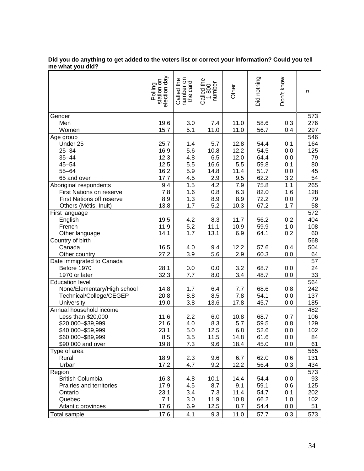|                                  | Polling<br>station on<br>election day | Called the<br>number on<br>the card | Called the<br>1-800<br>number | Other | Did nothing | Don't know | n   |
|----------------------------------|---------------------------------------|-------------------------------------|-------------------------------|-------|-------------|------------|-----|
| Gender                           |                                       |                                     |                               |       |             |            | 573 |
| Men                              | 19.6                                  | 3.0                                 | 7.4                           | 11.0  | 58.6        | 0.3        | 276 |
| Women                            | 15.7                                  | 5.1                                 | 11.0                          | 11.0  | 56.7        | 0.4        | 297 |
| Age group                        |                                       |                                     |                               |       |             |            | 546 |
| Under 25                         | 25.7                                  | 1.4                                 | 5.7                           | 12.8  | 54.4        | 0.1        | 164 |
| $25 - 34$                        | 16.9                                  | 5.6                                 | 10.8                          | 12.2  | 54.5        | 0.0        | 125 |
| $35 - 44$                        | 12.3                                  | 4.8                                 | 6.5                           | 12.0  | 64.4        | 0.0        | 79  |
| $45 - 54$                        | 12.5                                  | 5.5                                 | 16.6                          | 5.5   | 59.8        | 0.1        | 80  |
| $55 - 64$                        | 16.2                                  | 5.9                                 | 14.8                          | 11.4  | 51.7        | 0.0        | 45  |
| 65 and over                      | 17.7                                  | 4.5                                 | 2.9                           | 9.5   | 62.2        | 3.2        | 54  |
| Aboriginal respondents           | 9.4                                   | 1.5                                 | 4.2                           | 7.9   | 75.8        | 1.1        | 265 |
| First Nations on reserve         | 7.8                                   | 1.6                                 | 0.8                           | 6.3   | 82.0        | 1.6        | 128 |
| <b>First Nations off reserve</b> | 8.9                                   | 1.3                                 | 8.9                           | 8.9   | 72.2        | 0.0        | 79  |
| Others (Métis, Inuit)            | 13.8                                  | 1.7                                 | 5.2                           | 10.3  | 67.2        | 1.7        | 58  |
| First language                   |                                       |                                     |                               |       |             |            | 572 |
| English                          | 19.5                                  | 4.2                                 | 8.3                           | 11.7  | 56.2        | 0.2        | 404 |
| French                           | 11.9                                  | 5.2                                 | 11.1                          | 10.9  | 59.9        | 1.0        | 108 |
| Other language                   | 14.1                                  | 1.7                                 | 13.1                          | 6.9   | 64.1        | 0.2        | 60  |
| Country of birth                 |                                       |                                     |                               |       |             |            | 568 |
| Canada                           | 16.5                                  | 4.0                                 | 9.4                           | 12.2  | 57.6        | 0.4        | 504 |
| Other country                    | 27.2                                  | 3.9                                 | 5.6                           | 2.9   | 60.3        | 0.0        | 64  |
| Date immigrated to Canada        |                                       |                                     |                               |       |             |            | 57  |
| Before 1970                      | 28.1                                  | 0.0                                 | 0.0                           | 3.2   | 68.7        | 0.0        | 24  |
| 1970 or later                    | 32.3                                  | 7.7                                 | 8.0                           | 3.4   | 48.7        | 0.0        | 33  |
| <b>Education level</b>           |                                       |                                     |                               |       |             |            | 564 |
| None/Elementary/High school      | 14.8                                  | 1.7                                 | 6.4                           | 7.7   | 68.6        | 0.8        | 242 |
| Technical/College/CEGEP          | 20.8                                  | 8.8                                 | 8.5                           | 7.8   | 54.1        | 0.0        | 137 |
| University                       | 19.0                                  | 3.8                                 | 13.6                          | 17.8  | 45.7        | 0.0        | 185 |
| Annual household income          |                                       |                                     |                               |       |             |            | 482 |
| Less than \$20,000               | 11.6                                  | 2.2                                 | 6.0                           | 10.8  | 68.7        | 0.7        | 106 |
| \$20,000-\$39,999                | 21.6                                  | 4.0                                 | 8.3                           | 5.7   | 59.5        | 0.8        | 129 |
| \$40,000 - \$59,999              | 23.1                                  | 5.0                                 | 12.5                          | 6.8   | 52.6        | 0.0        | 102 |
| \$60.000-\$89.999                | 8.5                                   | 3.5                                 | 11.5                          | 14.8  | 61.6        | 0.0        | 84  |
| \$90,000 and over                | 19.8                                  | 7.3                                 | 9.6                           | 18.4  | 45.0        | 0.0        | 61  |
| Type of area                     |                                       |                                     |                               |       |             |            | 565 |
| Rural                            | 18.9                                  | 2.3                                 | 9.6                           | 6.7   | 62.0        | 0.6        | 131 |
| Urban                            | 17.2                                  | 4.7                                 | 9.2                           | 12.2  | 56.4        | 0.3        | 434 |
| Region                           |                                       |                                     |                               |       |             |            | 573 |
| <b>British Columbia</b>          | 16.3                                  | 4.8                                 | 10.1                          | 14.4  | 54.4        | 0.0        | 93  |
| Prairies and territories         | 17.9                                  | 4.5                                 | 8.7                           | 9.1   | 59.1        | 0.6        | 125 |
| Ontario                          | 23.1                                  | 3.4                                 | 7.3                           | 11.4  | 54.7        | 0.1        | 202 |
| Quebec                           | 7.1                                   | 3.0                                 | 11.9                          | 10.8  | 66.2        | 1.0        | 102 |
| Atlantic provinces               | 17.6                                  | 6.9                                 | 12.5                          | 8.7   | 54.4        | 0.0        | 51  |
| <b>Total sample</b>              | 17.6                                  | 4.1                                 | 9.3                           | 11.0  | 57.7        | 0.3        | 573 |

#### **Did you do anything to get added to the voters list or correct your information? Could you tell me what you did?**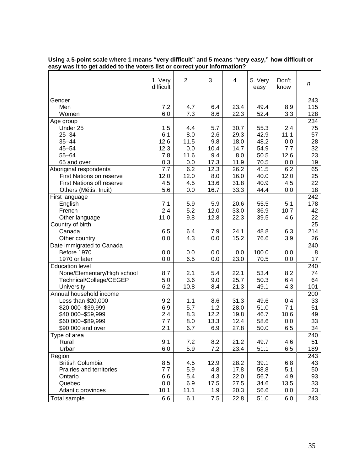|                                                     | 1. Very<br>difficult | $\overline{2}$ | 3           | 4            | 5. Very<br>easy | Don't<br>know    | n         |
|-----------------------------------------------------|----------------------|----------------|-------------|--------------|-----------------|------------------|-----------|
| Gender                                              |                      |                |             |              |                 |                  | 243       |
| Men                                                 | 7.2                  | 4.7            | 6.4         | 23.4         | 49.4            | 8.9              | 115       |
| Women                                               | 6.0                  | 7.3            | 8.6         | 22.3         | 52.4            | 3.3              | 128       |
| Age group                                           |                      |                |             |              |                 |                  | 234       |
| Under 25                                            | 1.5                  | 4.4            | 5.7         | 30.7         | 55.3            | 2.4              | 75        |
| $25 - 34$                                           | 6.1                  | 8.0            | 2.6         | 29.3         | 42.9            | 11.1             | 57        |
| $35 - 44$                                           | 12.6                 | 11.5           | 9.8         | 18.0         | 48.2            | 0.0              | 28        |
| $45 - 54$                                           | 12.3                 | 0.0            | 10.4        | 14.7         | 54.9            | 7.7              | 32        |
| $55 - 64$                                           | 7.8                  | 11.6           | 9.4         | 8.0          | 50.5            | 12.6             | 23        |
| 65 and over                                         | 0.3                  | 0.0            | 17.3        | 11.9         | 70.5            | 0.0              | 19        |
| Aboriginal respondents                              | 7.7                  | 6.2            | 12.3        | 26.2         | 41.5            | $6.\overline{2}$ | 65        |
| <b>First Nations on reserve</b>                     | 12.0                 | 12.0           | 8.0         | 16.0         | 40.0            | 12.0             | 25        |
| <b>First Nations off reserve</b>                    | 4.5                  | 4.5            | 13.6        | 31.8         | 40.9            | 4.5              | 22        |
| Others (Métis, Inuit)                               | 5.6                  | 0.0            | 16.7        | 33.3         | 44.4            | 0.0              | 18<br>242 |
| First language<br>English                           | 7.1                  | 5.9            | 5.9         | 20.6         | 55.5            | 5.1              | 178       |
| French                                              | 2.4                  | 5.2            | 12.0        | 33.0         | 36.9            | 10.7             | 42        |
| Other language                                      | 11.0                 | 9.8            | 12.8        | 22.3         | 39.5            | 4.6              | 22        |
| Country of birth                                    |                      |                |             |              |                 |                  | 25        |
| Canada                                              | 6.5                  | 6.4            | 7.9         | 24.1         | 48.8            | 6.3              | 214       |
| Other country                                       | 0.0                  | 4.3            | 0.0         | 15.2         | 76.6            | 3.9              | 26        |
| Date immigrated to Canada                           |                      |                |             |              |                 |                  | 240       |
| Before 1970                                         | 0.0                  | 0.0            | 0.0         | 0.0          | 100.0           | 0.0              | 8         |
| 1970 or later                                       | 0.0                  | 6.5            | 0.0         | 23.0         | 70.5            | 0.0              | 17        |
| <b>Education level</b>                              |                      |                |             |              |                 |                  | 240       |
| None/Elementary/High school                         | 8.7                  | 2.1            | 5.4         | 22.1         | 53.4            | 8.2              | 74        |
| Technical/College/CEGEP                             | 5.0                  | 3.6            | 9.0         | 25.7         | 50.3            | 6.4              | 64        |
| University                                          | 6.2                  | 10.8           | 8.4         | 21.3         | 49.1            | 4.3              | 101       |
| Annual household income                             |                      |                |             |              |                 |                  | 200       |
| Less than \$20,000                                  | 9.2                  | 1.1            | 8.6         | 31.3         | 49.6            | 0.4              | 33        |
| \$20,000-\$39,999                                   | 6.9                  | 5.7            | 1.2         | 28.0         | 51.0            | 7.1              | 51        |
| \$40,000-\$59,999                                   | 2.4                  | 8.3            | 12.2        | 19.8         | 46.7            | 10.6             | 49        |
| \$60,000-\$89,999                                   | 7.7                  | 8.0            | 13.3        | 12.4         | 58.6            | 0.0              | 33        |
| \$90,000 and over                                   | 2.1                  | 6.7            | 6.9         | 27.8         | 50.0            | 6.5              | 34        |
| Type of area                                        |                      |                |             |              |                 |                  | 240       |
| Rural                                               | 9.1                  | 7.2            | 8.2         | 21.2         | 49.7            | 4.6              | 51        |
| Urban                                               | 6.0                  | 5.9            | 7.2         | 23.4         | 51.1            | 6.5              | 189       |
| Region                                              |                      |                |             |              |                 |                  | 243       |
| <b>British Columbia</b><br>Prairies and territories | 8.5<br>7.7           | 4.5<br>5.9     | 12.9<br>4.8 | 28.2<br>17.8 | 39.1<br>58.8    | 6.8<br>5.1       | 43<br>50  |
| Ontario                                             | 6.6                  | 5.4            | 4.3         | 22.0         | 56.7            | 4.9              | 93        |
| Quebec                                              | 0.0                  | 6.9            | 17.5        | 27.5         | 34.6            | 13.5             | 33        |
| Atlantic provinces                                  | 10.1                 | 11.1           | 1.9         | 20.3         | 56.6            | 0.0              | 23        |
|                                                     |                      |                | 7.5         |              |                 |                  |           |
| Total sample                                        | 6.6                  | 6.1            |             | 22.8         | 51.0            | 6.0              | 243       |

**Using a 5-point scale where 1 means "very difficult" and 5 means "very easy," how difficult or easy was it to get added to the voters list or correct your information?**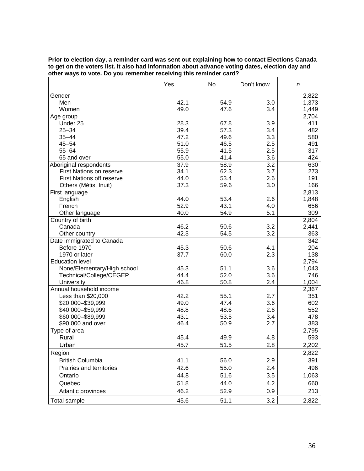| Prior to election day, a reminder card was sent out explaining how to contact Elections Canada  |
|-------------------------------------------------------------------------------------------------|
| to get on the voters list. It also had information about advance voting dates, election day and |
| other ways to vote. Do you remember receiving this reminder card?                               |

|                             | Yes  | No   | Don't know | n     |
|-----------------------------|------|------|------------|-------|
| Gender                      |      |      |            | 2,822 |
| Men                         | 42.1 | 54.9 | 3.0        | 1,373 |
| Women                       | 49.0 | 47.6 | 3.4        | 1,449 |
| Age group                   |      |      |            | 2,704 |
| Under 25                    | 28.3 | 67.8 | 3.9        | 411   |
| $25 - 34$                   | 39.4 | 57.3 | 3.4        | 482   |
| $35 - 44$                   | 47.2 | 49.6 | 3.3        | 580   |
| $45 - 54$                   | 51.0 | 46.5 | 2.5        | 491   |
| $55 - 64$                   | 55.9 | 41.5 | 2.5        | 317   |
| 65 and over                 | 55.0 | 41.4 | 3.6        | 424   |
| Aboriginal respondents      | 37.9 | 58.9 | 3.2        | 630   |
| First Nations on reserve    | 34.1 | 62.3 | 3.7        | 273   |
| First Nations off reserve   | 44.0 | 53.4 | 2.6        | 191   |
| Others (Métis, Inuit)       | 37.3 | 59.6 | 3.0        | 166   |
| First language              |      |      |            | 2,813 |
| English                     | 44.0 | 53.4 | 2.6        | 1,848 |
| French                      | 52.9 | 43.1 | 4.0        | 656   |
| Other language              | 40.0 | 54.9 | 5.1        | 309   |
| Country of birth            |      |      |            | 2,804 |
| Canada                      | 46.2 | 50.6 | 3.2        | 2,441 |
| Other country               | 42.3 | 54.5 | 3.2        | 363   |
| Date immigrated to Canada   |      |      |            | 342   |
| Before 1970                 | 45.3 | 50.6 | 4.1        | 204   |
| 1970 or later               | 37.7 | 60.0 | 2.3        | 138   |
| <b>Education level</b>      |      |      |            | 2,794 |
| None/Elementary/High school | 45.3 | 51.1 | 3.6        | 1,043 |
| Technical/College/CEGEP     | 44.4 | 52.0 | 3.6        | 746   |
| University                  | 46.8 | 50.8 | 2.4        | 1,004 |
| Annual household income     |      |      |            | 2,367 |
| Less than \$20,000          | 42.2 | 55.1 | 2.7        | 351   |
| \$20,000-\$39,999           | 49.0 | 47.4 | 3.6        | 602   |
| \$40,000 - \$59,999         | 48.8 | 48.6 | 2.6        | 552   |
| \$60,000-\$89,999           | 43.1 | 53.5 | 3.4        | 478   |
| \$90,000 and over           | 46.4 | 50.9 | 2.7        | 383   |
| Type of area                |      |      |            | 2,795 |
| Rural                       | 45.4 | 49.9 | 4.8        | 593   |
| Urban                       | 45.7 | 51.5 | 2.8        | 2,202 |
| Region                      |      |      |            | 2,822 |
| <b>British Columbia</b>     | 41.1 | 56.0 | 2.9        | 391   |
| Prairies and territories    |      |      |            |       |
|                             | 42.6 | 55.0 | 2.4        | 496   |
| Ontario                     | 44.8 | 51.6 | 3.5        | 1,063 |
| Quebec                      | 51.8 | 44.0 | 4.2        | 660   |
| Atlantic provinces          | 46.2 | 52.9 | 0.9        | 213   |
| <b>Total sample</b>         | 45.6 | 51.1 | 3.2        | 2,822 |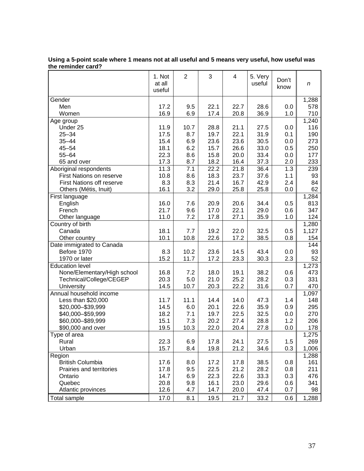|                                       | 1. Not<br>at all<br>useful | $\overline{2}$ | 3            | 4            | 5. Very<br>useful | Don't<br>know | $\boldsymbol{n}$ |
|---------------------------------------|----------------------------|----------------|--------------|--------------|-------------------|---------------|------------------|
| Gender                                |                            |                |              |              |                   |               | 1,288            |
| Men                                   | 17.2                       | 9.5            | 22.1         | 22.7         | 28.6              | 0.0           | 578              |
| Women                                 | 16.9                       | 6.9            | 17.4         | 20.8         | 36.9              | 1.0           | 710              |
| Age group                             |                            |                |              |              |                   |               | 1,240            |
| Under 25                              | 11.9                       | 10.7           | 28.8         | 21.1         | 27.5              | 0.0           | 116              |
| $25 - 34$                             | 17.5                       | 8.7            | 19.7         | 22.1         | 31.9              | 0.1           | 190              |
| $35 - 44$                             | 15.4                       | 6.9            | 23.6         | 23.6         | 30.5              | 0.0           | 273              |
| $45 - 54$                             | 18.1                       | 6.2            | 15.7         | 26.6         | 33.0              | 0.5           | 250              |
| $55 - 64$                             | 22.3                       | 8.6            | 15.8         | 20.0         | 33.4              | 0.0           | 177              |
| 65 and over                           | 17.3                       | 8.7            | 18.2         | 16.4         | 37.3              | 2.0           | 233              |
| Aboriginal respondents                | 11.3                       | 7.1            | 22.2         | 21.8         | 36.4              | 1.3           | 239              |
| First Nations on reserve              | 10.8                       | 8.6            | 18.3         | 23.7         | 37.6              | 1.1           | 93               |
| <b>First Nations off reserve</b>      | 8.3                        | 8.3            | 21.4         | 16.7         | 42.9              | 2.4           | 84               |
| Others (Métis, Inuit)                 | 16.1                       | 3.2            | 29.0         | 25.8         | 25.8              | 0.0           | 62               |
| First language                        |                            |                |              |              |                   |               | 1,284            |
| English                               | 16.0                       | 7.6            | 20.9         | 20.6         | 34.4              | 0.5           | 813              |
| French                                | 21.7                       | 9.6            | 17.0         | 22.1         | 29.0              | 0.6           | 347              |
| Other language                        | 11.0                       | 7.2            | 17.8         | 27.1         | 35.9              | 1.0           | 124              |
| Country of birth                      |                            |                |              |              |                   |               | 1,280            |
| Canada                                | 18.1                       | 7.7            | 19.2         | 22.0         | 32.5              | 0.5           | 1,127            |
| Other country                         | 10.1                       | 10.8           | 22.6         | 17.2         | 38.5              | 0.8           | 154              |
| Date immigrated to Canada             |                            |                |              |              |                   |               | 144              |
| Before 1970                           | 8.3                        | 10.2           | 23.6         | 14.5         | 43.4              | 0.0           | 93               |
| 1970 or later                         | 15.2                       | 11.7           | 17.2         | 23.3         | 30.3              | 2.3           | 52               |
| <b>Education level</b>                |                            |                |              |              |                   |               | 1,273            |
| None/Elementary/High school           | 16.8<br>20.3               | 7.2<br>5.0     | 18.0<br>21.0 | 19.1<br>25.2 | 38.2<br>28.2      | 0.6           | 473<br>331       |
| Technical/College/CEGEP<br>University | 14.5                       | 10.7           | 20.3         | 22.2         | 31.6              | 0.3<br>0.7    | 470              |
| Annual household income               |                            |                |              |              |                   |               | 1,097            |
| Less than \$20,000                    | 11.7                       | 11.1           | 14.4         | 14.0         | 47.3              | 1.4           | 148              |
| \$20,000-\$39,999                     | 14.5                       | 6.0            | 20.1         | 22.6         | 35.9              | 0.9           | 295              |
| \$40,000 - \$59,999                   | 18.2                       | 7.1            | 19.7         | 22.5         | 32.5              | 0.0           | 270              |
| \$60,000-\$89,999                     | 15.1                       | 7.3            | 20.2         | 27.4         | 28.8              | 1.2           | 206              |
| \$90,000 and over                     | 19.5                       | 10.3           | 22.0         | 20.4         | 27.8              | 0.0           | 178              |
| Type of area                          |                            |                |              |              |                   |               | 1,275            |
| Rural                                 | 22.3                       | 6.9            | 17.8         | 24.1         | 27.5              | 1.5           | 269              |
| Urban                                 | 15.7                       | 8.4            | 19.8         | 21.2         | 34.6              | 0.3           | 1,006            |
| Region                                |                            |                |              |              |                   |               | 1,288            |
| <b>British Columbia</b>               | 17.6                       | 8.0            | 17.2         | 17.8         | 38.5              | 0.8           | 161              |
| Prairies and territories              | 17.8                       | 9.5            | 22.5         | 21.2         | 28.2              | 0.8           | 211              |
| Ontario                               | 14.7                       | 6.9            | 22.3         | 22.6         | 33.3              | 0.3           | 476              |
| Quebec                                | 20.8                       | 9.8            | 16.1         | 23.0         | 29.6              | 0.6           | 341              |
| Atlantic provinces                    | 12.6                       | 4.7            | 14.7         | 20.0         | 47.4              | 0.7           | 98               |
| <b>Total sample</b>                   | 17.0                       | 8.1            | 19.5         | 21.7         | 33.2              | 0.6           | 1,288            |
|                                       |                            |                |              |              |                   |               |                  |

**Using a 5-point scale where 1 means not at all useful and 5 means very useful, how useful was the reminder card?**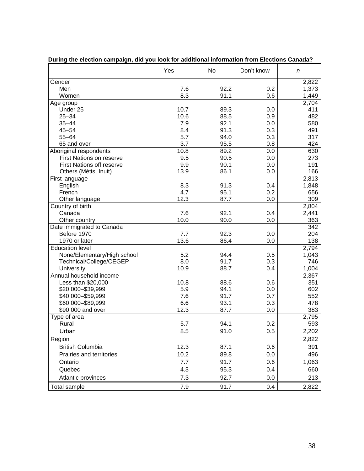|                                          | Yes  | No   | Don't know | n                  |
|------------------------------------------|------|------|------------|--------------------|
| Gender                                   |      |      |            | 2,822              |
| Men                                      | 7.6  | 92.2 | 0.2        | 1,373              |
| Women                                    | 8.3  | 91.1 | 0.6        | 1,449              |
| Age group                                |      |      |            | $\overline{2,}704$ |
| Under 25                                 | 10.7 | 89.3 | 0.0        | 411                |
| $25 - 34$                                | 10.6 | 88.5 | 0.9        | 482                |
| $35 - 44$                                | 7.9  | 92.1 | 0.0        | 580                |
| $45 - 54$                                | 8.4  | 91.3 | 0.3        | 491                |
| $55 - 64$                                | 5.7  | 94.0 | 0.3        | 317                |
| 65 and over                              | 3.7  | 95.5 | 0.8        | 424                |
| Aboriginal respondents                   | 10.8 | 89.2 | 0.0        | 630                |
| First Nations on reserve                 | 9.5  | 90.5 | 0.0        | 273                |
| <b>First Nations off reserve</b>         | 9.9  | 90.1 | 0.0        | 191                |
| Others (Métis, Inuit)                    | 13.9 | 86.1 | 0.0        | 166                |
| First language                           |      |      |            | 2,813              |
| English                                  | 8.3  | 91.3 | 0.4        | 1,848              |
| French                                   | 4.7  | 95.1 | 0.2        | 656                |
| Other language                           | 12.3 | 87.7 | 0.0        | 309                |
| Country of birth                         |      |      |            | 2,804              |
| Canada                                   | 7.6  | 92.1 | 0.4        | 2,441              |
|                                          | 10.0 | 90.0 | 0.0        | 363                |
| Other country                            |      |      |            | 342                |
| Date immigrated to Canada<br>Before 1970 | 7.7  | 92.3 | 0.0        | 204                |
| 1970 or later                            | 13.6 |      |            | 138                |
|                                          |      | 86.4 | 0.0        |                    |
| <b>Education level</b>                   |      |      |            | 2,794              |
| None/Elementary/High school              | 5.2  | 94.4 | 0.5        | 1,043              |
| Technical/College/CEGEP                  | 8.0  | 91.7 | 0.3        | 746                |
| University                               | 10.9 | 88.7 | 0.4        | 1,004              |
| Annual household income                  |      |      |            | 2,367              |
| Less than \$20,000                       | 10.8 | 88.6 | 0.6        | 351                |
| \$20,000 - \$39,999                      | 5.9  | 94.1 | 0.0        | 602                |
| \$40,000-\$59,999                        | 7.6  | 91.7 | 0.7        | 552                |
| \$60,000-\$89,999                        | 6.6  | 93.1 | 0.3        | 478                |
| \$90,000 and over                        | 12.3 | 87.7 | 0.0        | 383                |
| Type of area                             |      |      |            | 2,795              |
| Rural                                    | 5.7  | 94.1 | 0.2        | 593                |
| Urban                                    | 8.5  | 91.0 | 0.5        | 2,202              |
| Region                                   |      |      |            | 2,822              |
| <b>British Columbia</b>                  | 12.3 | 87.1 | 0.6        | 391                |
| Prairies and territories                 | 10.2 | 89.8 | 0.0        | 496                |
| Ontario                                  | 7.7  | 91.7 | 0.6        | 1,063              |
| Quebec                                   | 4.3  | 95.3 | 0.4        | 660                |
|                                          |      |      |            |                    |
| Atlantic provinces                       | 7.3  | 92.7 | 0.0        | 213                |
| <b>Total sample</b>                      | 7.9  | 91.7 | 0.4        | 2,822              |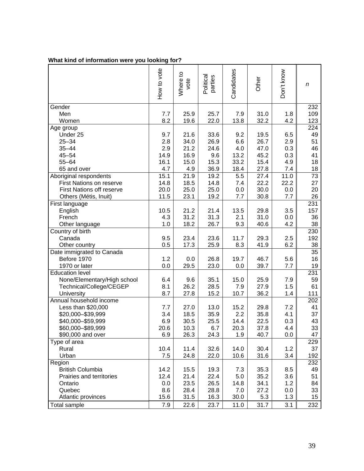# **What kind of information were you looking for?**

|                                  | How to vote | Where to<br>vote | Political<br>parties | Candidates | Other | Don't know | n               |
|----------------------------------|-------------|------------------|----------------------|------------|-------|------------|-----------------|
| Gender                           |             |                  |                      |            |       |            | 232             |
| Men                              | 7.7         | 25.9             | 25.7                 | 7.9        | 31.0  | 1.8        | 109             |
| Women                            | 8.2         | 19.6             | 22.0                 | 13.8       | 32.2  | 4.2        | 123             |
| Age group                        |             |                  |                      |            |       |            | 224             |
| Under 25                         | 9.7         | 21.6             | 33.6                 | 9.2        | 19.5  | 6.5        | 49              |
| $25 - 34$                        | 2.8         | 34.0             | 26.9                 | 6.6        | 26.7  | 2.9        | 51              |
| $35 - 44$                        | 2.9         | 21.2             | 24.6                 | 4.0        | 47.0  | 0.3        | 46              |
| $45 - 54$                        | 14.9        | 16.9             | 9.6                  | 13.2       | 45.2  | 0.3        | 41              |
| $55 - 64$                        | 16.1        | 15.0             | 15.3                 | 33.2       | 15.4  | 4.9        | 18              |
| 65 and over                      | 4.7         | 4.9              | 36.9                 | 18.4       | 27.8  | 7.4        | 18              |
| Aboriginal respondents           | 15.1        | 21.9             | 19.2                 | 5.5        | 27.4  | 11.0       | $\overline{73}$ |
| <b>First Nations on reserve</b>  | 14.8        | 18.5             | 14.8                 | 7.4        | 22.2  | 22.2       | 27              |
| <b>First Nations off reserve</b> | 20.0        | 25.0             | 25.0                 | 0.0        | 30.0  | 0.0        | 20              |
| Others (Métis, Inuit)            | 11.5        | 23.1             | 19.2                 | 7.7        | 30.8  | 7.7        | 26              |
| First language                   |             |                  |                      |            |       |            | 231             |
| English                          | 10.5        | 21.2             | 21.4                 | 13.5       | 29.8  | 3.5        | 157             |
| French                           | 4.3         | 31.2             | 31.3                 | 2.1        | 31.0  | 0.0        | 36              |
| Other language                   | 1.0         | 18.2             | 26.7                 | 9.3        | 40.6  | 4.2        | 38              |
| Country of birth                 |             |                  |                      |            |       |            | 230             |
| Canada                           | 9.5         | 23.4             | 23.6                 | 11.7       | 29.3  | 2.5        | 192             |
| Other country                    | 0.5         | 17.3             | 25.9                 | 8.3        | 41.9  | 6.2        | 38              |
| Date immigrated to Canada        |             |                  |                      |            |       |            | 35              |
| Before 1970                      | 1.2         | 0.0              | 26.8                 | 19.7       | 46.7  | 5.6        | 16              |
| 1970 or later                    | 0.0         | 29.5             | 23.0                 | 0.0        | 39.7  | 7.7        | 19              |
| <b>Education level</b>           |             |                  |                      |            |       |            | 231             |
| None/Elementary/High school      | 6.4         | 9.6              | 35.1                 | 15.0       | 25.9  | 7.9        | 59              |
| Technical/College/CEGEP          | 8.1         | 26.2             | 28.5                 | 7.9        | 27.9  | 1.5        | 61              |
| University                       | 8.7         | 27.8             | 15.2                 | 10.7       | 36.2  | 1.4        | 111             |
| Annual household income          |             |                  |                      |            |       |            | 202             |
| Less than \$20,000               | 7.7         | 27.0             | 13.0                 | 15.2       | 29.8  | 7.2        | 41              |
| \$20,000-\$39,999                | 3.4         | 18.5             | 35.9                 | 2.2        | 35.8  | 4.1        | 37              |
| \$40,000-\$59,999                | 6.9         | 30.5             | 25.5                 | 14.4       | 22.5  | 0.3        | 43              |
| \$60,000-\$89,999                | 20.6        | 10.3             | 6.7                  | 20.3       | 37.8  | 4.4        | 33              |
| \$90,000 and over                | 6.9         | 26.3             | 24.3                 | 1.9        | 40.7  | 0.0        | 47              |
| Type of area                     |             |                  |                      |            |       |            | 229             |
| Rural                            | 10.4        | 11.4             | 32.6                 | 14.0       | 30.4  | 1.2        | 37              |
| Urban                            | 7.5         | 24.8             | 22.0                 | 10.6       | 31.6  | 3.4        | 192             |
| Region                           |             |                  |                      |            |       |            | 232             |
| <b>British Columbia</b>          | 14.2        | 15.5             | 19.3                 | 7.3        | 35.3  | 8.5        | 49              |
| Prairies and territories         | 12.4        | 21.4             | 22.4                 | 5.0        | 35.2  | 3.6        | 51              |
| Ontario                          | 0.0         | 23.5             | 26.5                 | 14.8       | 34.1  | 1.2        | 84              |
| Quebec                           | 8.6         | 28.4             | 28.8                 | 7.0        | 27.2  | 0.0        | 33              |
| Atlantic provinces               | 15.6        | 31.5             | 16.3                 | 30.0       | 5.3   | 1.3        | 15              |
|                                  |             |                  |                      |            |       |            |                 |
| <b>Total sample</b>              | 7.9         | 22.6             | 23.7                 | 11.0       | 31.7  | 3.1        | 232             |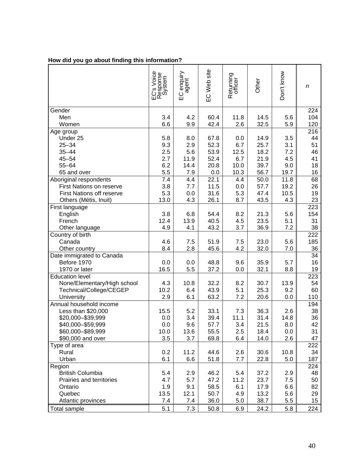|  |  |  |  |  |  |  | How did you go about finding this information? |
|--|--|--|--|--|--|--|------------------------------------------------|
|--|--|--|--|--|--|--|------------------------------------------------|

|                                  | EC's Voice<br>Response<br>System | EC enquiry<br>agent | EC Web site | Returning<br>officer | Other | Don't know | n   |
|----------------------------------|----------------------------------|---------------------|-------------|----------------------|-------|------------|-----|
| Gender                           |                                  |                     |             |                      |       |            | 224 |
| Men                              | 3.4                              | 4.2                 | 60.4        | 11.8                 | 14.5  | 5.6        | 104 |
| Women                            | 6.6                              | 9.9                 | 42.4        | 2.6                  | 32.5  | 5.9        | 120 |
| Age group                        |                                  |                     |             |                      |       |            | 216 |
| Under 25                         | 5.8                              | 8.0                 | 67.8        | 0.0                  | 14.9  | 3.5        | 44  |
| $25 - 34$                        | 9.3                              | 2.9                 | 52.3        | 6.7                  | 25.7  | 3.1        | 51  |
| $35 - 44$                        | 2.5                              | 5.6                 | 53.9        | 12.5                 | 18.2  | 7.2        | 46  |
| $45 - 54$                        | 2.7                              | 11.9                | 52.4        | 6.7                  | 21.9  | 4.5        | 41  |
| $55 - 64$                        | 6.2                              | 14.4                | 20.8        | 10.0                 | 39.7  | 9.0        | 18  |
| 65 and over                      | 5.5                              | 7.9                 | 0.0         | 10.3                 | 56.7  | 19.7       | 16  |
| Aboriginal respondents           | 7.4                              | 4.4                 | 22.1        | 4.4                  | 50.0  | 11.8       | 68  |
| First Nations on reserve         | 3.8                              | 7.7                 | 11.5        | 0.0                  | 57.7  | 19.2       | 26  |
| <b>First Nations off reserve</b> | 5.3                              | 0.0                 | 31.6        | 5.3                  | 47.4  | 10.5       | 19  |
| Others (Métis, Inuit)            | 13.0                             | 4.3                 | 26.1        | 8.7                  | 43.5  | 4.3        | 23  |
| First language                   |                                  |                     |             |                      |       |            | 223 |
| English                          | 3.8                              | 6.8                 | 54.4        | 8.2                  | 21.3  | 5.6        | 154 |
| French                           | 12.4                             | 13.9                | 40.5        | 4.5                  | 23.5  | 5.1        | 31  |
| Other language                   | 4.9                              | 4.1                 | 43.2        | 3.7                  | 36.9  | 7.2        | 38  |
| Country of birth                 |                                  |                     |             |                      |       |            | 222 |
| Canada                           | 4.6                              | 7.5                 | 51.9        | 7.5                  | 23.0  | 5.6        | 185 |
| Other country                    | 8.4                              | 2.8                 | 45.6        | 4.2                  | 32.0  | 7.0        | 36  |
| Date immigrated to Canada        |                                  |                     |             |                      |       |            | 34  |
| Before 1970                      | 0.0                              | 0.0                 | 48.8        | 9.6                  | 35.9  | 5.7        | 16  |
| 1970 or later                    | 16.5                             | 5.5                 | 37.2        | 0.0                  | 32.1  | 8.8        | 19  |
| <b>Education level</b>           |                                  |                     |             |                      |       |            | 223 |
| None/Elementary/High school      | 4.3                              | 10.8                | 32.2        | 8.2                  | 30.7  | 13.9       | 54  |
| Technical/College/CEGEP          | 10.2                             | 6.4                 | 43.9        | 5.1                  | 25.3  | 9.2        | 60  |
| University                       | 2.9                              | 6.1                 | 63.2        | 7.2                  | 20.6  | 0.0        | 110 |
| Annual household income          |                                  |                     |             |                      |       |            | 194 |
| Less than \$20,000               | 15.5                             | 5.2                 | 33.1        | 7.3                  | 36.3  | 2.6        | 38  |
| \$20,000 - \$39,999              | 0.0                              | 3.4                 | 39.4        | 11.1                 | 31.4  | 14.8       | 36  |
| \$40,000-\$59,999                | 0.0                              | 9.6                 | 57.7        | 3.4                  | 21.5  | 8.0        | 42  |
| \$60,000-\$89,999                | 10.0                             | 13.6                | 55.5        | 2.5                  | 18.4  | 0.0        | 31  |
| \$90,000 and over                | 3.5                              | 3.7                 | 69.8        | 6.4                  | 14.0  | 2.6        | 47  |
| Type of area                     |                                  |                     |             |                      |       |            | 222 |
| Rural                            | 0.2                              | 11.2                | 44.6        | 2.6                  | 30.6  | 10.8       | 34  |
| Urban                            | 6.1                              | 6.6                 | 51.8        | 7.7                  | 22.8  | 5.0        | 187 |
| Region                           |                                  |                     |             |                      |       |            | 224 |
| <b>British Columbia</b>          | 5.4                              | 2.9                 | 46.2        | 5.4                  | 37.2  | 2.9        | 48  |
| Prairies and territories         | 4.7                              | 5.7                 | 47.2        | 11.2                 | 23.7  | 7.5        | 50  |
| Ontario                          | 1.9                              | 9.1                 | 58.5        | 6.1                  | 17.9  | 6.6        | 82  |
| Quebec                           | 13.5                             | 12.1                | 50.7        | 4.9                  | 13.2  | 5.6        | 29  |
| Atlantic provinces               | 7.4                              | 7.4                 | 36.0        | 5.0                  | 38.7  | 5.5        | 15  |
| <b>Total sample</b>              | 5.1                              | 7.3                 | 50.8        | 6.9                  | 24.2  | 5.8        | 224 |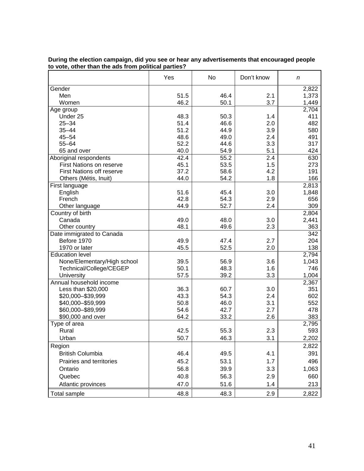|                                       | Yes  | No   | Don't know | n            |
|---------------------------------------|------|------|------------|--------------|
| Gender                                |      |      |            | 2,822        |
| Men                                   | 51.5 | 46.4 | 2.1        | 1,373        |
| Women                                 | 46.2 | 50.1 | 3.7        | 1,449        |
| Age group                             |      |      |            | 2,704        |
| Under 25                              | 48.3 | 50.3 | 1.4        | 411          |
| $25 - 34$                             | 51.4 | 46.6 | 2.0        | 482          |
| $35 - 44$                             | 51.2 | 44.9 | 3.9        | 580          |
| $45 - 54$                             | 48.6 | 49.0 | 2.4        | 491          |
| $55 - 64$                             | 52.2 | 44.6 | 3.3        | 317          |
| 65 and over                           | 40.0 | 54.9 | 5.1        | 424          |
| Aboriginal respondents                | 42.4 | 55.2 | 2.4        | 630          |
| <b>First Nations on reserve</b>       | 45.1 | 53.5 | 1.5        | 273          |
| <b>First Nations off reserve</b>      | 37.2 | 58.6 | 4.2        | 191          |
| Others (Métis, Inuit)                 | 44.0 | 54.2 | 1.8        | 166          |
| First language                        |      |      |            | 2,813        |
| English                               | 51.6 | 45.4 | 3.0        | 1,848        |
| French                                | 42.8 | 54.3 | 2.9        | 656          |
| Other language                        | 44.9 | 52.7 | 2.4        | 309          |
| Country of birth                      |      |      |            | 2,804        |
| Canada                                | 49.0 | 48.0 | 3.0        | 2,441        |
| Other country                         | 48.1 | 49.6 | 2.3        | 363          |
| Date immigrated to Canada             |      |      |            | 342          |
| Before 1970                           | 49.9 | 47.4 | 2.7        | 204          |
| 1970 or later                         | 45.5 | 52.5 | 2.0        | 138          |
| <b>Education level</b>                |      |      |            | 2,794        |
|                                       | 39.5 | 56.9 | 3.6        | 1,043        |
| None/Elementary/High school           | 50.1 | 48.3 | 1.6        | 746          |
| Technical/College/CEGEP               | 57.5 | 39.2 | 3.3        |              |
| University<br>Annual household income |      |      |            | 1,004        |
|                                       |      |      | 3.0        | 2,367<br>351 |
| Less than \$20,000                    | 36.3 | 60.7 |            |              |
| \$20,000-\$39,999                     | 43.3 | 54.3 | 2.4        | 602          |
| \$40,000 - \$59,999                   | 50.8 | 46.0 | 3.1        | 552          |
| \$60,000-\$89,999                     | 54.6 | 42.7 | 2.7        | 478          |
| \$90,000 and over                     | 64.2 | 33.2 | 2.6        | 383          |
| Type of area                          |      |      |            | 2,795        |
| Rural                                 | 42.5 | 55.3 | 2.3        | 593          |
| Urban                                 | 50.7 | 46.3 | 3.1        | 2,202        |
| Region                                |      |      |            | 2,822        |
| <b>British Columbia</b>               | 46.4 | 49.5 | 4.1        | 391          |
| Prairies and territories              | 45.2 | 53.1 | 1.7        | 496          |
| Ontario                               | 56.8 | 39.9 | 3.3        | 1,063        |
| Quebec                                | 40.8 | 56.3 | 2.9        | 660          |
|                                       | 47.0 | 51.6 | 1.4        |              |
| Atlantic provinces                    |      |      |            | 213          |
| Total sample                          | 48.8 | 48.3 | 2.9        | 2,822        |

#### **During the election campaign, did you see or hear any advertisements that encouraged people to vote, other than the ads from political parties?**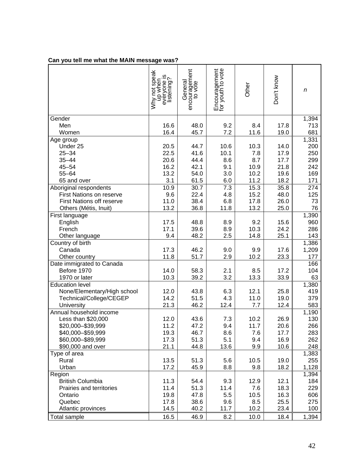# **Can you tell me what the MAIN message was?**

|                                          | Why not speak<br>w<br>everyone is<br>listening?<br>up when | encouragement<br>to vote<br>General | Encouragement<br>for youth to vote | Other        | Don't know   | n            |
|------------------------------------------|------------------------------------------------------------|-------------------------------------|------------------------------------|--------------|--------------|--------------|
| Gender                                   |                                                            |                                     |                                    |              |              | 1,394        |
| Men                                      | 16.6                                                       | 48.0                                | 9.2                                | 8.4          | 17.8         | 713          |
| Women                                    | 16.4                                                       | 45.7                                | 7.2                                | 11.6         | 19.0         | 681          |
| Age group<br>Under 25                    | 20.5                                                       | 44.7                                | 10.6                               |              | 14.0         | 1,331<br>200 |
| $25 - 34$                                | 22.5                                                       | 41.6                                | 10.1                               | 10.3<br>7.8  | 17.9         | 250          |
| $35 - 44$                                | 20.6                                                       | 44.4                                | 8.6                                | 8.7          | 17.7         | 299          |
| $45 - 54$                                | 16.2                                                       | 42.1                                | 9.1                                | 10.9         | 21.8         | 242          |
| $55 - 64$                                | 13.2                                                       | 54.0                                | 3.0                                | 10.2         | 19.6         | 169          |
| 65 and over                              | 3.1                                                        | 61.5                                | 6.0                                | 11.2         | 18.2         | 171          |
| Aboriginal respondents                   | 10.9                                                       | 30.7                                | 7.3                                | 15.3         | 35.8         | 274          |
| First Nations on reserve                 | 9.6                                                        | 22.4                                | 4.8                                | 15.2         | 48.0         | 125          |
| <b>First Nations off reserve</b>         | 11.0                                                       | 38.4                                | 6.8                                | 17.8         | 26.0         | 73           |
| Others (Métis, Inuit)                    | 13.2                                                       | 36.8                                | 11.8                               | 13.2         | 25.0         | 76           |
| First language                           |                                                            |                                     |                                    |              |              | 1,390        |
| English                                  | 17.5                                                       | 48.8                                | 8.9                                | 9.2          | 15.6         | 960          |
| French                                   | 17.1                                                       | 39.6                                | 8.9                                | 10.3         | 24.2         | 286          |
| Other language                           | 9.4                                                        | 48.2                                | 2.5                                | 14.8         | 25.1         | 143          |
| Country of birth                         |                                                            |                                     |                                    |              |              | 1,386        |
| Canada                                   | 17.3                                                       | 46.2                                | 9.0                                | 9.9          | 17.6         | 1,209        |
| Other country                            | 11.8                                                       | 51.7                                | 2.9                                | 10.2         | 23.3         | 177          |
| Date immigrated to Canada                |                                                            |                                     |                                    |              |              | 166          |
| Before 1970                              | 14.0                                                       | 58.3                                | 2.1                                | 8.5          | 17.2         | 104          |
| 1970 or later                            | 10.3                                                       | 39.2                                | 3.2                                | 13.3         | 33.9         | 63           |
| <b>Education level</b>                   |                                                            |                                     |                                    |              |              | 1,380        |
| None/Elementary/High school              | 12.0                                                       | 43.8                                | 6.3                                | 12.1         | 25.8         | 419          |
| Technical/College/CEGEP                  | 14.2                                                       | 51.5                                | 4.3                                | 11.0         | 19.0         | 379          |
| University                               | 21.3                                                       | 46.2                                | 12.4                               | 7.7          | 12.4         | 583          |
| Annual household income                  |                                                            |                                     |                                    |              |              | 1,190        |
| Less than \$20,000                       | 12.0<br>11.2                                               | 43.6                                | 7.3<br>9.4                         | 10.2<br>11.7 | 26.9         | 130<br>266   |
| \$20,000-\$39,999                        |                                                            | 47.2<br>46.7                        |                                    |              | 20.6         |              |
| \$40,000 - \$59,999<br>\$60,000-\$89,999 | 19.3<br>17.3                                               | 51.3                                | 8.6<br>5.1                         | 7.6<br>9.4   | 17.7<br>16.9 | 283<br>262   |
| \$90,000 and over                        | 21.1                                                       | 44.8                                | 13.6                               | 9.9          | 10.6         | 248          |
| Type of area                             |                                                            |                                     |                                    |              |              | 1,383        |
| Rural                                    | 13.5                                                       | 51.3                                | 5.6                                | 10.5         | 19.0         | 255          |
| Urban                                    | 17.2                                                       | 45.9                                | 8.8                                | 9.8          | 18.2         | 1,128        |
| Region                                   |                                                            |                                     |                                    |              |              | 1,394        |
| <b>British Columbia</b>                  | 11.3                                                       | 54.4                                | 9.3                                | 12.9         | 12.1         | 184          |
| Prairies and territories                 | 11.4                                                       | 51.3                                | 11.4                               | 7.6          | 18.3         | 229          |
| Ontario                                  | 19.8                                                       | 47.8                                | 5.5                                | 10.5         | 16.3         | 606          |
| Quebec                                   | 17.8                                                       | 38.6                                | 9.6                                | 8.5          | 25.5         | 275          |
| Atlantic provinces                       | 14.5                                                       | 40.2                                | 11.7                               | 10.2         | 23.4         | 100          |
| Total sample                             | 16.5                                                       | 46.9                                | 8.2                                | 10.0         | 18.4         | 1,394        |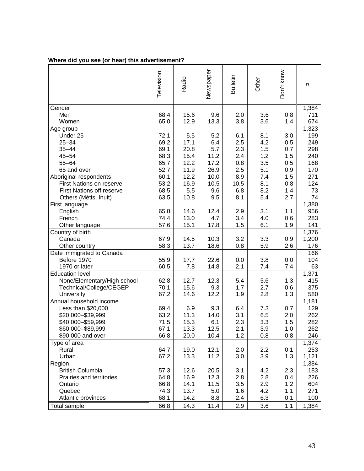|  |  |  |  | Where did you see (or hear) this advertisement? |
|--|--|--|--|-------------------------------------------------|
|--|--|--|--|-------------------------------------------------|

|                                  | Television | Radio | Newspaper | Bulletin | Other | Don't know | n     |
|----------------------------------|------------|-------|-----------|----------|-------|------------|-------|
| Gender                           |            |       |           |          |       |            | 1,384 |
| Men                              | 68.4       | 15.6  | 9.6       | 2.0      | 3.6   | 0.8        | 711   |
| Women                            | 65.0       | 12.9  | 13.3      | 3.8      | 3.6   | 1.4        | 674   |
| Age group                        |            |       |           |          |       |            | 1,323 |
| Under 25                         | 72.1       | 5.5   | 5.2       | 6.1      | 8.1   | 3.0        | 199   |
| $25 - 34$                        | 69.2       | 17.1  | 6.4       | 2.5      | 4.2   | 0.5        | 249   |
| $35 - 44$                        | 69.1       | 20.8  | 5.7       | 2.3      | 1.5   | 0.7        | 298   |
| $45 - 54$                        | 68.3       | 15.4  | 11.2      | 2.4      | 1.2   | 1.5        | 240   |
| $55 - 64$                        | 65.7       | 12.2  | 17.2      | 0.8      | 3.5   | 0.5        | 168   |
| 65 and over                      | 52.7       | 11.9  | 26.9      | 2.5      | 5.1   | 0.9        | 170   |
| Aboriginal respondents           | 60.1       | 12.2  | 10.0      | 8.9      | 7.4   | 1.5        | 271   |
| <b>First Nations on reserve</b>  | 53.2       | 16.9  | 10.5      | 10.5     | 8.1   | 0.8        | 124   |
| <b>First Nations off reserve</b> | 68.5       | 5.5   | 9.6       | 6.8      | 8.2   | 1.4        | 73    |
| Others (Métis, Inuit)            | 63.5       | 10.8  | 9.5       | 8.1      | 5.4   | 2.7        | 74    |
| First language                   |            |       |           |          |       |            | 1,380 |
| English                          | 65.8       | 14.6  | 12.4      | 2.9      | 3.1   | 1.1        | 956   |
| French                           | 74.4       | 13.0  | 4.7       | 3.4      | 4.0   | 0.6        | 283   |
| Other language                   | 57.6       | 15.1  | 17.8      | 1.5      | 6.1   | 1.9        | 141   |
| Country of birth                 |            |       |           |          |       |            | 1,376 |
| Canada                           | 67.9       | 14.5  | 10.3      | 3.2      | 3.3   | 0.9        | 1,200 |
| Other country                    | 58.3       | 13.7  | 18.6      | 0.8      | 5.9   | 2.6        | 176   |
| Date immigrated to Canada        |            |       |           |          |       |            | 166   |
| Before 1970                      | 55.9       | 17.7  | 22.6      | 0.0      | 3.8   | 0.0        | 104   |
| 1970 or later                    | 60.5       | 7.8   | 14.8      | 2.1      | 7.4   | 7.4        | 63    |
| <b>Education level</b>           |            |       |           |          |       |            | 1,371 |
| None/Elementary/High school      | 62.8       | 12.7  | 12.3      | 5.4      | 5.6   | 1.3        | 415   |
| Technical/College/CEGEP          | 70.1       | 15.6  | 9.3       | 1.7      | 2.7   | 0.6        | 375   |
| University                       | 67.2       | 14.6  | 12.2      | 1.9      | 2.8   | 1.3        | 580   |
| Annual household income          |            |       |           |          |       |            | 1,181 |
| Less than \$20,000               | 69.4       | 6.9   | 9.3       | 6.4      | 7.3   | 0.7        | 129   |
| \$20,000-\$39,999                | 63.2       | 11.3  | 14.0      | 3.1      | 6.5   | 2.0        | 262   |
| \$40,000 - \$59,999              | 71.5       | 15.3  | 6.1       | 2.3      | 3.3   | 1.5        | 282   |
| \$60,000-\$89,999                | 67.1       | 13.3  | 12.5      | 2.1      | 3.9   | 1.0        | 262   |
| \$90,000 and over                | 66.8       | 20.0  | 10.4      | 1.2      | 0.8   | 0.8        | 246   |
| Type of area                     |            |       |           |          |       |            | 1,374 |
| Rural                            | 64.7       | 19.0  | 12.1      | 2.0      | 2.2   | 0.1        | 253   |
| Urban                            | 67.2       | 13.3  | 11.2      | 3.0      | 3.9   | 1.3        | 1,121 |
| Region                           |            |       |           |          |       |            | 1,384 |
| <b>British Columbia</b>          | 57.3       | 12.6  | 20.5      | 3.1      | 4.2   | 2.3        | 183   |
| Prairies and territories         | 64.8       | 16.9  | 12.3      | 2.8      | 2.8   | 0.4        | 226   |
| Ontario                          | 66.8       | 14.1  | 11.5      | 3.5      | 2.9   | 1.2        | 604   |
| Quebec                           | 74.3       | 13.7  | 5.0       | 1.6      | 4.2   | 1.1        | 271   |
| Atlantic provinces               | 68.1       | 14.2  | 8.8       | 2.4      | 6.3   | 0.1        | 100   |
| <b>Total sample</b>              | 66.8       | 14.3  | 11.4      | 2.9      | 3.6   | 1.1        | 1,384 |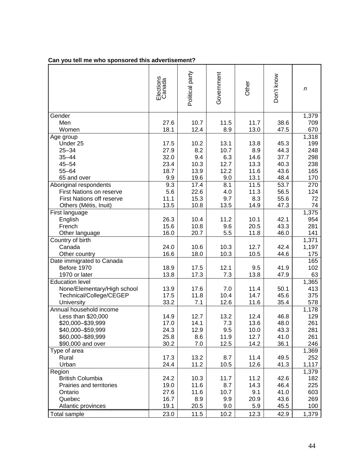|                                       | Elections<br>Canada | Political party | Government  | Other        | Don't know | $\boldsymbol{n}$ |
|---------------------------------------|---------------------|-----------------|-------------|--------------|------------|------------------|
| Gender                                |                     |                 |             |              |            | 1,379            |
| Men                                   | 27.6                | 10.7            | 11.5        | 11.7         | 38.6       | 709              |
| Women                                 | 18.1                | 12.4            | 8.9         | 13.0         | 47.5       | 670              |
| Age group                             |                     |                 |             |              |            | 1,318            |
| Under 25                              | 17.5                | 10.2            | 13.1        | 13.8         | 45.3       | 199              |
| $25 - 34$                             | 27.9                | 8.2             | 10.7        | 8.9          | 44.3       | 248              |
| $35 - 44$                             | 32.0                | 9.4             | 6.3         | 14.6         | 37.7       | 298              |
| $45 - 54$                             | 23.4                | 10.3            | 12.7        | 13.3         | 40.3       | 238              |
| $55 - 64$                             | 18.7                | 13.9            | 12.2        | 11.6         | 43.6       | 165              |
| 65 and over                           | 9.9                 | 19.6            | 9.0         | 13.1         | 48.4       | 170              |
| Aboriginal respondents                | 9.3                 | 17.4            | 8.1         | 11.5         | 53.7       | 270              |
| <b>First Nations on reserve</b>       | 5.6                 | 22.6            | 4.0         | 11.3         | 56.5       | 124              |
| <b>First Nations off reserve</b>      | 11.1                | 15.3            | 9.7         | 8.3          | 55.6       | 72               |
| Others (Métis, Inuit)                 | 13.5                | 10.8            | 13.5        | 14.9         | 47.3       | 74               |
| First language                        |                     |                 |             |              |            | 1,375            |
| English                               | 26.3                | 10.4            | 11.2        | 10.1         | 42.1       | 954              |
| French                                | 15.6                | 10.8            | 9.6         | 20.5         | 43.3       | 281              |
| Other language                        | 16.0                | 20.7            | 5.5         | 11.8         | 46.0       | 141              |
| Country of birth                      |                     |                 |             |              |            | 1,371            |
| Canada                                | 24.0                | 10.6            | 10.3        | 12.7         | 42.4       | 1,197            |
| Other country                         | 16.6                | 18.0            | 10.3        | 10.5         | 44.6       | 175              |
| Date immigrated to Canada             |                     |                 |             |              |            | 165              |
| Before 1970                           | 18.9                | 17.5            | 12.1        | 9.5          | 41.9       | 102              |
| 1970 or later                         | 13.8                | 17.3            | 7.3         | 13.8         | 47.9       | 63               |
| <b>Education level</b>                |                     |                 |             |              |            | 1,365            |
| None/Elementary/High school           | 13.9<br>17.5        | 17.6            | 7.0<br>10.4 | 11.4<br>14.7 | 50.1       | 413              |
| Technical/College/CEGEP               |                     | 11.8            |             |              | 45.6       | 375              |
| University<br>Annual household income | 33.2                | 7.1             | 12.6        | 11.6         | 35.4       | 578<br>1,178     |
| Less than \$20,000                    | 14.9                | 12.7            | 13.2        | 12.4         | 46.8       | 129              |
| \$20,000-\$39,999                     | 17.0                | 14.1            | 7.3         | 13.6         | 48.0       | 261              |
| \$40,000-\$59,999                     | 24.3                | 12.9            | 9.5         | 10.0         | 43.3       | 281              |
| \$60,000-\$89,999                     | 25.8                | 8.6             | 11.9        | 12.7         | 41.0       | 261              |
| \$90,000 and over                     | 30.2                | 7.0             | 12.5        | 14.2         | 36.1       | 246              |
| Type of area                          |                     |                 |             |              |            | 1,369            |
| Rural                                 | 17.3                | 13.2            | 8.7         | 11.4         | 49.5       | 252              |
| Urban                                 | 24.4                | 11.2            | 10.5        | 12.6         | 41.3       | 1,117            |
| Region                                |                     |                 |             |              |            | 1,379            |
| <b>British Columbia</b>               | 24.2                | 10.3            | 11.7        | 11.2         | 42.6       | 182              |
| Prairies and territories              | 19.0                | 11.6            | 8.7         | 14.3         | 46.4       | 225              |
| Ontario                               | 27.6                | 11.6            | 10.7        | 9.1          | 41.0       | 603              |
| Quebec                                | 16.7                | 8.9             | 9.9         | 20.9         | 43.6       | 269              |
| Atlantic provinces                    | 19.1                | 20.5            | 9.0         | 5.9          | 45.5       | 100              |
| <b>Total sample</b>                   | 23.0                | 11.5            | 10.2        | 12.3         | 42.9       | 1,379            |

# **Can you tell me who sponsored this advertisement?**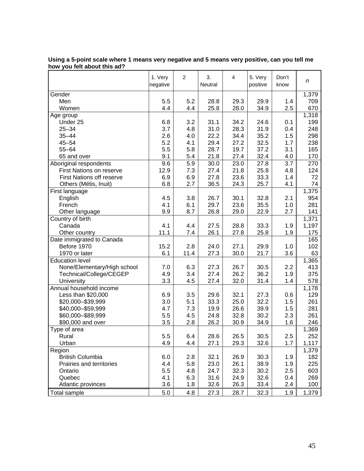|                                  | 1. Very<br>negative | 2    | 3.<br>Neutral | 4    | 5. Very<br>positive | Don't<br>know | n     |
|----------------------------------|---------------------|------|---------------|------|---------------------|---------------|-------|
| Gender                           |                     |      |               |      |                     |               | 1,379 |
| Men                              | 5.5                 | 5.2  | 28.8          | 29.3 | 29.9                | 1.4           | 709   |
| Women                            | 4.4                 | 4.4  | 25.8          | 28.0 | 34.9                | 2.5           | 670   |
| Age group                        |                     |      |               |      |                     |               | 1,318 |
| Under 25                         | 6.8                 | 3.2  | 31.1          | 34.2 | 24.6                | 0.1           | 199   |
| $25 - 34$                        | 3.7                 | 4.8  | 31.0          | 28.3 | 31.9                | 0.4           | 248   |
| $35 - 44$                        | 2.6                 | 4.0  | 22.2          | 34.4 | 35.2                | 1.5           | 298   |
| $45 - 54$                        | 5.2                 | 4.1  | 29.4          | 27.2 | 32.5                | 1.7           | 238   |
| $55 - 64$                        | 5.5                 | 5.8  | 28.7          | 19.7 | 37.2                | 3.1           | 165   |
| 65 and over                      | 9.1                 | 5.4  | 21.8          | 27.4 | 32.4                | 4.0           | 170   |
| Aboriginal respondents           | 9.6                 | 5.9  | 30.0          | 23.0 | 27.8                | 3.7           | 270   |
| <b>First Nations on reserve</b>  | 12.9                | 7.3  | 27.4          | 21.8 | 25.8                | 4.8           | 124   |
| <b>First Nations off reserve</b> | 6.9                 | 6.9  | 27.8          | 23.6 | 33.3                | 1.4           | 72    |
| Others (Métis, Inuit)            | 6.8                 | 2.7  | 36.5          | 24.3 | 25.7                | 4.1           | 74    |
| First language                   |                     |      |               |      |                     |               | 1,375 |
| English                          | 4.5                 | 3.8  | 26.7          | 30.1 | 32.8                | 2.1           | 954   |
| French                           | 4.1                 | 6.1  | 29.7          | 23.6 | 35.5                | 1.0           | 281   |
| Other language                   | 9.9                 | 8.7  | 26.8          | 29.0 | 22.9                | 2.7           | 141   |
| Country of birth                 |                     |      |               |      |                     |               | 1,371 |
| Canada                           | 4.1                 | 4.4  | 27.5          | 28.8 | 33.3                | 1.9           | 1,197 |
| Other country                    | 11.1                | 7.4  | 26.1          | 27.8 | 25.8                | 1.9           | 175   |
| Date immigrated to Canada        |                     |      |               |      |                     |               | 165   |
| Before 1970                      | 15.2                | 2.8  | 24.0          | 27.1 | 29.9                | 1.0           | 102   |
| 1970 or later                    | 6.1                 | 11.4 | 27.3          | 30.0 | 21.7                | 3.6           | 63    |
| <b>Education level</b>           |                     |      |               |      |                     |               | 1,365 |
| None/Elementary/High school      | 7.0                 | 6.3  | 27.3          | 26.7 | 30.5                | 2.2           | 413   |
| Technical/College/CEGEP          | 4.9                 | 3.4  | 27.4          | 26.2 | 36.2                | 1.9           | 375   |
| University                       | 3.3                 | 4.5  | 27.4          | 32.0 | 31.4                | 1.4           | 578   |
| Annual household income          |                     |      |               |      |                     |               | 1,178 |
| Less than \$20,000               | 6.9                 | 3.5  | 29.6          | 32.1 | 27.3                | 0.6           | 129   |
| \$20,000-\$39,999                | 3.0                 | 5.1  | 33.3          | 25.0 | 32.2                | 1.5           | 261   |
| \$40,000 - \$59,999              | 4.7                 | 7.3  | 19.9          | 26.6 | 39.9                | 1.5           | 281   |
| \$60,000-\$89,999                | 5.5                 | 4.5  | 24.8          | 32.8 | 30.2                | 2.3           | 261   |
| \$90,000 and over                | 3.5                 | 2.8  | 26.2          | 30.9 | 34.9                | 1.6           | 246   |
| Type of area                     |                     |      |               |      |                     |               | 1,369 |
| Rural                            | 5.5                 | 6.4  | 28.6          | 26.5 | 30.5                | 2.5           | 252   |
| Urban                            | 4.9                 | 4.4  | 27.1          | 29.3 | 32.6                | 1.7           | 1,117 |
| Region                           |                     |      |               |      |                     |               | 1,379 |
| <b>British Columbia</b>          | 6.0                 | 2.8  | 32.1          | 26.9 | 30.3                | 1.9           | 182   |
| Prairies and territories         | 4.4                 | 5.8  | 23.0          | 26.1 | 38.9                | 1.9           | 225   |
| Ontario                          | 5.5                 | 4.8  | 24.7          | 32.3 | 30.2                | 2.5           | 603   |
| Quebec                           | 4.1                 | 6.3  | 31.6          | 24.9 | 32.6                | 0.4           | 269   |
| Atlantic provinces               | 3.6                 | 1.8  | 32.6          | 26.3 | 33.4                | 2.4           | 100   |
| <b>Total sample</b>              | 5.0                 | 4.8  | 27.3          | 28.7 | 32.3                | 1.9           | 1,379 |

| Using a 5-point scale where 1 means very negative and 5 means very positive, can you tell me |  |  |
|----------------------------------------------------------------------------------------------|--|--|
| how you felt about this ad?                                                                  |  |  |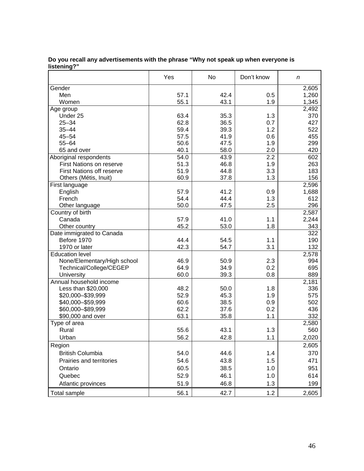|                                  | Yes  | No   | Don't know | n     |
|----------------------------------|------|------|------------|-------|
| Gender                           |      |      |            | 2,605 |
| Men                              | 57.1 | 42.4 | 0.5        | 1,260 |
| Women                            | 55.1 | 43.1 | 1.9        | 1,345 |
| Age group                        |      |      |            | 2,492 |
| Under 25                         | 63.4 | 35.3 | 1.3        | 370   |
| $25 - 34$                        | 62.8 | 36.5 | 0.7        | 427   |
| $35 - 44$                        | 59.4 | 39.3 | 1.2        | 522   |
| $45 - 54$                        | 57.5 | 41.9 | 0.6        | 455   |
| $55 - 64$                        | 50.6 | 47.5 | 1.9        | 299   |
| 65 and over                      | 40.1 | 58.0 | 2.0        | 420   |
| Aboriginal respondents           | 54.0 | 43.9 | 2.2        | 602   |
| First Nations on reserve         | 51.3 | 46.8 | 1.9        | 263   |
| <b>First Nations off reserve</b> | 51.9 | 44.8 | 3.3        | 183   |
| Others (Métis, Inuit)            | 60.9 | 37.8 | 1.3        | 156   |
| First language                   |      |      |            | 2,596 |
| English                          | 57.9 | 41.2 | 0.9        | 1,688 |
| French                           | 54.4 | 44.4 | 1.3        | 612   |
| Other language                   | 50.0 | 47.5 | 2.5        | 296   |
| Country of birth                 |      |      |            | 2,587 |
| Canada                           | 57.9 | 41.0 | 1.1        | 2,244 |
| Other country                    | 45.2 | 53.0 | 1.8        | 343   |
| Date immigrated to Canada        |      |      |            | 322   |
| Before 1970                      | 44.4 | 54.5 | 1.1        | 190   |
| 1970 or later                    | 42.3 | 54.7 | 3.1        | 132   |
| <b>Education level</b>           |      |      |            | 2,578 |
| None/Elementary/High school      | 46.9 | 50.9 | 2.3        | 994   |
| Technical/College/CEGEP          | 64.9 | 34.9 | 0.2        | 695   |
| University                       | 60.0 | 39.3 | 0.8        | 889   |
| Annual household income          |      |      |            | 2,181 |
| Less than \$20,000               | 48.2 | 50.0 | 1.8        | 336   |
| \$20,000-\$39,999                | 52.9 | 45.3 | 1.9        | 575   |
| \$40,000 - \$59,999              | 60.6 | 38.5 | 0.9        | 502   |
| \$60,000-\$89,999                | 62.2 | 37.6 | 0.2        | 436   |
| \$90,000 and over                | 63.1 | 35.8 | 1.1        | 332   |
| Type of area                     |      |      |            | 2,580 |
| Rural                            | 55.6 | 43.1 | 1.3        | 560   |
| Urban                            | 56.2 | 42.8 | 1.1        | 2,020 |
|                                  |      |      |            |       |
| Region                           |      |      |            | 2,605 |
| <b>British Columbia</b>          | 54.0 | 44.6 | $1.4$      | 370   |
| Prairies and territories         | 54.6 | 43.8 | 1.5        | 471   |
| Ontario                          | 60.5 | 38.5 | 1.0        | 951   |
| Quebec                           | 52.9 | 46.1 | 1.0        | 614   |
| Atlantic provinces               | 51.9 | 46.8 | 1.3        | 199   |
| Total sample                     | 56.1 | 42.7 | 1.2        | 2,605 |

#### **Do you recall any advertisements with the phrase "Why not speak up when everyone is listening?"**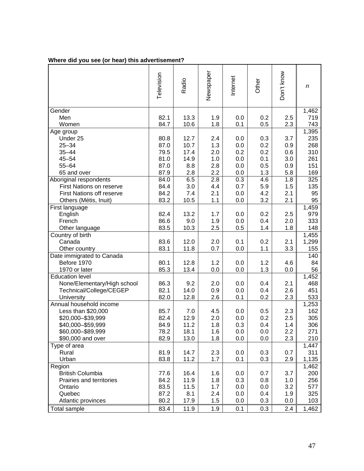|  | Where did you see (or hear) this advertisement? |
|--|-------------------------------------------------|
|  |                                                 |

|                                        | Television | Radio | Newspaper  | Internet | Other | Don't know | n            |
|----------------------------------------|------------|-------|------------|----------|-------|------------|--------------|
| Gender                                 |            |       |            |          |       |            | 1,462        |
| Men                                    | 82.1       | 13.3  | 1.9        | 0.0      | 0.2   | 2.5        | 719          |
| Women                                  | 84.7       | 10.6  | 1.8        | 0.1      | 0.5   | 2.3        | 743          |
| Age group                              |            |       |            |          |       |            | 1,395        |
| Under 25                               | 80.8       | 12.7  | 2.4        | 0.0      | 0.3   | 3.7        | 235          |
| $25 - 34$                              | 87.0       | 10.7  | 1.3        | 0.0      | 0.2   | 0.9        | 268          |
| $35 - 44$                              | 79.5       | 17.4  | 2.0        | 0.2      | 0.2   | 0.6        | 310          |
| $45 - 54$                              | 81.0       | 14.9  | 1.0        | 0.0      | 0.1   | 3.0        | 261          |
| $55 - 64$                              | 87.0       | 8.8   | 2.8        | 0.0      | 0.5   | 0.9        | 151          |
| 65 and over                            | 87.9       | 2.8   | 2.2        | 0.0      | 1.3   | 5.8        | 169          |
| Aboriginal respondents                 | 84.0       | 6.5   | 2.8        | 0.3      | 4.6   | 1.8        | 325          |
| First Nations on reserve               | 84.4       | 3.0   | 4.4        | 0.7      | 5.9   | 1.5        | 135          |
| <b>First Nations off reserve</b>       | 84.2       | 7.4   | 2.1        | 0.0      | 4.2   | 2.1        | 95           |
| Others (Métis, Inuit)                  | 83.2       | 10.5  | 1.1        | 0.0      | 3.2   | 2.1        | 95           |
| First language                         |            |       |            |          |       |            | 1,459        |
| English                                | 82.4       | 13.2  | 1.7        | 0.0      | 0.2   | 2.5        | 979          |
| French                                 | 86.6       | 9.0   | 1.9        | 0.0      | 0.4   | 2.0        | 333          |
| Other language                         | 83.5       | 10.3  | 2.5        | 0.5      | 1.4   | 1.8        | 148          |
| Country of birth                       |            |       |            |          |       |            | 1,455        |
| Canada                                 | 83.6       | 12.0  | 2.0        | 0.1      | 0.2   | 2.1        | 1,299        |
| Other country                          | 83.1       | 11.8  | 0.7        | 0.0      | 1.1   | 3.3        | 155          |
| Date immigrated to Canada              |            |       |            |          |       |            | 140          |
| Before 1970                            | 80.1       | 12.8  | 1.2        | 0.0      | 1.2   | 4.6        | 84           |
| 1970 or later                          | 85.3       | 13.4  | 0.0        | 0.0      | 1.3   | 0.0        | 56           |
| <b>Education level</b>                 |            |       |            |          |       |            | 1,452        |
| None/Elementary/High school            | 86.3       | 9.2   | 2.0        | 0.0      | 0.4   | 2.1        | 468          |
| Technical/College/CEGEP                | 82.1       | 14.0  | 0.9        | 0.0      | 0.4   | 2.6        | 451          |
| University                             | 82.0       | 12.8  | 2.6        | 0.1      | 0.2   | 2.3        | 533          |
| Annual household income                |            |       |            |          |       |            | 1,253        |
| Less than \$20,000                     | 85.7       | 7.0   | 4.5        | 0.0      | 0.5   | 2.3        | 162          |
| \$20,000-\$39,999                      | 82.4       | 12.9  | 2.0        | 0.0      | 0.2   | 2.5        | 305          |
| \$40,000-\$59,999<br>\$60,000-\$89,999 | 84.9       | 11.2  | 1.8        | 0.3      | 0.4   | 1.4        | 306          |
|                                        | 78.2       | 18.1  | 1.6<br>1.8 | 0.0      | 0.0   | 2.2        | 271          |
| \$90,000 and over                      | 82.9       | 13.0  |            | 0.0      | 0.0   | 2.3        | 210          |
| Type of area<br>Rural                  | 81.9       | 14.7  | 2.3        | 0.0      | 0.3   | 0.7        | 1,447<br>311 |
| Urban                                  | 83.8       | 11.2  | 1.7        | 0.1      | 0.3   | 2.9        | 1,135        |
| Region                                 |            |       |            |          |       |            | 1,462        |
| <b>British Columbia</b>                | 77.6       | 16.4  | 1.6        | 0.0      | 0.7   | 3.7        | 200          |
| Prairies and territories               | 84.2       | 11.9  | 1.8        | 0.3      | 0.8   | 1.0        | 256          |
| Ontario                                | 83.5       | 11.5  | 1.7        | 0.0      | 0.0   | 3.2        | 577          |
| Quebec                                 | 87.2       | 8.1   | 2.4        | 0.0      | 0.4   | 1.9        | 325          |
| Atlantic provinces                     | 80.2       | 17.9  | 1.5        | 0.0      | 0.3   | 0.0        | 103          |
|                                        |            |       |            |          |       |            |              |
| Total sample                           | 83.4       | 11.9  | 1.9        | 0.1      | 0.3   | 2.4        | 1,462        |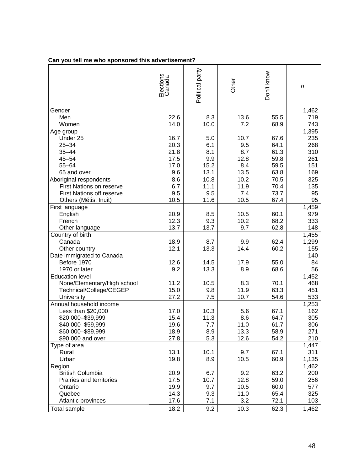|                                  | Elections<br>Canada | Political party | Other | Don't know | n     |
|----------------------------------|---------------------|-----------------|-------|------------|-------|
| Gender                           |                     |                 |       |            | 1,462 |
| Men                              | 22.6                | 8.3             | 13.6  | 55.5       | 719   |
| Women                            | 14.0                | 10.0            | 7.2   | 68.9       | 743   |
| Age group                        |                     |                 |       |            | 1,395 |
| Under 25                         | 16.7                | 5.0             | 10.7  | 67.6       | 235   |
| $25 - 34$                        | 20.3                | 6.1             | 9.5   | 64.1       | 268   |
| $35 - 44$                        | 21.8                | 8.1             | 8.7   | 61.3       | 310   |
| $45 - 54$                        | 17.5                | 9.9             | 12.8  | 59.8       | 261   |
| $55 - 64$                        | 17.0                | 15.2            | 8.4   | 59.5       | 151   |
| 65 and over                      | 9.6                 | 13.1            | 13.5  | 63.8       | 169   |
| Aboriginal respondents           | 8.6                 | 10.8            | 10.2  | 70.5       | 325   |
| <b>First Nations on reserve</b>  | 6.7                 | 11.1            | 11.9  | 70.4       | 135   |
| <b>First Nations off reserve</b> | 9.5                 | 9.5             | 7.4   | 73.7       | 95    |
| Others (Métis, Inuit)            | 10.5                | 11.6            | 10.5  | 67.4       | 95    |
| First language                   |                     |                 |       |            | 1,459 |
| English                          | 20.9                | 8.5             | 10.5  | 60.1       | 979   |
| French                           | 12.3                | 9.3             | 10.2  | 68.2       | 333   |
| Other language                   | 13.7                | 13.7            | 9.7   | 62.8       | 148   |
| Country of birth                 |                     |                 |       |            | 1,455 |
| Canada                           | 18.9                | 8.7             | 9.9   | 62.4       | 1,299 |
| Other country                    | 12.1                | 13.3            | 14.4  | 60.2       | 155   |
| Date immigrated to Canada        |                     |                 |       |            | 140   |
| Before 1970                      | 12.6                | 14.5            | 17.9  | 55.0       | 84    |
| 1970 or later                    | 9.2                 | 13.3            | 8.9   | 68.6       | 56    |
| <b>Education level</b>           |                     |                 |       |            | 1,452 |
| None/Elementary/High school      | 11.2                | 10.5            | 8.3   | 70.1       | 468   |
| Technical/College/CEGEP          | 15.0                | 9.8             | 11.9  | 63.3       | 451   |
| University                       | 27.2                | 7.5             | 10.7  | 54.6       | 533   |
| Annual household income          |                     |                 |       |            | 1,253 |
| Less than \$20,000               | 17.0                | 10.3            | 5.6   | 67.1       | 162   |
| \$20,000-\$39,999                | 15.4                | 11.3            | 8.6   | 64.7       | 305   |
| \$40,000-\$59,999                | 19.6                | 7.7             | 11.0  | 61.7       | 306   |
| \$60,000-\$89,999                | 18.9                | 8.9             | 13.3  | 58.9       | 271   |
| \$90,000 and over                | 27.8                | 5.3             | 12.6  | 54.2       | 210   |
| Type of area                     |                     |                 |       |            | 1,447 |
| Rural                            | 13.1                | 10.1            | 9.7   | 67.1       | 311   |
| Urban                            | 19.8                | 8.9             | 10.5  | 60.9       | 1,135 |
| Region                           |                     |                 |       |            | 1,462 |
| <b>British Columbia</b>          | 20.9                | 6.7             | 9.2   | 63.2       | 200   |
| Prairies and territories         | 17.5                | 10.7            | 12.8  | 59.0       | 256   |
| Ontario                          | 19.9                | 9.7             | 10.5  | 60.0       | 577   |
| Quebec                           | 14.3                | 9.3             | 11.0  | 65.4       | 325   |
| Atlantic provinces               | 17.6                | 7.1             | 3.2   | 72.1       | 103   |
| <b>Total sample</b>              | 18.2                | 9.2             | 10.3  | 62.3       | 1,462 |

# **Can you tell me who sponsored this advertisement?**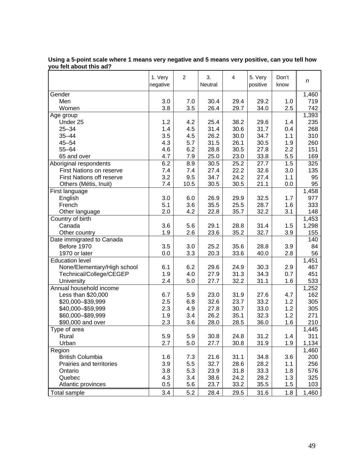|                                  | 1. Very<br>negative | 2    | 3.<br>Neutral | 4    | 5. Very<br>positive | Don't<br>know | n     |
|----------------------------------|---------------------|------|---------------|------|---------------------|---------------|-------|
| Gender                           |                     |      |               |      |                     |               | 1,460 |
| Men                              | 3.0                 | 7.0  | 30.4          | 29.4 | 29.2                | 1.0           | 719   |
| Women                            | 3.8                 | 3.5  | 26.4          | 29.7 | 34.0                | 2.5           | 742   |
| Age group                        |                     |      |               |      |                     |               | 1,393 |
| Under 25                         | 1.2                 | 4.2  | 25.4          | 38.2 | 29.6                | 1.4           | 235   |
| $25 - 34$                        | 1.4                 | 4.5  | 31.4          | 30.6 | 31.7                | 0.4           | 268   |
| $35 - 44$                        | 3.5                 | 4.5  | 26.2          | 30.0 | 34.7                | 1.1           | 310   |
| $45 - 54$                        | 4.3                 | 5.7  | 31.5          | 26.1 | 30.5                | 1.9           | 260   |
| $55 - 64$                        | 4.6                 | 6.2  | 28.8          | 30.5 | 27.8                | 2.2           | 151   |
| 65 and over                      | 4.7                 | 7.9  | 25.0          | 23.0 | 33.8                | 5.5           | 169   |
| Aboriginal respondents           | 6.2                 | 8.9  | 30.5          | 25.2 | 27.7                | 1.5           | 325   |
| <b>First Nations on reserve</b>  | 7.4                 | 7.4  | 27.4          | 22.2 | 32.6                | 3.0           | 135   |
| <b>First Nations off reserve</b> | 3.2                 | 9.5  | 34.7          | 24.2 | 27.4                | 1.1           | 95    |
| Others (Métis, Inuit)            | 7.4                 | 10.5 | 30.5          | 30.5 | 21.1                | 0.0           | 95    |
| First language                   |                     |      |               |      |                     |               | 1,458 |
| English                          | 3.0                 | 6.0  | 26.9          | 29.9 | 32.5                | 1.7           | 977   |
| French                           | 5.1                 | 3.6  | 35.5          | 25.5 | 28.7                | 1.6           | 333   |
| Other language                   | 2.0                 | 4.2  | 22.8          | 35.7 | 32.2                | 3.1           | 148   |
| Country of birth                 |                     |      |               |      |                     |               | 1,453 |
| Canada                           | 3.6                 | 5.6  | 29.1          | 28.8 | 31.4                | 1.5           | 1,298 |
| Other country                    | 1.9                 | 2.6  | 23.6          | 35.2 | 32.7                | 3.9           | 155   |
| Date immigrated to Canada        |                     |      |               |      |                     |               | 140   |
| Before 1970                      | 3.5                 | 3.0  | 25.2          | 35.6 | 28.8                | 3.9           | 84    |
| 1970 or later                    | 0.0                 | 3.3  | 20.3          | 33.6 | 40.0                | 2.8           | 56    |
| <b>Education level</b>           |                     |      |               |      |                     |               | 1,451 |
| None/Elementary/High school      | 6.1                 | 6.2  | 29.6          | 24.9 | 30.3                | 2.9           | 467   |
| Technical/College/CEGEP          | 1.9                 | 4.0  | 27.9          | 31.3 | 34.3                | 0.7           | 451   |
| University                       | 2.4                 | 5.0  | 27.7          | 32.2 | 31.1                | 1.6           | 533   |
| Annual household income          |                     |      |               |      |                     |               | 1,252 |
| Less than \$20,000               | 6.7                 | 5.9  | 23.0          | 31.9 | 27.6                | 4.7           | 162   |
| \$20,000-\$39,999                | 2.5                 | 6.8  | 32.6          | 23.7 | 33.2                | 1.2           | 305   |
| \$40,000-\$59,999                | 2.3                 | 4.9  | 27.8          | 30.7 | 33.0                | 1.2           | 305   |
| \$60,000-\$89,999                | 1.9                 | 3.4  | 26.2          | 35.1 | 32.3                | 1.2           | 271   |
| \$90,000 and over                | 2.3                 | 3.6  | 28.0          | 28.5 | 36.0                | 1.6           | 210   |
| Type of area                     |                     |      |               |      |                     |               | 1,445 |
| Rural                            | 5.9                 | 5.9  | 30.8          | 24.8 | 31.2                | 1.4           | 311   |
| Urban                            | 2.7                 | 5.0  | 27.7          | 30.8 | 31.9                | 1.9           | 1,134 |
| Region                           |                     |      |               |      |                     |               | 1,460 |
| <b>British Columbia</b>          | 1.6                 | 7.3  | 21.6          | 31.1 | 34.8                | 3.6           | 200   |
| Prairies and territories         | 3.9                 | 5.5  | 32.7          | 28.6 | 28.2                | 1.1           | 256   |
| Ontario                          | 3.8                 | 5.3  | 23.9          | 31.8 | 33.3                | 1.8           | 576   |
| Quebec                           | 4.3                 | 3.4  | 38.6          | 24.2 | 28.2                | 1.3           | 325   |
| Atlantic provinces               | 0.5                 | 5.6  | 23.7          | 33.2 | 35.5                | 1.5           | 103   |
| Total sample                     | 3.4                 | 5.2  | 28.4          | 29.5 | 31.6                | 1.8           | 1,460 |

**Using a 5-point scale where 1 means very negative and 5 means very positive, can you tell how you felt about this ad?**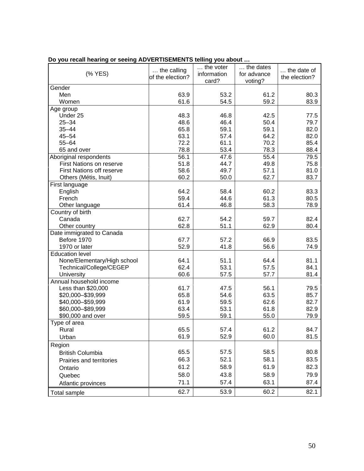| (% YES)                          | the calling<br>of the election? | $\ldots$ the voter<br>information<br>card? | the dates<br>for advance<br>voting? | the date of<br>the election? |
|----------------------------------|---------------------------------|--------------------------------------------|-------------------------------------|------------------------------|
| Gender                           |                                 |                                            |                                     |                              |
| Men                              | 63.9                            | 53.2                                       | 61.2                                | 80.3                         |
| Women                            | 61.6                            | 54.5                                       | 59.2                                | 83.9                         |
| Age group                        |                                 |                                            |                                     |                              |
| Under 25                         | 48.3                            | 46.8                                       | 42.5                                | 77.5                         |
| $25 - 34$                        | 48.6                            | 46.4                                       | 50.4                                | 79.7                         |
| $35 - 44$                        | 65.8                            | 59.1                                       | 59.1                                | 82.0                         |
| $45 - 54$                        | 63.1                            | 57.4                                       | 64.2                                | 82.0                         |
| $55 - 64$                        | 72.2                            | 61.1                                       | 70.2                                | 85.4                         |
| 65 and over                      | 78.8                            | 53.4                                       | 78.3                                | 88.4                         |
| Aboriginal respondents           | 56.1                            | 47.6                                       | 55.4                                | 79.5                         |
| <b>First Nations on reserve</b>  | 51.8                            | 44.7                                       | 49.8                                | 75.8                         |
| <b>First Nations off reserve</b> | 58.6                            | 49.7                                       | 57.1                                | 81.0                         |
| Others (Métis, Inuit)            | 60.2                            | 50.0                                       | 62.7                                | 83.7                         |
| First language                   |                                 |                                            |                                     |                              |
| English                          | 64.2                            | 58.4                                       | 60.2                                | 83.3                         |
| French                           | 59.4                            | 44.6                                       | 61.3                                | 80.5                         |
| Other language                   | 61.4                            | 46.8                                       | 58.3                                | 78.9                         |
| Country of birth                 |                                 |                                            |                                     |                              |
| Canada                           | 62.7                            | 54.2                                       | 59.7                                | 82.4                         |
| Other country                    | 62.8                            | 51.1                                       | 62.9                                | 80.4                         |
| Date immigrated to Canada        |                                 |                                            |                                     |                              |
| Before 1970                      | 67.7                            | 57.2                                       | 66.9                                | 83.5                         |
| 1970 or later                    | 52.9                            | 41.8                                       | 56.6                                | 74.9                         |
| <b>Education level</b>           |                                 |                                            |                                     |                              |
| None/Elementary/High school      | 64.1                            | 51.1                                       | 64.4                                | 81.1                         |
| Technical/College/CEGEP          | 62.4                            | 53.1                                       | 57.5                                | 84.1                         |
| University                       | 60.6                            | 57.5                                       | 57.7                                | 81.4                         |
| Annual household income          |                                 |                                            |                                     |                              |
| Less than \$20,000               | 61.7                            | 47.5                                       | 56.1                                | 79.5                         |
| \$20,000-\$39,999                | 65.8                            | 54.6                                       | 63.5                                | 85.7                         |
| \$40,000 - \$59,999              | 61.9                            | 59.5                                       | 62.6                                | 82.7                         |
| \$60,000-\$89,999                | 63.4                            | 53.1                                       | 61.8                                | 82.9                         |
| \$90,000 and over                | 59.5                            | 59.1                                       | 55.0                                | 79.9                         |
| Type of area                     |                                 |                                            |                                     |                              |
| Rural                            | 65.5                            | 57.4                                       | 61.2                                | 84.7                         |
| Urban                            | 61.9                            | 52.9                                       | 60.0                                | 81.5                         |
| Region                           |                                 |                                            |                                     |                              |
| <b>British Columbia</b>          | 65.5                            | 57.5                                       | 58.5                                | 80.8                         |
| Prairies and territories         | 66.3                            | 52.1                                       | 58.1                                | 83.5                         |
| Ontario                          | 61.2                            | 58.9                                       | 61.9                                | 82.3                         |
| Quebec                           | 58.0                            | 43.8                                       | 58.9                                | 79.9                         |
|                                  |                                 |                                            |                                     |                              |
| Atlantic provinces               | 71.1                            | 57.4                                       | 63.1                                | 87.4                         |
| Total sample                     | 62.7                            | 53.9                                       | 60.2                                | 82.1                         |

## **Do you recall hearing or seeing ADVERTISEMENTS telling you about …**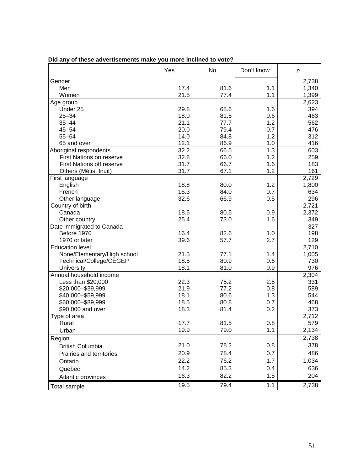|                                  | Yes  | <b>No</b> | Don't know | n     |
|----------------------------------|------|-----------|------------|-------|
| Gender                           |      |           |            | 2,738 |
| Men                              | 17.4 | 81.6      | 1.1        | 1,340 |
| Women                            | 21.5 | 77.4      | 1.1        | 1,399 |
| Age group                        |      |           |            | 2,623 |
| Under 25                         | 29.8 | 68.6      | 1.6        | 394   |
| $25 - 34$                        | 18.0 | 81.5      | 0.6        | 463   |
| $35 - 44$                        | 21.1 | 77.7      | 1.2        | 562   |
| $45 - 54$                        | 20.0 | 79.4      | 0.7        | 476   |
| $55 - 64$                        | 14.0 | 84.8      | 1.2        | 312   |
| 65 and over                      | 12.1 | 86.9      | 1.0        | 416   |
| Aboriginal respondents           | 32.2 | 66.5      | 1.3        | 603   |
| First Nations on reserve         | 32.8 | 66.0      | 1.2        | 259   |
| <b>First Nations off reserve</b> | 31.7 | 66.7      | 1.6        | 183   |
| Others (Métis, Inuit)            | 31.7 | 67.1      | 1.2        | 161   |
| First language                   |      |           |            | 2,729 |
| English                          | 18.8 | 80.0      | 1.2        | 1,800 |
| French                           | 15.3 | 84.0      | 0.7        | 634   |
| Other language                   | 32.6 | 66.9      | 0.5        | 296   |
| Country of birth                 |      |           |            | 2,721 |
| Canada                           | 18.5 | 80.5      | 0.9        | 2,372 |
| Other country                    | 25.4 | 73.0      | 1.6        | 349   |
| Date immigrated to Canada        |      |           |            | 327   |
| Before 1970                      | 16.4 | 82.6      | 1.0        | 198   |
| 1970 or later                    | 39.6 | 57.7      | 2.7        | 129   |
| <b>Education level</b>           |      |           |            | 2,710 |
| None/Elementary/High school      | 21.5 | 77.1      | 1.4        | 1,005 |
| Technical/College/CEGEP          | 18.5 | 80.9      | 0.6        | 730   |
| University                       | 18.1 | 81.0      | 0.9        | 976   |
| Annual household income          |      |           |            | 2,304 |
| Less than \$20,000               | 22.3 | 75.2      | 2.5        | 331   |
| \$20,000-\$39,999                | 21.9 | 77.2      | 0.8        | 589   |
| \$40,000 - \$59,999              | 18.1 | 80.6      | 1.3        | 544   |
| \$60,000-\$89,999                | 18.5 | 80.8      | 0.7        | 468   |
| \$90,000 and over                | 18.3 | 81.4      | 0.2        | 373   |
| Type of area                     |      |           |            | 2,712 |
| Rural                            | 17.7 | 81.5      | 0.8        | 579   |
| Urban                            | 19.9 | 79.0      | 1.1        | 2,134 |
| Region                           |      |           |            | 2,738 |
|                                  | 21.0 | 78.2      | 0.8        | 378   |
| <b>British Columbia</b>          |      |           |            |       |
| Prairies and territories         | 20.9 | 78.4      | 0.7        | 486   |
| Ontario                          | 22.2 | 76.2      | 1.7        | 1,034 |
| Quebec                           | 14.2 | 85.3      | 0.4        | 636   |
| Atlantic provinces               | 16.3 | 82.2      | 1.5        | 204   |
| Total sample                     | 19.5 | 79.4      | 1.1        | 2,738 |

## **Did any of these advertisements make you more inclined to vote?**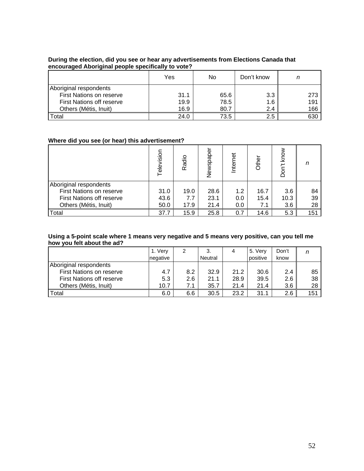#### **During the election, did you see or hear any advertisements from Elections Canada that encouraged Aboriginal people specifically to vote?**

|                                  | Yes  | No   | Don't know | n   |
|----------------------------------|------|------|------------|-----|
| Aboriginal respondents           |      |      |            |     |
| First Nations on reserve         | 31.1 | 65.6 | 3.3        | 273 |
| <b>First Nations off reserve</b> | 19.9 | 78.5 | 1.6        | 191 |
| Others (Métis, Inuit)            | 16.9 | 80.7 | 2.4        | 166 |
| Total                            | 24.0 | 73.5 | 2.5        | 630 |

#### **Where did you see (or hear) this advertisement?**

|                                  | Television | Radio | spaper<br>New | nternet | Other | Don't know | n   |
|----------------------------------|------------|-------|---------------|---------|-------|------------|-----|
| Aboriginal respondents           |            |       |               |         |       |            |     |
| First Nations on reserve         | 31.0       | 19.0  | 28.6          | 1.2     | 16.7  | 3.6        | 84  |
| <b>First Nations off reserve</b> | 43.6       | 7.7   | 23.1          | 0.0     | 15.4  | 10.3       | 39  |
| Others (Métis, Inuit)            | 50.0       | 17.9  | 21.4          | 0.0     | 7.1   | 3.6        | 28  |
| Total                            | 37.7       | 15.9  | 25.8          | 0.7     | 14.6  | 5.3        | 151 |

#### **Using a 5-point scale where 1 means very negative and 5 means very positive, can you tell me how you felt about the ad?**

|                                  | 1. Very  | 2   | 3.      | 4    | 5. Very  | Don't |     |
|----------------------------------|----------|-----|---------|------|----------|-------|-----|
|                                  | negative |     | Neutral |      | positive | know  |     |
| Aboriginal respondents           |          |     |         |      |          |       |     |
| First Nations on reserve         | 4.7      | 8.2 | 32.9    | 21.2 | 30.6     | 2.4   | 85  |
| <b>First Nations off reserve</b> | 5.3      | 2.6 | 21.1    | 28.9 | 39.5     | 2.6   | 38  |
| Others (Métis, Inuit)            | 10.7     | 7.1 | 35.7    | 21.4 | 21.4     | 3.6   | 28  |
| Total                            | 6.0      | 6.6 | 30.5    | 23.2 | 31.1     | 2.6   | 151 |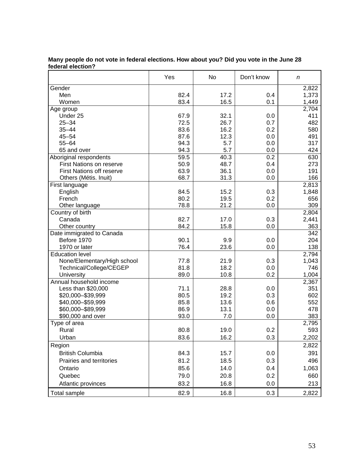|                                  | Yes  | No   | Don't know | n                  |
|----------------------------------|------|------|------------|--------------------|
| Gender                           |      |      |            | 2,822              |
| Men                              | 82.4 | 17.2 | 0.4        | 1,373              |
| Women                            | 83.4 | 16.5 | 0.1        | 1,449              |
| Age group                        |      |      |            | $\overline{2,}704$ |
| Under 25                         | 67.9 | 32.1 | 0.0        | 411                |
| $25 - 34$                        | 72.5 | 26.7 | 0.7        | 482                |
| $35 - 44$                        | 83.6 | 16.2 | 0.2        | 580                |
| $45 - 54$                        | 87.6 | 12.3 | 0.0        | 491                |
| $55 - 64$                        | 94.3 | 5.7  | 0.0        | 317                |
| 65 and over                      | 94.3 | 5.7  | 0.0        | 424                |
| Aboriginal respondents           | 59.5 | 40.3 | 0.2        | 630                |
| First Nations on reserve         | 50.9 | 48.7 | 0.4        | 273                |
| <b>First Nations off reserve</b> | 63.9 | 36.1 | 0.0        | 191                |
| Others (Métis. Inuit)            | 68.7 | 31.3 | 0.0        | 166                |
| First language                   |      |      |            | 2,813              |
| English                          | 84.5 | 15.2 | 0.3        | 1,848              |
| French                           | 80.2 | 19.5 | 0.2        | 656                |
| Other language                   | 78.8 | 21.2 | 0.0        | 309                |
| Country of birth                 |      |      |            | 2,804              |
| Canada                           | 82.7 | 17.0 | 0.3        | 2,441              |
| Other country                    | 84.2 | 15.8 | 0.0        | 363                |
| Date immigrated to Canada        |      |      |            | 342                |
| Before 1970                      | 90.1 | 9.9  | 0.0        | 204                |
| 1970 or later                    | 76.4 | 23.6 | 0.0        | 138                |
| <b>Education level</b>           |      |      |            | 2,794              |
| None/Elementary/High school      | 77.8 | 21.9 | 0.3        | 1,043              |
| Technical/College/CEGEP          | 81.8 | 18.2 | 0.0        | 746                |
| University                       | 89.0 | 10.8 | 0.2        | 1,004              |
| Annual household income          |      |      |            | 2,367              |
| Less than \$20,000               | 71.1 | 28.8 | 0.0        | 351                |
| \$20,000-\$39,999                | 80.5 | 19.2 | 0.3        | 602                |
| \$40,000 - \$59,999              | 85.8 | 13.6 | 0.6        | 552                |
| \$60,000-\$89,999                | 86.9 | 13.1 | 0.0        | 478                |
| \$90,000 and over                | 93.0 | 7.0  | 0.0        | 383                |
| Type of area                     |      |      |            | 2,795              |
| Rural                            | 80.8 | 19.0 | 0.2        | 593                |
|                                  |      |      |            |                    |
| Urban                            | 83.6 | 16.2 | 0.3        | 2,202              |
| Region                           |      |      |            | 2,822              |
| <b>British Columbia</b>          | 84.3 | 15.7 | 0.0        | 391                |
| Prairies and territories         | 81.2 | 18.5 | 0.3        | 496                |
| Ontario                          | 85.6 | 14.0 | 0.4        | 1,063              |
| Quebec                           | 79.0 | 20.8 | 0.2        | 660                |
| Atlantic provinces               | 83.2 | 16.8 | 0.0        | 213                |
|                                  |      |      |            |                    |
| Total sample                     | 82.9 | 16.8 | 0.3        | 2,822              |

#### **Many people do not vote in federal elections. How about you? Did you vote in the June 28 federal election?**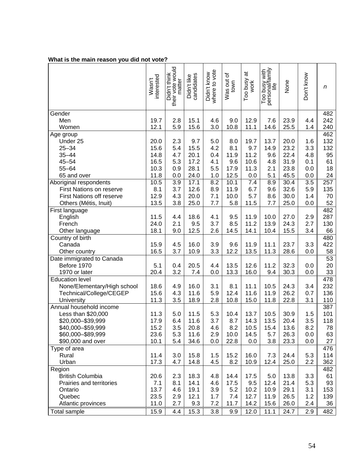### **What is the main reason you did not vote?**

|                                  | interested<br>Wasn't | their vote would<br>Didn't think | Didn't like<br>candidates | where to vote<br>Didn't know | ৳<br>Was out o | ಹ<br>Too busy<br>work | Too busy with<br>personal/family<br>life | None | Don't know       | n   |
|----------------------------------|----------------------|----------------------------------|---------------------------|------------------------------|----------------|-----------------------|------------------------------------------|------|------------------|-----|
| Gender                           |                      |                                  |                           |                              |                |                       |                                          |      |                  | 482 |
| Men                              | 19.7                 | 2.8                              | 15.1                      | 4.6                          | 9.0            | 12.9                  | 7.6                                      | 23.9 | 4.4              | 242 |
| Women                            | 12.1                 | 5.9                              | 15.6                      | 3.0                          | 10.8           | 11.1                  | 14.6                                     | 25.5 | 1.4              | 240 |
| Age group                        |                      |                                  |                           |                              |                |                       |                                          |      |                  | 462 |
| Under 25                         | 20.0                 | 2.3                              | 9.7                       | 5.0                          | 8.0            | 19.7                  | 13.7                                     | 20.0 | 1.6              | 132 |
| $25 - 34$                        | 15.6                 | 5.4                              | 15.5                      | 4.2                          | 8.1            | 9.7                   | 14.9                                     | 23.2 | 3.3              | 132 |
| $35 - 44$                        | 14.8                 | 4.7                              | 20.1                      | 0.4                          | 11.9           | 11.2                  | 9.6                                      | 22.4 | 4.8              | 95  |
| $45 - 54$                        | 16.5                 | 5.3                              | 17.2                      | 4.1                          | 9.6            | 10.6                  | 4.8                                      | 31.9 | 0.1              | 61  |
| $55 - 64$                        | 10.3                 | 0.9                              | 28.1                      | 5.5                          | 17.9           | 11.3                  | 2.1                                      | 23.8 | 0.0              | 18  |
| 65 and over                      | 11.8                 | 0.0                              | 24.0                      | 1.0                          | 12.5           | 0.0                   | 5.1                                      | 45.5 | 0.0              | 24  |
| Aboriginal respondents           | 10.5                 | $\overline{3.9}$                 | 17.1                      | 8.2                          | 10.1           | 7.4                   | 8.9                                      | 30.4 | $\overline{3.5}$ | 257 |
| First Nations on reserve         | 8.1                  | 3.7                              | 12.6                      | 8.9                          | 11.9           | 6.7                   | 9.6                                      | 32.6 | 5.9              | 135 |
| <b>First Nations off reserve</b> | 12.9                 | 4.3                              | 20.0                      | 7.1                          | 10.0           | 5.7                   | 8.6                                      | 30.0 | 1.4              | 70  |
| Others (Métis, Inuit)            | 13.5                 | 3.8                              | 25.0                      | 7.7                          | 5.8            | 11.5                  | 7.7                                      | 25.0 | 0.0              | 52  |
| First language                   |                      |                                  |                           |                              |                |                       |                                          |      |                  | 482 |
| English                          | 11.5                 | 4.4                              | 18.6                      | 4.1                          | 9.5            | 11.9                  | 10.0                                     | 27.0 | 2.9              | 287 |
| French                           | 24.0                 | 2.1                              | 9.5                       | 3.7                          | 8.5            | 11.2                  | 13.9                                     | 24.3 | 2.7              | 130 |
| Other language                   | 18.1                 | 9.0                              | 12.5                      | 2.6                          | 14.5           | 14.1                  | 10.4                                     | 15.5 | 3.4              | 66  |
| Country of birth                 |                      |                                  |                           |                              |                |                       |                                          |      |                  | 480 |
| Canada                           | 15.9                 | 4.5                              | 16.0                      | 3.9                          | 9.6            | 11.9                  | 11.1                                     | 23.7 | 3.3              | 422 |
| Other country                    | 16.5                 | 3.7                              | 10.9                      | 3.3                          | 12.2           | 13.5                  | 11.3                                     | 28.6 | 0.0              | 58  |
| Date immigrated to Canada        |                      |                                  |                           |                              |                |                       |                                          |      |                  | 53  |
| Before 1970                      | 5.1                  | 0.4                              | 20.5                      | 4.4                          | 13.5           | 12.6                  | 11.2                                     | 32.3 | 0.0              | 20  |
| 1970 or later                    | 20.4                 | 3.2                              | 7.4                       | 0.0                          | 13.3           | 16.0                  | 9.4                                      | 30.3 | 0.0              | 33  |
| <b>Education level</b>           |                      |                                  |                           |                              |                |                       |                                          |      |                  | 478 |
| None/Elementary/High school      | 18.6                 | 4.9                              | 16.0                      | 3.1                          | 8.1            | 11.1                  | 10.5                                     | 24.3 | 3.4              | 232 |
| Technical/College/CEGEP          | 15.6                 | 4.3                              | 11.6                      | 5.9                          | 12.4           | 11.6                  | 11.9                                     | 26.2 | 0.7              | 136 |
| University                       | 11.3                 | 3.5                              | 18.9                      | 2.8                          | 10.8           | 15.0                  | 11.8                                     | 22.8 | 3.1              | 110 |
| Annual household income          |                      |                                  |                           |                              |                |                       |                                          |      |                  | 387 |
| Less than \$20,000               | 11.3                 | 5.0                              | 11.5                      | 5.3                          | 10.4           | 13.7                  | 10.5                                     | 30.9 | 1.5              | 101 |
| \$20,000-\$39,999                | 17.9                 | 6.4                              | 11.6                      | 3.7                          | 8.7            | 14.3                  | 13.5                                     | 20.4 | 3.5              | 118 |
| \$40,000-\$59,999                | 15.2                 | 3.5                              | 20.8                      | 4.6                          | 8.2            | 10.5                  | 15.4                                     | 13.6 | 8.2              | 78  |
| \$60,000-\$89,999                | 23.6                 | 5.3                              | 11.6                      | 2.9                          | 10.0           | 14.5                  | 5.7                                      | 26.3 | 0.0              | 63  |
| \$90,000 and over                | 10.1                 | 5.4                              | 34.6                      | 0.0                          | 22.8           | 0.0                   | 3.8                                      | 23.3 | 0.0              | 27  |
| Type of area                     |                      |                                  |                           |                              |                |                       |                                          |      |                  | 476 |
| Rural                            | 11.4                 | 3.0                              | 15.8                      | 1.5                          | 15.2           | 16.0                  | 7.3                                      | 24.4 | 5.3              | 114 |
| Urban                            | 17.3                 | 4.7                              | 14.8                      | 4.5                          | 8.2            | 10.9                  | 12.4                                     | 25.0 | 2.2              | 362 |
| Region                           |                      |                                  |                           |                              |                |                       |                                          |      |                  | 482 |
| <b>British Columbia</b>          | 20.6                 | 2.3                              | 18.3                      | 4.8                          | 14.4           | 17.5                  | 5.0                                      | 13.8 | 3.3              | 61  |
| Prairies and territories         | 7.1                  | 8.1                              | 14.1                      | 4.6                          | 17.5           | 9.5                   | 12.4                                     | 21.4 | 5.3              | 93  |
| Ontario                          | 13.7                 | 4.6                              | 19.1                      | 3.9                          | 5.2            | 10.2                  | 10.9                                     | 29.1 | 3.1              | 153 |
| Quebec                           | 23.5                 | 2.9                              | 12.1                      | 1.7                          | 7.4            | 12.7                  | 11.9                                     | 26.5 | 1.2              | 139 |
| Atlantic provinces               | 11.0                 | 2.7                              | 9.3                       | 7.2                          | 11.7           | 14.2                  | 15.6                                     | 26.0 | 2.4              | 36  |
| Total sample                     | 15.9                 | 4.4                              | 15.3                      | 3.8                          | 9.9            | 12.0                  | 11.1                                     | 24.7 | 2.9              | 482 |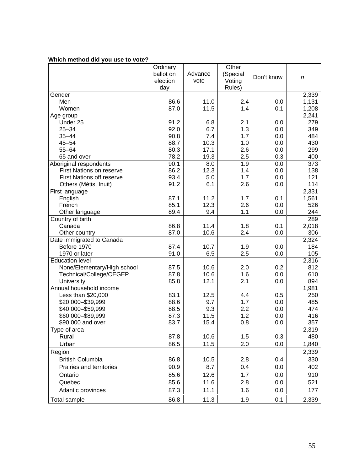#### **Which method did you use to vote?**

|                                   | Ordinary<br>ballot on<br>election<br>day | Advance<br>vote | Other<br>(Special<br>Voting<br>Rules) | Don't know | $\boldsymbol{n}$ |
|-----------------------------------|------------------------------------------|-----------------|---------------------------------------|------------|------------------|
| Gender                            |                                          |                 |                                       |            | 2,339            |
| Men                               | 86.6                                     | 11.0            | 2.4                                   | 0.0        | 1,131            |
| Women                             | 87.0                                     | 11.5            | 1.4                                   | 0.1        | 1,208            |
| Age group                         |                                          |                 |                                       |            | 2,241            |
| Under 25                          | 91.2                                     | 6.8             | 2.1                                   | 0.0        | 279              |
| $25 - 34$                         | 92.0                                     | 6.7             | 1.3                                   | 0.0        | 349              |
| $35 - 44$                         | 90.8                                     | 7.4             | 1.7                                   | 0.0        | 484              |
| $45 - 54$                         | 88.7                                     | 10.3            | 1.0                                   | 0.0        | 430              |
| $55 - 64$                         | 80.3                                     | 17.1            | 2.6                                   | 0.0        | 299              |
| 65 and over                       | 78.2                                     | 19.3            | 2.5                                   | 0.3        | 400              |
| Aboriginal respondents            | 90.1                                     | 8.0             | 1.9                                   | 0.0        | 373              |
| First Nations on reserve          | 86.2                                     | 12.3            | 1.4                                   | 0.0        | 138              |
| First Nations off reserve         | 93.4                                     | 5.0             | 1.7                                   | 0.0        | 121              |
| Others (Métis, Inuit)             | 91.2                                     | 6.1             | 2.6                                   | 0.0        | 114              |
| First language                    |                                          |                 |                                       |            | 2,331            |
| English                           | 87.1                                     | 11.2            | 1.7                                   | 0.1        | 1,561            |
| French                            | 85.1                                     | 12.3            | 2.6                                   | 0.0        | 526              |
| Other language                    | 89.4                                     | 9.4             | 1.1                                   | 0.0        | 244              |
| Country of birth                  |                                          |                 |                                       |            | 289              |
| Canada                            | 86.8                                     | 11.4            | 1.8                                   | 0.1        | 2,018            |
| Other country                     | 87.0                                     | 10.6            | 2.4                                   | 0.0        | 306              |
| Date immigrated to Canada         |                                          |                 |                                       |            | 2,324            |
| Before 1970                       | 87.4                                     | 10.7            | 1.9                                   | 0.0        | 184              |
| 1970 or later                     | 91.0                                     | 6.5             | 2.5                                   | 0.0        | 105              |
| <b>Education level</b>            |                                          |                 |                                       |            | 2,316            |
| None/Elementary/High school       | 87.5                                     | 10.6            | 2.0                                   | 0.2        | 812              |
| Technical/College/CEGEP           | 87.8                                     | 10.6            | 1.6                                   | 0.0        | 610              |
| University                        | 85.8                                     | 12.1            | 2.1                                   | 0.0        | 894              |
| Annual household income           |                                          |                 |                                       |            | 1,981            |
| Less than \$20,000                | 83.1                                     | 12.5            | 4.4                                   | 0.5        | 250              |
| \$20,000-\$39,999                 | 88.6                                     | 9.7<br>9.3      | 1.7                                   | 0.0        | 485<br>474       |
| \$40,000 - \$59,999               | 88.5                                     | 11.5            | 2.2<br>1.2                            | 0.0        | 416              |
| \$60,000-\$89,999                 | 87.3<br>83.7                             | 15.4            | 0.8                                   | 0.0<br>0.0 | 357              |
| \$90,000 and over<br>Type of area |                                          |                 |                                       |            | 2,319            |
| Rural                             | 87.8                                     | 10.6            | 1.5                                   | 0.3        | 480              |
| Urban                             |                                          |                 |                                       | 0.0        |                  |
|                                   | 86.5                                     | 11.5            | 2.0                                   |            | 1,840            |
| Region                            |                                          |                 |                                       |            | 2,339            |
| <b>British Columbia</b>           | 86.8                                     | 10.5            | 2.8                                   | 0.4        | 330              |
| Prairies and territories          | 90.9                                     | 8.7             | 0.4                                   | 0.0        | 402              |
| Ontario                           | 85.6                                     | 12.6            | 1.7                                   | 0.0        | 910              |
| Quebec                            | 85.6                                     | 11.6            | 2.8                                   | 0.0        | 521              |
| Atlantic provinces                | 87.3                                     | 11.1            | 1.6                                   | 0.0        | 177              |
| <b>Total sample</b>               | 86.8                                     | 11.3            | 1.9                                   | 0.1        | 2,339            |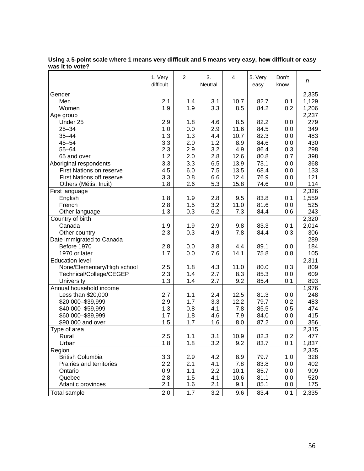| Gender<br>2,335<br>Men<br>2.1<br>10.7<br>1,129<br>1.4<br>3.1<br>82.7<br>0.1<br>1.9<br>3.3<br>0.2<br>1.9<br>8.5<br>84.2<br>1,206<br>Women<br>2,237<br>Age group<br>279<br>2.9<br>82.2<br>Under 25<br>1.8<br>4.6<br>8.5<br>0.0<br>$25 - 34$<br>2.9<br>1.0<br>11.6<br>84.5<br>0.0<br>349<br>0.0<br>1.3<br>10.7<br>82.3<br>483<br>$35 - 44$<br>1.3<br>4.4<br>0.0<br>3.3<br>$45 - 54$<br>2.0<br>1.2<br>8.9<br>84.6<br>0.0<br>430<br>3.2<br>$55 - 64$<br>2.3<br>2.9<br>4.9<br>86.4<br>0.3<br>298<br>1.2<br>2.0<br>2.8<br>12.6<br>80.8<br>398<br>65 and over<br>0.7<br>3.3<br>3.3<br>6.5<br>13.9<br>73.1<br>368<br>Aboriginal respondents<br>0.0<br>4.5<br>6.0<br>7.5<br>13.5<br>68.4<br>0.0<br><b>First Nations on reserve</b><br>133<br>12.4<br>76.9<br><b>First Nations off reserve</b><br>3.3<br>0.8<br>6.6<br>121<br>0.0<br>1.8<br>2.6<br>5.3<br>15.8<br>74.6<br>114<br>Others (Métis, Inuit)<br>0.0<br>2,326<br>First language<br>1.8<br>9.5<br>1,559<br>English<br>1.9<br>2.8<br>83.8<br>0.1<br>3.2<br>French<br>2.8<br>1.5<br>11.0<br>81.6<br>0.0<br>525<br>6.2<br>1.3<br>0.3<br>7.3<br>0.6<br>243<br>Other language<br>84.4<br>2,320<br>Country of birth<br>1.9<br>83.3<br>2,014<br>Canada<br>1.9<br>2.9<br>9.8<br>0.1<br>2.3<br>0.3<br>0.3<br>4.9<br>7.8<br>84.4<br>306<br>Other country<br>289<br>Date immigrated to Canada<br>Before 1970<br>2.8<br>3.8<br>89.1<br>184<br>0.0<br>4.4<br>0.0<br>1970 or later<br>1.7<br>0.0<br>7.6<br>14.1<br>75.8<br>0.8<br>105<br>2,311<br><b>Education level</b><br>809<br>None/Elementary/High school<br>2.5<br>1.8<br>4.3<br>11.0<br>80.0<br>0.3<br>609<br>Technical/College/CEGEP<br>2.3<br>2.7<br>8.3<br>85.3<br>1.4<br>0.0<br>1.3<br>2.7<br>9.2<br>893<br>University<br>1.4<br>85.4<br>0.1<br>Annual household income<br>1,976<br>2.7<br>1.1<br>12.5<br>Less than \$20,000<br>2.4<br>81.3<br>0.0<br>248<br>3.3<br>483<br>\$20,000-\$39,999<br>2.9<br>1.7<br>12.2<br>79.7<br>0.2<br>1.3<br>0.8<br>4.1<br>7.8<br>85.5<br>0.5<br>474<br>\$40,000 - \$59,999<br>1.7<br>1.8<br>4.6<br>84.0<br>0.0<br>415<br>\$60,000-\$89,999<br>7.9<br>1.5<br>1.7<br>1.6<br>87.2<br>356<br>\$90,000 and over<br>8.0<br>0.0<br>Type of area<br>2,315<br>82.3<br>0.2<br>2.5<br>3.1<br>10.9<br>Rural<br>1.1<br>477<br>1.8<br>1.8<br>3.2<br>9.2<br>83.7<br>1,837<br>Urban<br>0.1<br>2,335<br>Region<br>3.3<br><b>British Columbia</b><br>2.9<br>79.7<br>328<br>4.2<br>8.9<br>1.0<br>402<br>2.2<br>2.1<br>4.1<br>7.8<br>83.8<br>0.0<br>Prairies and territories<br>10.1<br>0.0<br>909<br>Ontario<br>0.9<br>1.1<br>2.2<br>85.7<br>Quebec<br>10.6<br>520<br>2.8<br>1.5<br>4.1<br>81.1<br>0.0<br>Atlantic provinces<br>2.1<br>2.1<br>1.6<br>9.1<br>85.1<br>0.0<br>175<br>2.0<br>1.7<br>3.2<br>9.6<br>83.4<br>0.1<br>2,335<br>Total sample | 1. Very<br>difficult | 2 | 3.<br>Neutral | 4 | 5. Very<br>easy | Don't<br>know | n |
|-----------------------------------------------------------------------------------------------------------------------------------------------------------------------------------------------------------------------------------------------------------------------------------------------------------------------------------------------------------------------------------------------------------------------------------------------------------------------------------------------------------------------------------------------------------------------------------------------------------------------------------------------------------------------------------------------------------------------------------------------------------------------------------------------------------------------------------------------------------------------------------------------------------------------------------------------------------------------------------------------------------------------------------------------------------------------------------------------------------------------------------------------------------------------------------------------------------------------------------------------------------------------------------------------------------------------------------------------------------------------------------------------------------------------------------------------------------------------------------------------------------------------------------------------------------------------------------------------------------------------------------------------------------------------------------------------------------------------------------------------------------------------------------------------------------------------------------------------------------------------------------------------------------------------------------------------------------------------------------------------------------------------------------------------------------------------------------------------------------------------------------------------------------------------------------------------------------------------------------------------------------------------------------------------------------------------------------------------------------------------------------------------------------------------------------------------------------------------------------------------------------------------------------------------------------------------------------------------------------------------------------------------------------------------------------------------------------------------------------------------------------|----------------------|---|---------------|---|-----------------|---------------|---|
|                                                                                                                                                                                                                                                                                                                                                                                                                                                                                                                                                                                                                                                                                                                                                                                                                                                                                                                                                                                                                                                                                                                                                                                                                                                                                                                                                                                                                                                                                                                                                                                                                                                                                                                                                                                                                                                                                                                                                                                                                                                                                                                                                                                                                                                                                                                                                                                                                                                                                                                                                                                                                                                                                                                                                           |                      |   |               |   |                 |               |   |
|                                                                                                                                                                                                                                                                                                                                                                                                                                                                                                                                                                                                                                                                                                                                                                                                                                                                                                                                                                                                                                                                                                                                                                                                                                                                                                                                                                                                                                                                                                                                                                                                                                                                                                                                                                                                                                                                                                                                                                                                                                                                                                                                                                                                                                                                                                                                                                                                                                                                                                                                                                                                                                                                                                                                                           |                      |   |               |   |                 |               |   |
|                                                                                                                                                                                                                                                                                                                                                                                                                                                                                                                                                                                                                                                                                                                                                                                                                                                                                                                                                                                                                                                                                                                                                                                                                                                                                                                                                                                                                                                                                                                                                                                                                                                                                                                                                                                                                                                                                                                                                                                                                                                                                                                                                                                                                                                                                                                                                                                                                                                                                                                                                                                                                                                                                                                                                           |                      |   |               |   |                 |               |   |
|                                                                                                                                                                                                                                                                                                                                                                                                                                                                                                                                                                                                                                                                                                                                                                                                                                                                                                                                                                                                                                                                                                                                                                                                                                                                                                                                                                                                                                                                                                                                                                                                                                                                                                                                                                                                                                                                                                                                                                                                                                                                                                                                                                                                                                                                                                                                                                                                                                                                                                                                                                                                                                                                                                                                                           |                      |   |               |   |                 |               |   |
|                                                                                                                                                                                                                                                                                                                                                                                                                                                                                                                                                                                                                                                                                                                                                                                                                                                                                                                                                                                                                                                                                                                                                                                                                                                                                                                                                                                                                                                                                                                                                                                                                                                                                                                                                                                                                                                                                                                                                                                                                                                                                                                                                                                                                                                                                                                                                                                                                                                                                                                                                                                                                                                                                                                                                           |                      |   |               |   |                 |               |   |
|                                                                                                                                                                                                                                                                                                                                                                                                                                                                                                                                                                                                                                                                                                                                                                                                                                                                                                                                                                                                                                                                                                                                                                                                                                                                                                                                                                                                                                                                                                                                                                                                                                                                                                                                                                                                                                                                                                                                                                                                                                                                                                                                                                                                                                                                                                                                                                                                                                                                                                                                                                                                                                                                                                                                                           |                      |   |               |   |                 |               |   |
|                                                                                                                                                                                                                                                                                                                                                                                                                                                                                                                                                                                                                                                                                                                                                                                                                                                                                                                                                                                                                                                                                                                                                                                                                                                                                                                                                                                                                                                                                                                                                                                                                                                                                                                                                                                                                                                                                                                                                                                                                                                                                                                                                                                                                                                                                                                                                                                                                                                                                                                                                                                                                                                                                                                                                           |                      |   |               |   |                 |               |   |
|                                                                                                                                                                                                                                                                                                                                                                                                                                                                                                                                                                                                                                                                                                                                                                                                                                                                                                                                                                                                                                                                                                                                                                                                                                                                                                                                                                                                                                                                                                                                                                                                                                                                                                                                                                                                                                                                                                                                                                                                                                                                                                                                                                                                                                                                                                                                                                                                                                                                                                                                                                                                                                                                                                                                                           |                      |   |               |   |                 |               |   |
|                                                                                                                                                                                                                                                                                                                                                                                                                                                                                                                                                                                                                                                                                                                                                                                                                                                                                                                                                                                                                                                                                                                                                                                                                                                                                                                                                                                                                                                                                                                                                                                                                                                                                                                                                                                                                                                                                                                                                                                                                                                                                                                                                                                                                                                                                                                                                                                                                                                                                                                                                                                                                                                                                                                                                           |                      |   |               |   |                 |               |   |
|                                                                                                                                                                                                                                                                                                                                                                                                                                                                                                                                                                                                                                                                                                                                                                                                                                                                                                                                                                                                                                                                                                                                                                                                                                                                                                                                                                                                                                                                                                                                                                                                                                                                                                                                                                                                                                                                                                                                                                                                                                                                                                                                                                                                                                                                                                                                                                                                                                                                                                                                                                                                                                                                                                                                                           |                      |   |               |   |                 |               |   |
|                                                                                                                                                                                                                                                                                                                                                                                                                                                                                                                                                                                                                                                                                                                                                                                                                                                                                                                                                                                                                                                                                                                                                                                                                                                                                                                                                                                                                                                                                                                                                                                                                                                                                                                                                                                                                                                                                                                                                                                                                                                                                                                                                                                                                                                                                                                                                                                                                                                                                                                                                                                                                                                                                                                                                           |                      |   |               |   |                 |               |   |
|                                                                                                                                                                                                                                                                                                                                                                                                                                                                                                                                                                                                                                                                                                                                                                                                                                                                                                                                                                                                                                                                                                                                                                                                                                                                                                                                                                                                                                                                                                                                                                                                                                                                                                                                                                                                                                                                                                                                                                                                                                                                                                                                                                                                                                                                                                                                                                                                                                                                                                                                                                                                                                                                                                                                                           |                      |   |               |   |                 |               |   |
|                                                                                                                                                                                                                                                                                                                                                                                                                                                                                                                                                                                                                                                                                                                                                                                                                                                                                                                                                                                                                                                                                                                                                                                                                                                                                                                                                                                                                                                                                                                                                                                                                                                                                                                                                                                                                                                                                                                                                                                                                                                                                                                                                                                                                                                                                                                                                                                                                                                                                                                                                                                                                                                                                                                                                           |                      |   |               |   |                 |               |   |
|                                                                                                                                                                                                                                                                                                                                                                                                                                                                                                                                                                                                                                                                                                                                                                                                                                                                                                                                                                                                                                                                                                                                                                                                                                                                                                                                                                                                                                                                                                                                                                                                                                                                                                                                                                                                                                                                                                                                                                                                                                                                                                                                                                                                                                                                                                                                                                                                                                                                                                                                                                                                                                                                                                                                                           |                      |   |               |   |                 |               |   |
|                                                                                                                                                                                                                                                                                                                                                                                                                                                                                                                                                                                                                                                                                                                                                                                                                                                                                                                                                                                                                                                                                                                                                                                                                                                                                                                                                                                                                                                                                                                                                                                                                                                                                                                                                                                                                                                                                                                                                                                                                                                                                                                                                                                                                                                                                                                                                                                                                                                                                                                                                                                                                                                                                                                                                           |                      |   |               |   |                 |               |   |
|                                                                                                                                                                                                                                                                                                                                                                                                                                                                                                                                                                                                                                                                                                                                                                                                                                                                                                                                                                                                                                                                                                                                                                                                                                                                                                                                                                                                                                                                                                                                                                                                                                                                                                                                                                                                                                                                                                                                                                                                                                                                                                                                                                                                                                                                                                                                                                                                                                                                                                                                                                                                                                                                                                                                                           |                      |   |               |   |                 |               |   |
|                                                                                                                                                                                                                                                                                                                                                                                                                                                                                                                                                                                                                                                                                                                                                                                                                                                                                                                                                                                                                                                                                                                                                                                                                                                                                                                                                                                                                                                                                                                                                                                                                                                                                                                                                                                                                                                                                                                                                                                                                                                                                                                                                                                                                                                                                                                                                                                                                                                                                                                                                                                                                                                                                                                                                           |                      |   |               |   |                 |               |   |
|                                                                                                                                                                                                                                                                                                                                                                                                                                                                                                                                                                                                                                                                                                                                                                                                                                                                                                                                                                                                                                                                                                                                                                                                                                                                                                                                                                                                                                                                                                                                                                                                                                                                                                                                                                                                                                                                                                                                                                                                                                                                                                                                                                                                                                                                                                                                                                                                                                                                                                                                                                                                                                                                                                                                                           |                      |   |               |   |                 |               |   |
|                                                                                                                                                                                                                                                                                                                                                                                                                                                                                                                                                                                                                                                                                                                                                                                                                                                                                                                                                                                                                                                                                                                                                                                                                                                                                                                                                                                                                                                                                                                                                                                                                                                                                                                                                                                                                                                                                                                                                                                                                                                                                                                                                                                                                                                                                                                                                                                                                                                                                                                                                                                                                                                                                                                                                           |                      |   |               |   |                 |               |   |
|                                                                                                                                                                                                                                                                                                                                                                                                                                                                                                                                                                                                                                                                                                                                                                                                                                                                                                                                                                                                                                                                                                                                                                                                                                                                                                                                                                                                                                                                                                                                                                                                                                                                                                                                                                                                                                                                                                                                                                                                                                                                                                                                                                                                                                                                                                                                                                                                                                                                                                                                                                                                                                                                                                                                                           |                      |   |               |   |                 |               |   |
|                                                                                                                                                                                                                                                                                                                                                                                                                                                                                                                                                                                                                                                                                                                                                                                                                                                                                                                                                                                                                                                                                                                                                                                                                                                                                                                                                                                                                                                                                                                                                                                                                                                                                                                                                                                                                                                                                                                                                                                                                                                                                                                                                                                                                                                                                                                                                                                                                                                                                                                                                                                                                                                                                                                                                           |                      |   |               |   |                 |               |   |
|                                                                                                                                                                                                                                                                                                                                                                                                                                                                                                                                                                                                                                                                                                                                                                                                                                                                                                                                                                                                                                                                                                                                                                                                                                                                                                                                                                                                                                                                                                                                                                                                                                                                                                                                                                                                                                                                                                                                                                                                                                                                                                                                                                                                                                                                                                                                                                                                                                                                                                                                                                                                                                                                                                                                                           |                      |   |               |   |                 |               |   |
|                                                                                                                                                                                                                                                                                                                                                                                                                                                                                                                                                                                                                                                                                                                                                                                                                                                                                                                                                                                                                                                                                                                                                                                                                                                                                                                                                                                                                                                                                                                                                                                                                                                                                                                                                                                                                                                                                                                                                                                                                                                                                                                                                                                                                                                                                                                                                                                                                                                                                                                                                                                                                                                                                                                                                           |                      |   |               |   |                 |               |   |
|                                                                                                                                                                                                                                                                                                                                                                                                                                                                                                                                                                                                                                                                                                                                                                                                                                                                                                                                                                                                                                                                                                                                                                                                                                                                                                                                                                                                                                                                                                                                                                                                                                                                                                                                                                                                                                                                                                                                                                                                                                                                                                                                                                                                                                                                                                                                                                                                                                                                                                                                                                                                                                                                                                                                                           |                      |   |               |   |                 |               |   |
|                                                                                                                                                                                                                                                                                                                                                                                                                                                                                                                                                                                                                                                                                                                                                                                                                                                                                                                                                                                                                                                                                                                                                                                                                                                                                                                                                                                                                                                                                                                                                                                                                                                                                                                                                                                                                                                                                                                                                                                                                                                                                                                                                                                                                                                                                                                                                                                                                                                                                                                                                                                                                                                                                                                                                           |                      |   |               |   |                 |               |   |
|                                                                                                                                                                                                                                                                                                                                                                                                                                                                                                                                                                                                                                                                                                                                                                                                                                                                                                                                                                                                                                                                                                                                                                                                                                                                                                                                                                                                                                                                                                                                                                                                                                                                                                                                                                                                                                                                                                                                                                                                                                                                                                                                                                                                                                                                                                                                                                                                                                                                                                                                                                                                                                                                                                                                                           |                      |   |               |   |                 |               |   |
|                                                                                                                                                                                                                                                                                                                                                                                                                                                                                                                                                                                                                                                                                                                                                                                                                                                                                                                                                                                                                                                                                                                                                                                                                                                                                                                                                                                                                                                                                                                                                                                                                                                                                                                                                                                                                                                                                                                                                                                                                                                                                                                                                                                                                                                                                                                                                                                                                                                                                                                                                                                                                                                                                                                                                           |                      |   |               |   |                 |               |   |
|                                                                                                                                                                                                                                                                                                                                                                                                                                                                                                                                                                                                                                                                                                                                                                                                                                                                                                                                                                                                                                                                                                                                                                                                                                                                                                                                                                                                                                                                                                                                                                                                                                                                                                                                                                                                                                                                                                                                                                                                                                                                                                                                                                                                                                                                                                                                                                                                                                                                                                                                                                                                                                                                                                                                                           |                      |   |               |   |                 |               |   |
|                                                                                                                                                                                                                                                                                                                                                                                                                                                                                                                                                                                                                                                                                                                                                                                                                                                                                                                                                                                                                                                                                                                                                                                                                                                                                                                                                                                                                                                                                                                                                                                                                                                                                                                                                                                                                                                                                                                                                                                                                                                                                                                                                                                                                                                                                                                                                                                                                                                                                                                                                                                                                                                                                                                                                           |                      |   |               |   |                 |               |   |
|                                                                                                                                                                                                                                                                                                                                                                                                                                                                                                                                                                                                                                                                                                                                                                                                                                                                                                                                                                                                                                                                                                                                                                                                                                                                                                                                                                                                                                                                                                                                                                                                                                                                                                                                                                                                                                                                                                                                                                                                                                                                                                                                                                                                                                                                                                                                                                                                                                                                                                                                                                                                                                                                                                                                                           |                      |   |               |   |                 |               |   |
|                                                                                                                                                                                                                                                                                                                                                                                                                                                                                                                                                                                                                                                                                                                                                                                                                                                                                                                                                                                                                                                                                                                                                                                                                                                                                                                                                                                                                                                                                                                                                                                                                                                                                                                                                                                                                                                                                                                                                                                                                                                                                                                                                                                                                                                                                                                                                                                                                                                                                                                                                                                                                                                                                                                                                           |                      |   |               |   |                 |               |   |
|                                                                                                                                                                                                                                                                                                                                                                                                                                                                                                                                                                                                                                                                                                                                                                                                                                                                                                                                                                                                                                                                                                                                                                                                                                                                                                                                                                                                                                                                                                                                                                                                                                                                                                                                                                                                                                                                                                                                                                                                                                                                                                                                                                                                                                                                                                                                                                                                                                                                                                                                                                                                                                                                                                                                                           |                      |   |               |   |                 |               |   |
|                                                                                                                                                                                                                                                                                                                                                                                                                                                                                                                                                                                                                                                                                                                                                                                                                                                                                                                                                                                                                                                                                                                                                                                                                                                                                                                                                                                                                                                                                                                                                                                                                                                                                                                                                                                                                                                                                                                                                                                                                                                                                                                                                                                                                                                                                                                                                                                                                                                                                                                                                                                                                                                                                                                                                           |                      |   |               |   |                 |               |   |
|                                                                                                                                                                                                                                                                                                                                                                                                                                                                                                                                                                                                                                                                                                                                                                                                                                                                                                                                                                                                                                                                                                                                                                                                                                                                                                                                                                                                                                                                                                                                                                                                                                                                                                                                                                                                                                                                                                                                                                                                                                                                                                                                                                                                                                                                                                                                                                                                                                                                                                                                                                                                                                                                                                                                                           |                      |   |               |   |                 |               |   |
|                                                                                                                                                                                                                                                                                                                                                                                                                                                                                                                                                                                                                                                                                                                                                                                                                                                                                                                                                                                                                                                                                                                                                                                                                                                                                                                                                                                                                                                                                                                                                                                                                                                                                                                                                                                                                                                                                                                                                                                                                                                                                                                                                                                                                                                                                                                                                                                                                                                                                                                                                                                                                                                                                                                                                           |                      |   |               |   |                 |               |   |
|                                                                                                                                                                                                                                                                                                                                                                                                                                                                                                                                                                                                                                                                                                                                                                                                                                                                                                                                                                                                                                                                                                                                                                                                                                                                                                                                                                                                                                                                                                                                                                                                                                                                                                                                                                                                                                                                                                                                                                                                                                                                                                                                                                                                                                                                                                                                                                                                                                                                                                                                                                                                                                                                                                                                                           |                      |   |               |   |                 |               |   |
|                                                                                                                                                                                                                                                                                                                                                                                                                                                                                                                                                                                                                                                                                                                                                                                                                                                                                                                                                                                                                                                                                                                                                                                                                                                                                                                                                                                                                                                                                                                                                                                                                                                                                                                                                                                                                                                                                                                                                                                                                                                                                                                                                                                                                                                                                                                                                                                                                                                                                                                                                                                                                                                                                                                                                           |                      |   |               |   |                 |               |   |
|                                                                                                                                                                                                                                                                                                                                                                                                                                                                                                                                                                                                                                                                                                                                                                                                                                                                                                                                                                                                                                                                                                                                                                                                                                                                                                                                                                                                                                                                                                                                                                                                                                                                                                                                                                                                                                                                                                                                                                                                                                                                                                                                                                                                                                                                                                                                                                                                                                                                                                                                                                                                                                                                                                                                                           |                      |   |               |   |                 |               |   |
|                                                                                                                                                                                                                                                                                                                                                                                                                                                                                                                                                                                                                                                                                                                                                                                                                                                                                                                                                                                                                                                                                                                                                                                                                                                                                                                                                                                                                                                                                                                                                                                                                                                                                                                                                                                                                                                                                                                                                                                                                                                                                                                                                                                                                                                                                                                                                                                                                                                                                                                                                                                                                                                                                                                                                           |                      |   |               |   |                 |               |   |
|                                                                                                                                                                                                                                                                                                                                                                                                                                                                                                                                                                                                                                                                                                                                                                                                                                                                                                                                                                                                                                                                                                                                                                                                                                                                                                                                                                                                                                                                                                                                                                                                                                                                                                                                                                                                                                                                                                                                                                                                                                                                                                                                                                                                                                                                                                                                                                                                                                                                                                                                                                                                                                                                                                                                                           |                      |   |               |   |                 |               |   |
|                                                                                                                                                                                                                                                                                                                                                                                                                                                                                                                                                                                                                                                                                                                                                                                                                                                                                                                                                                                                                                                                                                                                                                                                                                                                                                                                                                                                                                                                                                                                                                                                                                                                                                                                                                                                                                                                                                                                                                                                                                                                                                                                                                                                                                                                                                                                                                                                                                                                                                                                                                                                                                                                                                                                                           |                      |   |               |   |                 |               |   |
|                                                                                                                                                                                                                                                                                                                                                                                                                                                                                                                                                                                                                                                                                                                                                                                                                                                                                                                                                                                                                                                                                                                                                                                                                                                                                                                                                                                                                                                                                                                                                                                                                                                                                                                                                                                                                                                                                                                                                                                                                                                                                                                                                                                                                                                                                                                                                                                                                                                                                                                                                                                                                                                                                                                                                           |                      |   |               |   |                 |               |   |
|                                                                                                                                                                                                                                                                                                                                                                                                                                                                                                                                                                                                                                                                                                                                                                                                                                                                                                                                                                                                                                                                                                                                                                                                                                                                                                                                                                                                                                                                                                                                                                                                                                                                                                                                                                                                                                                                                                                                                                                                                                                                                                                                                                                                                                                                                                                                                                                                                                                                                                                                                                                                                                                                                                                                                           |                      |   |               |   |                 |               |   |
|                                                                                                                                                                                                                                                                                                                                                                                                                                                                                                                                                                                                                                                                                                                                                                                                                                                                                                                                                                                                                                                                                                                                                                                                                                                                                                                                                                                                                                                                                                                                                                                                                                                                                                                                                                                                                                                                                                                                                                                                                                                                                                                                                                                                                                                                                                                                                                                                                                                                                                                                                                                                                                                                                                                                                           |                      |   |               |   |                 |               |   |

**Using a 5-point scale where 1 means very difficult and 5 means very easy, how difficult or easy was it to vote?**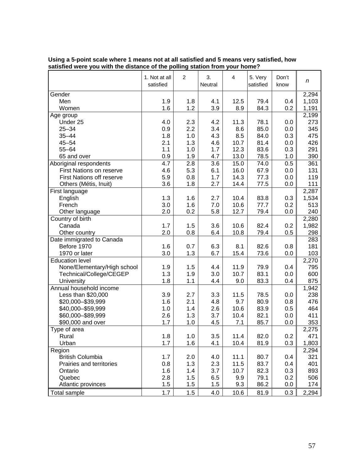|                                  | 1. Not at all<br>satisfied | $\overline{c}$ | 3.<br>Neutral | $\overline{4}$ | 5. Very<br>satisfied | Don't<br>know | n            |
|----------------------------------|----------------------------|----------------|---------------|----------------|----------------------|---------------|--------------|
| Gender                           |                            |                |               |                |                      |               | 2,294        |
| Men                              | 1.9                        | 1.8            | 4.1           | 12.5           | 79.4                 | 0.4           | 1,103        |
| Women                            | 1.6                        | 1.2            | 3.9           | 8.9            | 84.3                 | 0.2           | 1,191        |
| Age group                        |                            |                |               |                |                      |               | 2,199        |
| Under 25                         | 4.0                        | 2.3            | 4.2           | 11.3           | 78.1                 | 0.0           | 273          |
| $25 - 34$                        | 0.9                        | 2.2            | 3.4           | 8.6            | 85.0                 | 0.0           | 345          |
| $35 - 44$                        | 1.8                        | 1.0            | 4.3           | 8.5            | 84.0                 | 0.3           | 475          |
| $45 - 54$                        | 2.1                        | 1.3            | 4.6           | 10.7           | 81.4                 | 0.0           | 426          |
| $55 - 64$                        | 1.1                        | 1.0            | 1.7           | 12.3           | 83.6                 | 0.3           | 291          |
| 65 and over                      | 0.9                        | 1.9            | 4.7           | 13.0           | 78.5                 | 1.0           | 390          |
| Aboriginal respondents           | 4.7                        | 2.8            | 3.6           | 15.0           | 74.0                 | 0.5           | 361          |
| <b>First Nations on reserve</b>  | 4.6                        | 5.3            | 6.1           | 16.0           | 67.9                 | 0.0           | 131          |
| <b>First Nations off reserve</b> | 5.9                        | 0.8            | 1.7           | 14.3           | 77.3                 | 0.0           | 119          |
| Others (Métis, Inuit)            | 3.6                        | 1.8            | 2.7           | 14.4           | 77.5                 | 0.0           | 111          |
| First language                   |                            |                |               |                |                      |               | 2,287        |
| English                          | 1.3                        | 1.6            | 2.7           | 10.4           | 83.8                 | 0.3           | 1,534        |
| French                           | 3.0                        | 1.6            | 7.0           | 10.6           | 77.7                 | 0.2           | 513          |
| Other language                   | 2.0                        | 0.2            | 5.8           | 12.7           | 79.4                 | 0.0           | 240          |
| Country of birth                 |                            |                |               |                |                      |               | 2,280        |
| Canada                           | 1.7                        | 1.5            | 3.6           | 10.6           | 82.4                 | 0.2           | 1,982        |
| Other country                    | 2.0                        | 0.8            | 6.4           | 10.8           | 79.4                 | 0.5           | 298          |
| Date immigrated to Canada        |                            |                |               |                |                      |               | 283          |
| Before 1970                      | 1.6                        | 0.7            | 6.3           | 8.1            | 82.6                 | 0.8           | 181          |
| 1970 or later                    | 3.0                        | 1.3            | 6.7           | 15.4           | 73.6                 | 0.0           | 103          |
| <b>Education level</b>           |                            |                |               |                |                      |               | 2,270        |
| None/Elementary/High school      | 1.9                        | 1.5            | 4.4           | 11.9           | 79.9                 | 0.4           | 795          |
| Technical/College/CEGEP          | 1.3                        | 1.9            | 3.0           | 10.7           | 83.1                 | 0.0           | 600          |
| University                       | 1.8                        | 1.1            | 4.4           | 9.0            | 83.3                 | 0.4           | 875          |
| Annual household income          |                            |                |               |                |                      |               | 1,942        |
| Less than \$20,000               | 3.9                        | 2.7            | 3.3           | 11.5           | 78.5                 | 0.0           | 238          |
| \$20,000-\$39,999                | 1.6                        | 2.1            | 4.8           | 9.7            | 80.9                 | 0.8           | 476          |
| \$40,000-\$59,999                | 1.0                        | 1.4            | 2.6           | 10.6           | 83.9                 | 0.5           | 464          |
| \$60,000-\$89,999                | 2.6                        | 1.3            | 3.7           | 10.4           | 82.1                 | 0.0           | 411          |
| \$90,000 and over                | 1.7                        | 1.0            | 4.5           | 7.1            | 85.7                 | 0.0           | 353          |
| Type of area                     |                            |                |               |                |                      |               |              |
| Rural                            | 1.8                        | 1.0            | 3.5           | 11.4           | 82.0                 | 0.2           | 2,275<br>471 |
|                                  | 1.7                        |                |               | 10.4           |                      |               |              |
| Urban                            |                            | 1.6            | 4.1           |                | 81.9                 | 0.3           | 1,803        |
| Region                           |                            |                |               |                |                      |               | 2,294        |
| <b>British Columbia</b>          | 1.7                        | 2.0            | 4.0           | 11.1           | 80.7                 | 0.4           | 321          |
| Prairies and territories         | 0.8                        | 1.3            | 2.3           | 11.5           | 83.7                 | 0.4           | 401          |
| Ontario                          | 1.6                        | 1.4            | 3.7           | 10.7           | 82.3                 | 0.3           | 893          |
| Quebec                           | 2.8                        | 1.5            | 6.5           | 9.9            | 79.1                 | 0.2           | 506          |
| Atlantic provinces               | 1.5                        | 1.5            | 1.5           | 9.3            | 86.2                 | 0.0           | 174          |
| <b>Total sample</b>              | 1.7                        | 1.5            | 4.0           | 10.6           | 81.9                 | 0.3           | 2,294        |

#### **Using a 5-point scale where 1 means not at all satisfied and 5 means very satisfied, how satisfied were you with the distance of the polling station from your home?**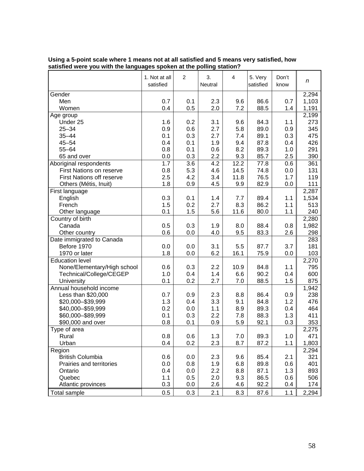|                                  | 1. Not at all<br>satisfied | $\overline{c}$ | 3.<br>Neutral | $\overline{4}$ | 5. Very<br>satisfied | Don't<br>know | n            |
|----------------------------------|----------------------------|----------------|---------------|----------------|----------------------|---------------|--------------|
| Gender                           |                            |                |               |                |                      |               | 2,294        |
| Men                              | 0.7                        | 0.1            | 2.3           | 9.6            | 86.6                 | 0.7           | 1,103        |
| Women                            | 0.4                        | 0.5            | 2.0           | 7.2            | 88.5                 | 1.4           | 1,191        |
| Age group                        |                            |                |               |                |                      |               | 2,199        |
| Under 25                         | 1.6                        | 0.2            | 3.1           | 9.6            | 84.3                 | 1.1           | 273          |
| $25 - 34$                        | 0.9                        | 0.6            | 2.7           | 5.8            | 89.0                 | 0.9           | 345          |
| $35 - 44$                        | 0.1                        | 0.3            | 2.7           | 7.4            | 89.1                 | 0.3           | 475          |
| $45 - 54$                        | 0.4                        | 0.1            | 1.9           | 9.4            | 87.8                 | 0.4           | 426          |
| $55 - 64$                        | 0.8                        | 0.1            | 0.6           | 8.2            | 89.3                 | 1.0           | 291          |
| 65 and over                      | 0.0                        | 0.3            | 2.2           | 9.3            | 85.7                 | 2.5           | 390          |
| Aboriginal respondents           | 1.7                        | 3.6            | 4.2           | 12.2           | 77.8                 | 0.6           | 361          |
| <b>First Nations on reserve</b>  | 0.8                        | 5.3            | 4.6           | 14.5           | 74.8                 | 0.0           | 131          |
| <b>First Nations off reserve</b> | 2.5                        | 4.2            | 3.4           | 11.8           | 76.5                 | 1.7           | 119          |
| Others (Métis, Inuit)            | 1.8                        | 0.9            | 4.5           | 9.9            | 82.9                 | 0.0           | 111          |
| First language                   |                            |                |               |                |                      |               | 2,287        |
| English                          | 0.3                        | 0.1            | 1.4           | 7.7            | 89.4                 | 1.1           | 1,534        |
| French                           | 1.5                        | 0.2            | 2.7           | 8.3            | 86.2                 | 1.1           | 513          |
| Other language                   | 0.1                        | 1.5            | 5.6           | 11.6           | 80.0                 | 1.1           | 240          |
| Country of birth                 |                            |                |               |                |                      |               | 2,280        |
| Canada                           | 0.5                        | 0.3            | 1.9           | 8.0            | 88.4                 | 0.8           | 1,982        |
| Other country                    | 0.6                        | 0.0            | 4.0           | 9.5            | 83.3                 | 2.6           | 298          |
| Date immigrated to Canada        |                            |                |               |                |                      |               | 283          |
| Before 1970                      | 0.0                        | 0.0            | 3.1           | 5.5            | 87.7                 | 3.7           | 181          |
| 1970 or later                    | 1.8                        | 0.0            | 6.2           | 16.1           | 75.9                 | 0.0           | 103          |
| <b>Education level</b>           |                            |                |               |                |                      |               | 2,270        |
| None/Elementary/High school      | 0.6                        | 0.3            | 2.2           | 10.9           | 84.8                 | 1.1           | 795          |
| Technical/College/CEGEP          | 1.0                        | 0.4            | 1.4           | 6.6            | 90.2                 | 0.4           | 600          |
| University                       | 0.1                        | 0.2            | 2.7           | 7.0            | 88.5                 | 1.5           | 875          |
| Annual household income          |                            |                |               |                |                      |               | 1,942        |
| Less than \$20,000               | 0.7                        | 0.9            | 2.3           | 8.8            | 86.4                 | 0.9           | 238          |
| \$20,000-\$39,999                | 1.3                        | 0.4            | 3.3           | 9.1            | 84.8                 | 1.2           | 476          |
| \$40,000-\$59,999                | 0.2                        | 0.0            | 1.1           | 8.9            | 89.3                 | 0.4           | 464          |
| \$60,000-\$89,999                | 0.1                        | 0.3            | 2.2           | 7.8            | 88.3                 | 1.3           | 411          |
|                                  | 0.8                        | 0.1            | 0.9           |                | 92.1                 | 0.3           | 353          |
| \$90,000 and over                |                            |                |               | 5.9            |                      |               |              |
| Type of area                     | 0.8                        |                |               |                | 89.3                 |               | 2,275<br>471 |
| Rural                            |                            | 0.6            | 1.3           | 7.0            |                      | 1.0           |              |
| Urban                            | 0.4                        | 0.2            | 2.3           | 8.7            | 87.2                 | 1.1           | 1,803        |
| Region                           |                            |                |               |                |                      |               | 2,294        |
| <b>British Columbia</b>          | 0.6                        | 0.0            | 2.3           | 9.6            | 85.4                 | 2.1           | 321          |
| Prairies and territories         | 0.0                        | 0.8            | 1.9           | 6.8            | 89.8                 | 0.6           | 401          |
| Ontario                          | 0.4                        | 0.0            | 2.2           | 8.8            | 87.1                 | 1.3           | 893          |
| Quebec                           | 1.1                        | 0.5            | 2.0           | 9.3            | 86.5                 | 0.6           | 506          |
| Atlantic provinces               | 0.3                        | 0.0            | 2.6           | 4.6            | 92.2                 | 0.4           | 174          |
| <b>Total sample</b>              | 0.5                        | 0.3            | 2.1           | 8.3            | 87.6                 | 1.1           | 2,294        |

#### **Using a 5-point scale where 1 means not at all satisfied and 5 means very satisfied, how satisfied were you with the languages spoken at the polling station?**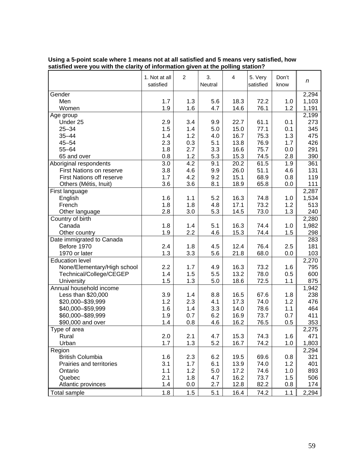|                                  | 1. Not at all<br>satisfied | $\overline{c}$ | 3.<br>Neutral | $\overline{4}$ | 5. Very<br>satisfied | Don't<br>know | n            |
|----------------------------------|----------------------------|----------------|---------------|----------------|----------------------|---------------|--------------|
| Gender                           |                            |                |               |                |                      |               | 2,294        |
| Men                              | 1.7                        | 1.3            | 5.6           | 18.3           | 72.2                 | 1.0           | 1,103        |
| Women                            | 1.9                        | 1.6            | 4.7           | 14.6           | 76.1                 | 1.2           | 1,191        |
| Age group                        |                            |                |               |                |                      |               | 2,199        |
| Under 25                         | 2.9                        | 3.4            | 9.9           | 22.7           | 61.1                 | 0.1           | 273          |
| $25 - 34$                        | 1.5                        | 1.4            | 5.0           | 15.0           | 77.1                 | 0.1           | 345          |
| $35 - 44$                        | 1.4                        | 1.2            | 4.0           | 16.7           | 75.3                 | 1.3           | 475          |
| $45 - 54$                        | 2.3                        | 0.3            | 5.1           | 13.8           | 76.9                 | 1.7           | 426          |
| $55 - 64$                        | 1.8                        | 2.7            | 3.3           | 16.6           | 75.7                 | 0.0           | 291          |
| 65 and over                      | 0.8                        | 1.2            | 5.3           | 15.3           | 74.5                 | 2.8           | 390          |
| Aboriginal respondents           | 3.0                        | 4.2            | 9.1           | 20.2           | 61.5                 | 1.9           | 361          |
| <b>First Nations on reserve</b>  | 3.8                        | 4.6            | 9.9           | 26.0           | 51.1                 | 4.6           | 131          |
| <b>First Nations off reserve</b> | 1.7                        | 4.2            | 9.2           | 15.1           | 68.9                 | 0.8           | 119          |
| Others (Métis, Inuit)            | 3.6                        | 3.6            | 8.1           | 18.9           | 65.8                 | 0.0           | 111          |
| First language                   |                            |                |               |                |                      |               | 2,287        |
| English                          | 1.6                        | 1.1            | 5.2           | 16.3           | 74.8                 | 1.0           | 1,534        |
| French                           | 1.8                        | 1.8            | 4.8           | 17.1           | 73.2                 | 1.2           | 513          |
| Other language                   | 2.8                        | 3.0            | 5.3           | 14.5           | 73.0                 | 1.3           | 240          |
| Country of birth                 |                            |                |               |                |                      |               | 2,280        |
| Canada                           | 1.8                        | 1.4            | 5.1           | 16.3           | 74.4                 | 1.0           | 1,982        |
| Other country                    | 1.9                        | 2.2            | 4.6           | 15.3           | 74.4                 | 1.5           | 298          |
| Date immigrated to Canada        |                            |                |               |                |                      |               | 283          |
| Before 1970                      | 2.4                        | 1.8            | 4.5           | 12.4           | 76.4                 | 2.5           | 181          |
| 1970 or later                    | 1.3                        | 3.3            | 5.6           | 21.8           | 68.0                 | 0.0           | 103          |
| <b>Education level</b>           |                            |                |               |                |                      |               | 2,270        |
| None/Elementary/High school      | 2.2                        | 1.7            | 4.9           | 16.3           | 73.2                 | 1.6           | 795          |
| Technical/College/CEGEP          | 1.4                        | 1.5            | 5.5           | 13.2           | 78.0                 | 0.5           | 600          |
| University                       | 1.5                        | 1.3            | 5.0           | 18.6           | 72.5                 | 1.1           | 875          |
| Annual household income          |                            |                |               |                |                      |               | 1,942        |
| Less than \$20,000               | 3.9                        | 1.4            | 8.8           | 16.5           | 67.6                 | 1.8           | 238          |
| \$20,000-\$39,999                | 1.2                        | 2.3            | 4.1           | 17.3           | 74.0                 | 1.2           | 476          |
| \$40,000 - \$59,999              | 1.6                        | 1.4            | 3.3           | 14.0           | 78.6                 | 1.1           | 464          |
| \$60,000-\$89,999                | 1.9                        | 0.7            | 6.2           | 16.9           | 73.7                 | 0.7           | 411          |
| \$90,000 and over                | 1.4                        | 0.8            | 4.6           | 16.2           | 76.5                 | 0.5           | 353          |
|                                  |                            |                |               |                |                      |               |              |
| Type of area<br>Rural            | 2.0                        | 2.1            |               | 15.3           |                      |               | 2,275<br>471 |
|                                  | 1.7                        | 1.3            | 4.7           |                | 74.3<br>74.2         | 1.6           |              |
| Urban                            |                            |                | 5.2           | 16.7           |                      | 1.0           | 1,803        |
| Region                           |                            |                |               |                |                      |               | 2,294        |
| <b>British Columbia</b>          | 1.6                        | 2.3            | 6.2           | 19.5           | 69.6                 | 0.8           | 321          |
| Prairies and territories         | 3.1                        | 1.7            | 6.1           | 13.9           | 74.0                 | 1.2           | 401          |
| Ontario                          | 1.1                        | 1.2            | 5.0           | 17.2           | 74.6                 | 1.0           | 893          |
| Quebec                           | 2.1                        | 1.8            | 4.7           | 16.2           | 73.7                 | 1.5           | 506          |
| Atlantic provinces               | 1.4                        | 0.0            | 2.7           | 12.8           | 82.2                 | 0.8           | 174          |
| <b>Total sample</b>              | 1.8                        | 1.5            | 5.1           | 16.4           | 74.2                 | 1.1           | 2,294        |

#### **Using a 5-point scale where 1 means not at all satisfied and 5 means very satisfied, how satisfied were you with the clarity of information given at the polling station?**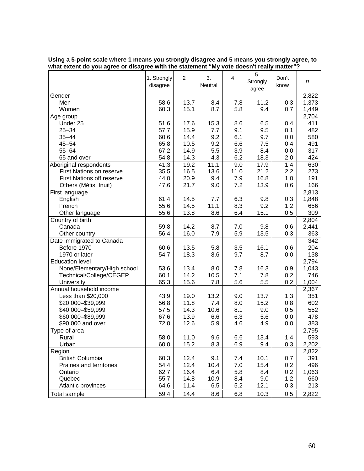|                                  | 1. Strongly<br>disagree | $\overline{c}$ | 3.<br>Neutral | 4    | 5.<br>Strongly<br>agree | Don't<br>know | n                  |
|----------------------------------|-------------------------|----------------|---------------|------|-------------------------|---------------|--------------------|
| Gender                           |                         |                |               |      |                         |               | 2,822              |
| Men                              | 58.6                    | 13.7           | 8.4           | 7.8  | 11.2                    | 0.3           | 1,373              |
| Women                            | 60.3                    | 15.1           | 8.7           | 5.8  | 9.4                     | 0.7           | 1,449              |
| Age group                        |                         |                |               |      |                         |               | 2,704              |
| Under 25                         | 51.6                    | 17.6           | 15.3          | 8.6  | 6.5                     | 0.4           | 411                |
| $25 - 34$                        | 57.7                    | 15.9           | 7.7           | 9.1  | 9.5                     | 0.1           | 482                |
| $35 - 44$                        | 60.6                    | 14.4           | 9.2           | 6.1  | 9.7                     | 0.0           | 580                |
| $45 - 54$                        | 65.8                    | 10.5           | 9.2           | 6.6  | 7.5                     | 0.4           | 491                |
| $55 - 64$                        | 67.2                    | 14.9           | 5.5           | 3.9  | 8.4                     | 0.0           | 317                |
| 65 and over                      | 54.8                    | 14.3           | 4.3           | 6.2  | 18.3                    | 2.0           | 424                |
| Aboriginal respondents           | 41.3                    | 19.2           | 11.1          | 9.0  | 17.9                    | 1.4           | 630                |
| First Nations on reserve         | 35.5                    | 16.5           | 13.6          | 11.0 | 21.2                    | 2.2           | 273                |
| <b>First Nations off reserve</b> | 44.0                    | 20.9           | 9.4           | 7.9  | 16.8                    | 1.0           | 191                |
| Others (Métis, Inuit)            | 47.6                    | 21.7           | 9.0           | 7.2  | 13.9                    | 0.6           | 166                |
| First language                   |                         |                |               |      |                         |               | 2,813              |
| English                          | 61.4                    | 14.5           | 7.7           | 6.3  | 9.8                     | 0.3           | 1,848              |
| French                           | 55.6                    | 14.5           | 11.1          | 8.3  | 9.2                     | 1.2           | 656                |
| Other language                   | 55.6                    | 13.8           | 8.6           | 6.4  | 15.1                    | 0.5           | 309                |
| Country of birth                 |                         |                |               |      |                         |               | 2,804              |
| Canada                           | 59.8                    | 14.2           | 8.7           | 7.0  | 9.8                     | 0.6           | 2,441              |
| Other country                    | 56.4                    | 16.0           | 7.9           | 5.9  | 13.5                    | 0.3           | 363                |
| Date immigrated to Canada        |                         |                |               |      |                         |               | 342                |
| Before 1970                      | 60.6                    | 13.5           | 5.8           | 3.5  | 16.1                    | 0.6           | 204                |
| 1970 or later                    | 54.7                    | 18.3           | 8.6           | 9.7  | 8.7                     | 0.0           | 138                |
| <b>Education level</b>           |                         |                |               |      |                         |               | 2,794              |
| None/Elementary/High school      | 53.6                    | 13.4           | 8.0           | 7.8  | 16.3                    | 0.9           | 1,043              |
| Technical/College/CEGEP          | 60.1                    | 14.2           | 10.5          | 7.1  | 7.8                     | 0.2           | 746                |
| University                       | 65.3                    | 15.6           | 7.8           | 5.6  | 5.5                     | 0.2           | 1,004              |
| Annual household income          |                         |                |               |      |                         |               | 2,367              |
| Less than \$20,000               | 43.9                    | 19.0           | 13.2          | 9.0  | 13.7                    | 1.3           | 351                |
| \$20,000-\$39,999                | 56.8                    | 11.8           | 7.4           | 8.0  | 15.2                    | 0.8           | 602                |
| \$40,000 - \$59,999              | 57.5                    | 14.3           | 10.6          | 8.1  | 9.0                     | 0.5           | 552                |
| \$60,000-\$89,999                | 67.6                    | 13.9           | 6.6           | 6.3  | 5.6                     | 0.0           | 478                |
| \$90,000 and over                | 72.0                    | 12.6           | 5.9           | 4.6  | 4.9                     | 0.0           | 383                |
| Type of area                     |                         |                |               |      |                         |               | 2,795              |
| Rural                            | 58.0                    | 11.0           | 9.6           | 6.6  | 13.4                    | 1.4           | 593                |
| Urban                            | 60.0                    | 15.2           | 8.3           | 6.9  | 9.4                     | 0.3           | 2,202              |
| Region                           |                         |                |               |      |                         |               | $\overline{2,822}$ |
| <b>British Columbia</b>          | 60.3                    | 12.4           | 9.1           | 7.4  | 10.1                    | 0.7           | 391                |
| Prairies and territories         | 54.4                    | 12.4           | 10.4          | 7.0  | 15.4                    | 0.2           | 496                |
| Ontario                          | 62.7                    | 16.4           | 6.4           | 5.8  | 8.4                     | 0.2           | 1,063              |
| Quebec                           | 55.7                    | 14.8           | 10.9          | 8.4  | 9.0                     | 1.2           | 660                |
| Atlantic provinces               | 64.6                    | 11.4           | 6.5           | 5.2  | 12.1                    | 0.3           | 213                |
| Total sample                     | 59.4                    | 14.4           | 8.6           | 6.8  | 10.3                    | 0.5           | 2,822              |

| Using a 5-point scale where 1 means you strongly disagree and 5 means you strongly agree, to |  |
|----------------------------------------------------------------------------------------------|--|
| what extent do you agree or disagree with the statement "My vote doesn't really matter"?     |  |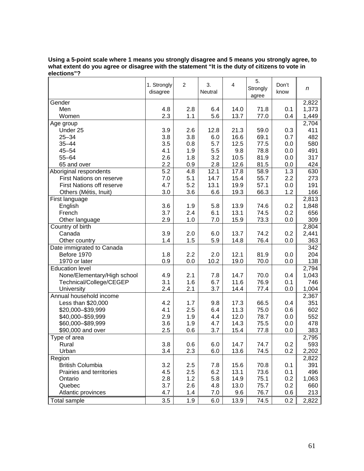| Using a 5-point scale where 1 means you strongly disagree and 5 means you strongly agree, to   |
|------------------------------------------------------------------------------------------------|
| what extent do you agree or disagree with the statement "It is the duty of citizens to vote in |
| elections"?                                                                                    |

| 2,822<br>Gender<br>Men<br>1,373<br>4.8<br>2.8<br>6.4<br>14.0<br>71.8<br>0.1<br>2.3<br>5.6<br>13.7<br>77.0<br>0.4<br>1,449<br>Women<br>1.1<br>2,704<br>Age group<br>Under 25<br>3.9<br>21.3<br>59.0<br>411<br>2.6<br>12.8<br>0.3<br>3.8<br>3.8<br>6.0<br>16.6<br>69.1<br>0.7<br>482<br>$25 - 34$<br>$35 - 44$<br>3.5<br>0.8<br>5.7<br>12.5<br>77.5<br>580<br>0.0<br>$45 - 54$<br>4.1<br>1.9<br>5.5<br>9.8<br>78.8<br>0.0<br>491<br>2.6<br>3.2<br>$55 - 64$<br>1.8<br>10.5<br>81.9<br>0.0<br>317<br>2.2<br>2.8<br>12.6<br>0.9<br>81.5<br>0.0<br>424<br>65 and over<br>$\overline{5.2}$<br>12.1<br>1.3<br>Aboriginal respondents<br>4.8<br>17.8<br>58.9<br>630<br>First Nations on reserve<br>7.0<br>5.1<br>14.7<br>15.4<br>55.7<br>2.2<br>273<br>5.2<br><b>First Nations off reserve</b><br>4.7<br>13.1<br>19.9<br>57.1<br>0.0<br>191<br>$3.0\,$<br>3.6<br>6.6<br>19.3<br>66.3<br>1.2<br>166<br>Others (Métis, Inuit)<br>2,813<br>First language<br>3.6<br>1.9<br>13.9<br>1,848<br>English<br>5.8<br>74.6<br>0.2<br>French<br>3.7<br>2.4<br>6.1<br>13.1<br>74.5<br>0.2<br>656<br>2.9<br>1.0<br>15.9<br>309<br>Other language<br>7.0<br>73.3<br>0.0<br>Country of birth<br>2,804<br>3.9<br>13.7<br>2,441<br>Canada<br>2.0<br>6.0<br>74.2<br>0.2<br>363<br>Other country<br>1.4<br>1.5<br>5.9<br>14.8<br>76.4<br>0.0<br>Date immigrated to Canada<br>342<br>2.2<br>12.1<br>204<br>Before 1970<br>1.8<br>2.0<br>81.9<br>0.0<br>1970 or later<br>0.9<br>10.2<br>19.0<br>70.0<br>138<br>0.0<br>0.0<br>2,794<br><b>Education level</b><br>None/Elementary/High school<br>14.7<br>1,043<br>4.9<br>2.1<br>7.8<br>70.0<br>0.4<br>11.6<br>3.1<br>1.6<br>6.7<br>76.9<br>0.1<br>746<br>Technical/College/CEGEP<br>2.4<br>2.1<br>3.7<br>14.4<br>1,004<br>University<br>77.4<br>0.0<br>Annual household income<br>2,367<br>351<br>Less than \$20,000<br>4.2<br>17.3<br>1.7<br>9.8<br>66.5<br>0.4<br>2.5<br>\$20,000-\$39,999<br>4.1<br>11.3<br>75.0<br>0.6<br>602<br>6.4<br>12.0<br>\$40,000-\$59,999<br>2.9<br>1.9<br>78.7<br>552<br>4.4<br>0.0<br>3.6<br>1.9<br>4.7<br>14.3<br>75.5<br>0.0<br>478<br>\$60,000-\$89,999<br>2.5<br>383<br>\$90,000 and over<br>0.6<br>3.7<br>15.4<br>77.8<br>0.0<br>Type of area<br>2,795<br>3.8<br>0.2<br>593<br>0.6<br>6.0<br>14.7<br>Rural<br>74.7<br>3.4<br>2.3<br>0.2<br>6.0<br>13.6<br>74.5<br>2,202<br>Urban<br>Region<br>2,822<br>British Columbia<br>3.2<br>2.5<br>391<br>7.8<br>15.6<br>70.8<br>0.1<br>496<br>2.5<br>6.2<br>13.1<br>73.6<br>Prairies and territories<br>4.5<br>0.1<br>2.8<br>1.2<br>5.8<br>14.9<br>75.1<br>0.2<br>1,063<br>Ontario<br>3.7<br>2.6<br>13.0<br>75.7<br>0.2<br>Quebec<br>4.8<br>660<br>4.7<br>1.4<br>9.6<br>76.7<br>0.6<br>213<br>Atlantic provinces<br>7.0<br>3.5<br>1.9<br>6.0<br>13.9<br>74.5<br>0.2<br>2,822<br>Total sample | 1. Strongly<br>disagree | $\overline{c}$ | 3.<br>Neutral | 4 | 5.<br>Strongly<br>agree | Don't<br>know | n |
|----------------------------------------------------------------------------------------------------------------------------------------------------------------------------------------------------------------------------------------------------------------------------------------------------------------------------------------------------------------------------------------------------------------------------------------------------------------------------------------------------------------------------------------------------------------------------------------------------------------------------------------------------------------------------------------------------------------------------------------------------------------------------------------------------------------------------------------------------------------------------------------------------------------------------------------------------------------------------------------------------------------------------------------------------------------------------------------------------------------------------------------------------------------------------------------------------------------------------------------------------------------------------------------------------------------------------------------------------------------------------------------------------------------------------------------------------------------------------------------------------------------------------------------------------------------------------------------------------------------------------------------------------------------------------------------------------------------------------------------------------------------------------------------------------------------------------------------------------------------------------------------------------------------------------------------------------------------------------------------------------------------------------------------------------------------------------------------------------------------------------------------------------------------------------------------------------------------------------------------------------------------------------------------------------------------------------------------------------------------------------------------------------------------------------------------------------------------------------------------------------------------------------------------------------------------------------------------------------------------------------------------------------------------------------------------------------------------------------------------------------------------------------------------|-------------------------|----------------|---------------|---|-------------------------|---------------|---|
|                                                                                                                                                                                                                                                                                                                                                                                                                                                                                                                                                                                                                                                                                                                                                                                                                                                                                                                                                                                                                                                                                                                                                                                                                                                                                                                                                                                                                                                                                                                                                                                                                                                                                                                                                                                                                                                                                                                                                                                                                                                                                                                                                                                                                                                                                                                                                                                                                                                                                                                                                                                                                                                                                                                                                                                        |                         |                |               |   |                         |               |   |
|                                                                                                                                                                                                                                                                                                                                                                                                                                                                                                                                                                                                                                                                                                                                                                                                                                                                                                                                                                                                                                                                                                                                                                                                                                                                                                                                                                                                                                                                                                                                                                                                                                                                                                                                                                                                                                                                                                                                                                                                                                                                                                                                                                                                                                                                                                                                                                                                                                                                                                                                                                                                                                                                                                                                                                                        |                         |                |               |   |                         |               |   |
|                                                                                                                                                                                                                                                                                                                                                                                                                                                                                                                                                                                                                                                                                                                                                                                                                                                                                                                                                                                                                                                                                                                                                                                                                                                                                                                                                                                                                                                                                                                                                                                                                                                                                                                                                                                                                                                                                                                                                                                                                                                                                                                                                                                                                                                                                                                                                                                                                                                                                                                                                                                                                                                                                                                                                                                        |                         |                |               |   |                         |               |   |
|                                                                                                                                                                                                                                                                                                                                                                                                                                                                                                                                                                                                                                                                                                                                                                                                                                                                                                                                                                                                                                                                                                                                                                                                                                                                                                                                                                                                                                                                                                                                                                                                                                                                                                                                                                                                                                                                                                                                                                                                                                                                                                                                                                                                                                                                                                                                                                                                                                                                                                                                                                                                                                                                                                                                                                                        |                         |                |               |   |                         |               |   |
|                                                                                                                                                                                                                                                                                                                                                                                                                                                                                                                                                                                                                                                                                                                                                                                                                                                                                                                                                                                                                                                                                                                                                                                                                                                                                                                                                                                                                                                                                                                                                                                                                                                                                                                                                                                                                                                                                                                                                                                                                                                                                                                                                                                                                                                                                                                                                                                                                                                                                                                                                                                                                                                                                                                                                                                        |                         |                |               |   |                         |               |   |
|                                                                                                                                                                                                                                                                                                                                                                                                                                                                                                                                                                                                                                                                                                                                                                                                                                                                                                                                                                                                                                                                                                                                                                                                                                                                                                                                                                                                                                                                                                                                                                                                                                                                                                                                                                                                                                                                                                                                                                                                                                                                                                                                                                                                                                                                                                                                                                                                                                                                                                                                                                                                                                                                                                                                                                                        |                         |                |               |   |                         |               |   |
|                                                                                                                                                                                                                                                                                                                                                                                                                                                                                                                                                                                                                                                                                                                                                                                                                                                                                                                                                                                                                                                                                                                                                                                                                                                                                                                                                                                                                                                                                                                                                                                                                                                                                                                                                                                                                                                                                                                                                                                                                                                                                                                                                                                                                                                                                                                                                                                                                                                                                                                                                                                                                                                                                                                                                                                        |                         |                |               |   |                         |               |   |
|                                                                                                                                                                                                                                                                                                                                                                                                                                                                                                                                                                                                                                                                                                                                                                                                                                                                                                                                                                                                                                                                                                                                                                                                                                                                                                                                                                                                                                                                                                                                                                                                                                                                                                                                                                                                                                                                                                                                                                                                                                                                                                                                                                                                                                                                                                                                                                                                                                                                                                                                                                                                                                                                                                                                                                                        |                         |                |               |   |                         |               |   |
|                                                                                                                                                                                                                                                                                                                                                                                                                                                                                                                                                                                                                                                                                                                                                                                                                                                                                                                                                                                                                                                                                                                                                                                                                                                                                                                                                                                                                                                                                                                                                                                                                                                                                                                                                                                                                                                                                                                                                                                                                                                                                                                                                                                                                                                                                                                                                                                                                                                                                                                                                                                                                                                                                                                                                                                        |                         |                |               |   |                         |               |   |
|                                                                                                                                                                                                                                                                                                                                                                                                                                                                                                                                                                                                                                                                                                                                                                                                                                                                                                                                                                                                                                                                                                                                                                                                                                                                                                                                                                                                                                                                                                                                                                                                                                                                                                                                                                                                                                                                                                                                                                                                                                                                                                                                                                                                                                                                                                                                                                                                                                                                                                                                                                                                                                                                                                                                                                                        |                         |                |               |   |                         |               |   |
|                                                                                                                                                                                                                                                                                                                                                                                                                                                                                                                                                                                                                                                                                                                                                                                                                                                                                                                                                                                                                                                                                                                                                                                                                                                                                                                                                                                                                                                                                                                                                                                                                                                                                                                                                                                                                                                                                                                                                                                                                                                                                                                                                                                                                                                                                                                                                                                                                                                                                                                                                                                                                                                                                                                                                                                        |                         |                |               |   |                         |               |   |
|                                                                                                                                                                                                                                                                                                                                                                                                                                                                                                                                                                                                                                                                                                                                                                                                                                                                                                                                                                                                                                                                                                                                                                                                                                                                                                                                                                                                                                                                                                                                                                                                                                                                                                                                                                                                                                                                                                                                                                                                                                                                                                                                                                                                                                                                                                                                                                                                                                                                                                                                                                                                                                                                                                                                                                                        |                         |                |               |   |                         |               |   |
|                                                                                                                                                                                                                                                                                                                                                                                                                                                                                                                                                                                                                                                                                                                                                                                                                                                                                                                                                                                                                                                                                                                                                                                                                                                                                                                                                                                                                                                                                                                                                                                                                                                                                                                                                                                                                                                                                                                                                                                                                                                                                                                                                                                                                                                                                                                                                                                                                                                                                                                                                                                                                                                                                                                                                                                        |                         |                |               |   |                         |               |   |
|                                                                                                                                                                                                                                                                                                                                                                                                                                                                                                                                                                                                                                                                                                                                                                                                                                                                                                                                                                                                                                                                                                                                                                                                                                                                                                                                                                                                                                                                                                                                                                                                                                                                                                                                                                                                                                                                                                                                                                                                                                                                                                                                                                                                                                                                                                                                                                                                                                                                                                                                                                                                                                                                                                                                                                                        |                         |                |               |   |                         |               |   |
|                                                                                                                                                                                                                                                                                                                                                                                                                                                                                                                                                                                                                                                                                                                                                                                                                                                                                                                                                                                                                                                                                                                                                                                                                                                                                                                                                                                                                                                                                                                                                                                                                                                                                                                                                                                                                                                                                                                                                                                                                                                                                                                                                                                                                                                                                                                                                                                                                                                                                                                                                                                                                                                                                                                                                                                        |                         |                |               |   |                         |               |   |
|                                                                                                                                                                                                                                                                                                                                                                                                                                                                                                                                                                                                                                                                                                                                                                                                                                                                                                                                                                                                                                                                                                                                                                                                                                                                                                                                                                                                                                                                                                                                                                                                                                                                                                                                                                                                                                                                                                                                                                                                                                                                                                                                                                                                                                                                                                                                                                                                                                                                                                                                                                                                                                                                                                                                                                                        |                         |                |               |   |                         |               |   |
|                                                                                                                                                                                                                                                                                                                                                                                                                                                                                                                                                                                                                                                                                                                                                                                                                                                                                                                                                                                                                                                                                                                                                                                                                                                                                                                                                                                                                                                                                                                                                                                                                                                                                                                                                                                                                                                                                                                                                                                                                                                                                                                                                                                                                                                                                                                                                                                                                                                                                                                                                                                                                                                                                                                                                                                        |                         |                |               |   |                         |               |   |
|                                                                                                                                                                                                                                                                                                                                                                                                                                                                                                                                                                                                                                                                                                                                                                                                                                                                                                                                                                                                                                                                                                                                                                                                                                                                                                                                                                                                                                                                                                                                                                                                                                                                                                                                                                                                                                                                                                                                                                                                                                                                                                                                                                                                                                                                                                                                                                                                                                                                                                                                                                                                                                                                                                                                                                                        |                         |                |               |   |                         |               |   |
|                                                                                                                                                                                                                                                                                                                                                                                                                                                                                                                                                                                                                                                                                                                                                                                                                                                                                                                                                                                                                                                                                                                                                                                                                                                                                                                                                                                                                                                                                                                                                                                                                                                                                                                                                                                                                                                                                                                                                                                                                                                                                                                                                                                                                                                                                                                                                                                                                                                                                                                                                                                                                                                                                                                                                                                        |                         |                |               |   |                         |               |   |
|                                                                                                                                                                                                                                                                                                                                                                                                                                                                                                                                                                                                                                                                                                                                                                                                                                                                                                                                                                                                                                                                                                                                                                                                                                                                                                                                                                                                                                                                                                                                                                                                                                                                                                                                                                                                                                                                                                                                                                                                                                                                                                                                                                                                                                                                                                                                                                                                                                                                                                                                                                                                                                                                                                                                                                                        |                         |                |               |   |                         |               |   |
|                                                                                                                                                                                                                                                                                                                                                                                                                                                                                                                                                                                                                                                                                                                                                                                                                                                                                                                                                                                                                                                                                                                                                                                                                                                                                                                                                                                                                                                                                                                                                                                                                                                                                                                                                                                                                                                                                                                                                                                                                                                                                                                                                                                                                                                                                                                                                                                                                                                                                                                                                                                                                                                                                                                                                                                        |                         |                |               |   |                         |               |   |
|                                                                                                                                                                                                                                                                                                                                                                                                                                                                                                                                                                                                                                                                                                                                                                                                                                                                                                                                                                                                                                                                                                                                                                                                                                                                                                                                                                                                                                                                                                                                                                                                                                                                                                                                                                                                                                                                                                                                                                                                                                                                                                                                                                                                                                                                                                                                                                                                                                                                                                                                                                                                                                                                                                                                                                                        |                         |                |               |   |                         |               |   |
|                                                                                                                                                                                                                                                                                                                                                                                                                                                                                                                                                                                                                                                                                                                                                                                                                                                                                                                                                                                                                                                                                                                                                                                                                                                                                                                                                                                                                                                                                                                                                                                                                                                                                                                                                                                                                                                                                                                                                                                                                                                                                                                                                                                                                                                                                                                                                                                                                                                                                                                                                                                                                                                                                                                                                                                        |                         |                |               |   |                         |               |   |
|                                                                                                                                                                                                                                                                                                                                                                                                                                                                                                                                                                                                                                                                                                                                                                                                                                                                                                                                                                                                                                                                                                                                                                                                                                                                                                                                                                                                                                                                                                                                                                                                                                                                                                                                                                                                                                                                                                                                                                                                                                                                                                                                                                                                                                                                                                                                                                                                                                                                                                                                                                                                                                                                                                                                                                                        |                         |                |               |   |                         |               |   |
|                                                                                                                                                                                                                                                                                                                                                                                                                                                                                                                                                                                                                                                                                                                                                                                                                                                                                                                                                                                                                                                                                                                                                                                                                                                                                                                                                                                                                                                                                                                                                                                                                                                                                                                                                                                                                                                                                                                                                                                                                                                                                                                                                                                                                                                                                                                                                                                                                                                                                                                                                                                                                                                                                                                                                                                        |                         |                |               |   |                         |               |   |
|                                                                                                                                                                                                                                                                                                                                                                                                                                                                                                                                                                                                                                                                                                                                                                                                                                                                                                                                                                                                                                                                                                                                                                                                                                                                                                                                                                                                                                                                                                                                                                                                                                                                                                                                                                                                                                                                                                                                                                                                                                                                                                                                                                                                                                                                                                                                                                                                                                                                                                                                                                                                                                                                                                                                                                                        |                         |                |               |   |                         |               |   |
|                                                                                                                                                                                                                                                                                                                                                                                                                                                                                                                                                                                                                                                                                                                                                                                                                                                                                                                                                                                                                                                                                                                                                                                                                                                                                                                                                                                                                                                                                                                                                                                                                                                                                                                                                                                                                                                                                                                                                                                                                                                                                                                                                                                                                                                                                                                                                                                                                                                                                                                                                                                                                                                                                                                                                                                        |                         |                |               |   |                         |               |   |
|                                                                                                                                                                                                                                                                                                                                                                                                                                                                                                                                                                                                                                                                                                                                                                                                                                                                                                                                                                                                                                                                                                                                                                                                                                                                                                                                                                                                                                                                                                                                                                                                                                                                                                                                                                                                                                                                                                                                                                                                                                                                                                                                                                                                                                                                                                                                                                                                                                                                                                                                                                                                                                                                                                                                                                                        |                         |                |               |   |                         |               |   |
|                                                                                                                                                                                                                                                                                                                                                                                                                                                                                                                                                                                                                                                                                                                                                                                                                                                                                                                                                                                                                                                                                                                                                                                                                                                                                                                                                                                                                                                                                                                                                                                                                                                                                                                                                                                                                                                                                                                                                                                                                                                                                                                                                                                                                                                                                                                                                                                                                                                                                                                                                                                                                                                                                                                                                                                        |                         |                |               |   |                         |               |   |
|                                                                                                                                                                                                                                                                                                                                                                                                                                                                                                                                                                                                                                                                                                                                                                                                                                                                                                                                                                                                                                                                                                                                                                                                                                                                                                                                                                                                                                                                                                                                                                                                                                                                                                                                                                                                                                                                                                                                                                                                                                                                                                                                                                                                                                                                                                                                                                                                                                                                                                                                                                                                                                                                                                                                                                                        |                         |                |               |   |                         |               |   |
|                                                                                                                                                                                                                                                                                                                                                                                                                                                                                                                                                                                                                                                                                                                                                                                                                                                                                                                                                                                                                                                                                                                                                                                                                                                                                                                                                                                                                                                                                                                                                                                                                                                                                                                                                                                                                                                                                                                                                                                                                                                                                                                                                                                                                                                                                                                                                                                                                                                                                                                                                                                                                                                                                                                                                                                        |                         |                |               |   |                         |               |   |
|                                                                                                                                                                                                                                                                                                                                                                                                                                                                                                                                                                                                                                                                                                                                                                                                                                                                                                                                                                                                                                                                                                                                                                                                                                                                                                                                                                                                                                                                                                                                                                                                                                                                                                                                                                                                                                                                                                                                                                                                                                                                                                                                                                                                                                                                                                                                                                                                                                                                                                                                                                                                                                                                                                                                                                                        |                         |                |               |   |                         |               |   |
|                                                                                                                                                                                                                                                                                                                                                                                                                                                                                                                                                                                                                                                                                                                                                                                                                                                                                                                                                                                                                                                                                                                                                                                                                                                                                                                                                                                                                                                                                                                                                                                                                                                                                                                                                                                                                                                                                                                                                                                                                                                                                                                                                                                                                                                                                                                                                                                                                                                                                                                                                                                                                                                                                                                                                                                        |                         |                |               |   |                         |               |   |
|                                                                                                                                                                                                                                                                                                                                                                                                                                                                                                                                                                                                                                                                                                                                                                                                                                                                                                                                                                                                                                                                                                                                                                                                                                                                                                                                                                                                                                                                                                                                                                                                                                                                                                                                                                                                                                                                                                                                                                                                                                                                                                                                                                                                                                                                                                                                                                                                                                                                                                                                                                                                                                                                                                                                                                                        |                         |                |               |   |                         |               |   |
|                                                                                                                                                                                                                                                                                                                                                                                                                                                                                                                                                                                                                                                                                                                                                                                                                                                                                                                                                                                                                                                                                                                                                                                                                                                                                                                                                                                                                                                                                                                                                                                                                                                                                                                                                                                                                                                                                                                                                                                                                                                                                                                                                                                                                                                                                                                                                                                                                                                                                                                                                                                                                                                                                                                                                                                        |                         |                |               |   |                         |               |   |
|                                                                                                                                                                                                                                                                                                                                                                                                                                                                                                                                                                                                                                                                                                                                                                                                                                                                                                                                                                                                                                                                                                                                                                                                                                                                                                                                                                                                                                                                                                                                                                                                                                                                                                                                                                                                                                                                                                                                                                                                                                                                                                                                                                                                                                                                                                                                                                                                                                                                                                                                                                                                                                                                                                                                                                                        |                         |                |               |   |                         |               |   |
|                                                                                                                                                                                                                                                                                                                                                                                                                                                                                                                                                                                                                                                                                                                                                                                                                                                                                                                                                                                                                                                                                                                                                                                                                                                                                                                                                                                                                                                                                                                                                                                                                                                                                                                                                                                                                                                                                                                                                                                                                                                                                                                                                                                                                                                                                                                                                                                                                                                                                                                                                                                                                                                                                                                                                                                        |                         |                |               |   |                         |               |   |
|                                                                                                                                                                                                                                                                                                                                                                                                                                                                                                                                                                                                                                                                                                                                                                                                                                                                                                                                                                                                                                                                                                                                                                                                                                                                                                                                                                                                                                                                                                                                                                                                                                                                                                                                                                                                                                                                                                                                                                                                                                                                                                                                                                                                                                                                                                                                                                                                                                                                                                                                                                                                                                                                                                                                                                                        |                         |                |               |   |                         |               |   |
|                                                                                                                                                                                                                                                                                                                                                                                                                                                                                                                                                                                                                                                                                                                                                                                                                                                                                                                                                                                                                                                                                                                                                                                                                                                                                                                                                                                                                                                                                                                                                                                                                                                                                                                                                                                                                                                                                                                                                                                                                                                                                                                                                                                                                                                                                                                                                                                                                                                                                                                                                                                                                                                                                                                                                                                        |                         |                |               |   |                         |               |   |
|                                                                                                                                                                                                                                                                                                                                                                                                                                                                                                                                                                                                                                                                                                                                                                                                                                                                                                                                                                                                                                                                                                                                                                                                                                                                                                                                                                                                                                                                                                                                                                                                                                                                                                                                                                                                                                                                                                                                                                                                                                                                                                                                                                                                                                                                                                                                                                                                                                                                                                                                                                                                                                                                                                                                                                                        |                         |                |               |   |                         |               |   |
|                                                                                                                                                                                                                                                                                                                                                                                                                                                                                                                                                                                                                                                                                                                                                                                                                                                                                                                                                                                                                                                                                                                                                                                                                                                                                                                                                                                                                                                                                                                                                                                                                                                                                                                                                                                                                                                                                                                                                                                                                                                                                                                                                                                                                                                                                                                                                                                                                                                                                                                                                                                                                                                                                                                                                                                        |                         |                |               |   |                         |               |   |
|                                                                                                                                                                                                                                                                                                                                                                                                                                                                                                                                                                                                                                                                                                                                                                                                                                                                                                                                                                                                                                                                                                                                                                                                                                                                                                                                                                                                                                                                                                                                                                                                                                                                                                                                                                                                                                                                                                                                                                                                                                                                                                                                                                                                                                                                                                                                                                                                                                                                                                                                                                                                                                                                                                                                                                                        |                         |                |               |   |                         |               |   |
|                                                                                                                                                                                                                                                                                                                                                                                                                                                                                                                                                                                                                                                                                                                                                                                                                                                                                                                                                                                                                                                                                                                                                                                                                                                                                                                                                                                                                                                                                                                                                                                                                                                                                                                                                                                                                                                                                                                                                                                                                                                                                                                                                                                                                                                                                                                                                                                                                                                                                                                                                                                                                                                                                                                                                                                        |                         |                |               |   |                         |               |   |
|                                                                                                                                                                                                                                                                                                                                                                                                                                                                                                                                                                                                                                                                                                                                                                                                                                                                                                                                                                                                                                                                                                                                                                                                                                                                                                                                                                                                                                                                                                                                                                                                                                                                                                                                                                                                                                                                                                                                                                                                                                                                                                                                                                                                                                                                                                                                                                                                                                                                                                                                                                                                                                                                                                                                                                                        |                         |                |               |   |                         |               |   |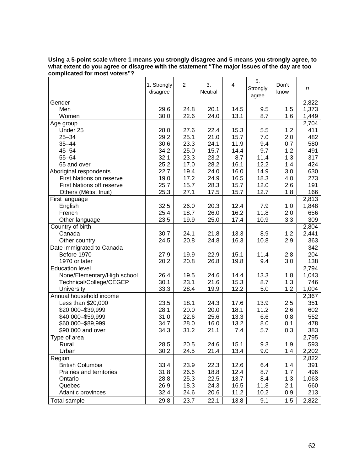|                                  | 1. Strongly<br>disagree | $\overline{c}$ | 3.<br>Neutral | 4    | 5.<br>Strongly<br>agree | Don't<br>know | n                  |
|----------------------------------|-------------------------|----------------|---------------|------|-------------------------|---------------|--------------------|
| Gender                           |                         |                |               |      |                         |               | 2,822              |
| Men                              | 29.6                    | 24.8           | 20.1          | 14.5 | 9.5                     | 1.5           | 1,373              |
| Women                            | 30.0                    | 22.6           | 24.0          | 13.1 | 8.7                     | 1.6           | 1,449              |
| Age group                        |                         |                |               |      |                         |               | 2,704              |
| Under 25                         | 28.0                    | 27.6           | 22.4          | 15.3 | 5.5                     | 1.2           | 411                |
| $25 - 34$                        | 29.2                    | 25.1           | 21.0          | 15.7 | 7.0                     | 2.0           | 482                |
| $35 - 44$                        | 30.6                    | 23.3           | 24.1          | 11.9 | 9.4                     | 0.7           | 580                |
| $45 - 54$                        | 34.2                    | 25.0           | 15.7          | 14.4 | 9.7                     | 1.2           | 491                |
| $55 - 64$                        | 32.1                    | 23.3           | 23.2          | 8.7  | 11.4                    | 1.3           | 317                |
| 65 and over                      | 25.2                    | 17.0           | 28.2          | 16.1 | 12.2                    | 1.4           | 424                |
| Aboriginal respondents           | 22.7                    | 19.4           | 24.0          | 16.0 | 14.9                    | 3.0           | 630                |
| <b>First Nations on reserve</b>  | 19.0                    | 17.2           | 24.9          | 16.5 | 18.3                    | 4.0           | 273                |
| <b>First Nations off reserve</b> | 25.7                    | 15.7           | 28.3          | 15.7 | 12.0                    | 2.6           | 191                |
| Others (Métis, Inuit)            | 25.3                    | 27.1           | 17.5          | 15.7 | 12.7                    | 1.8           | 166                |
| First language                   |                         |                |               |      |                         |               | 2,813              |
| English                          | 32.5                    | 26.0           | 20.3          | 12.4 | 7.9                     | 1.0           | 1,848              |
| French                           | 25.4                    | 18.7           | 26.0          | 16.2 | 11.8                    | 2.0           | 656                |
| Other language                   | 23.5                    | 19.9           | 25.0          | 17.4 | 10.9                    | 3.3           | 309                |
| Country of birth                 |                         |                |               |      |                         |               | 2,804              |
| Canada                           | 30.7                    | 24.1           | 21.8          | 13.3 | 8.9                     | 1.2           | 2,441              |
| Other country                    | 24.5                    | 20.8           | 24.8          | 16.3 | 10.8                    | 2.9           | 363                |
| Date immigrated to Canada        |                         |                |               |      |                         |               | 342                |
| Before 1970                      | 27.9                    | 19.9           | 22.9          | 15.1 | 11.4                    | 2.8           | 204                |
| 1970 or later                    | 20.2                    | 20.8           | 26.8          | 19.8 | 9.4                     | 3.0           | 138                |
| <b>Education level</b>           |                         |                |               |      |                         |               | $\overline{2,794}$ |
| None/Elementary/High school      | 26.4                    | 19.5           | 24.6          | 14.4 | 13.3                    | 1.8           | 1,043              |
| Technical/College/CEGEP          | 30.1                    | 23.1           | 21.6          | 15.3 | 8.7                     | 1.3           | 746                |
| University                       | 33.3                    | 28.4           | 19.9          | 12.2 | 5.0                     | 1.2           | 1,004              |
| Annual household income          |                         |                |               |      |                         |               | 2,367              |
| Less than \$20,000               | 23.5                    | 18.1           | 24.3          | 17.6 | 13.9                    | 2.5           | 351                |
| \$20,000-\$39,999                | 28.1                    | 20.0           | 20.0          | 18.1 | 11.2                    | 2.6           | 602                |
| \$40,000 - \$59,999              | 31.0                    | 22.6           | 25.6          | 13.3 | 6.6                     | 0.8           | 552                |
| \$60,000-\$89,999                | 34.7                    | 28.0           | 16.0          | 13.2 | 8.0                     | 0.1           | 478                |
| \$90,000 and over                | 34.3                    | 31.2           | 21.1          | 7.4  | 5.7                     | 0.3           | 383                |
| Type of area                     |                         |                |               |      |                         |               | 2,795              |
| Rural                            | 28.5                    | 20.5           | 24.6          | 15.1 | 9.3                     | 1.9           | 593                |
| Urban                            | 30.2                    | 24.5           | 21.4          | 13.4 | 9.0                     | 1.4           | 2,202              |
| Region                           |                         |                |               |      |                         |               | 2,822              |
| British Columbia                 | 33.4                    | 23.9           | 22.3          | 12.6 | 6.4                     | 1.4           | 391                |
| Prairies and territories         | 31.8                    | 26.6           | 18.8          | 12.4 | 8.7                     | 1.7           | 496                |
| Ontario                          | 28.8                    | 25.3           | 22.5          | 13.7 | 8.4                     | 1.3           | 1,063              |
| Quebec                           | 26.9                    | 18.3           | 24.3          | 16.5 | 11.8                    | 2.1           | 660                |
| Atlantic provinces               | 32.4                    | 24.6           | 20.6          | 11.2 | 10.2                    | 0.9           | 213                |
| <b>Total sample</b>              | 29.8                    | 23.7           | 22.1          | 13.8 | 9.1                     | 1.5           | 2,822              |

**Using a 5-point scale where 1 means you strongly disagree and 5 means you strongly agree, to what extent do you agree or disagree with the statement "The major issues of the day are too complicated for most voters"?**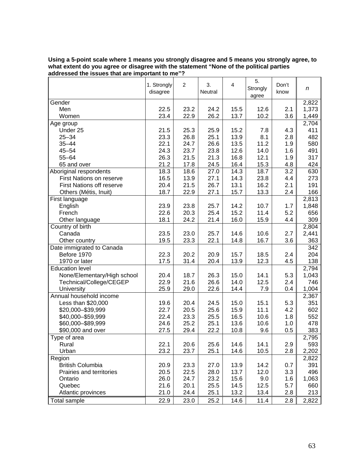|                             | 1. Strongly<br>disagree | $\overline{c}$ | 3.<br>Neutral | 4    | 5.<br>Strongly<br>agree | Don't<br>know | n     |
|-----------------------------|-------------------------|----------------|---------------|------|-------------------------|---------------|-------|
| Gender                      |                         |                |               |      |                         |               | 2,822 |
| Men                         | 22.5                    | 23.2           | 24.2          | 15.5 | 12.6                    | 2.1           | 1,373 |
| Women                       | 23.4                    | 22.9           | 26.2          | 13.7 | 10.2                    | 3.6           | 1,449 |
| Age group                   |                         |                |               |      |                         |               | 2,704 |
| Under 25                    | 21.5                    | 25.3           | 25.9          | 15.2 | 7.8                     | 4.3           | 411   |
| $25 - 34$                   | 23.3                    | 26.8           | 25.1          | 13.9 | 8.1                     | 2.8           | 482   |
| $35 - 44$                   | 22.1                    | 24.7           | 26.6          | 13.5 | 11.2                    | 1.9           | 580   |
| $45 - 54$                   | 24.3                    | 23.7           | 23.8          | 12.6 | 14.0                    | 1.6           | 491   |
| $55 - 64$                   | 26.3                    | 21.5           | 21.3          | 16.8 | 12.1                    | 1.9           | 317   |
| 65 and over                 | 21.2                    | 17.8           | 24.5          | 16.4 | 15.3                    | 4.8           | 424   |
| Aboriginal respondents      | 18.3                    | 18.6           | 27.0          | 14.3 | 18.7                    | 3.2           | 630   |
| First Nations on reserve    | 16.5                    | 13.9           | 27.1          | 14.3 | 23.8                    | 4.4           | 273   |
| First Nations off reserve   | 20.4                    | 21.5           | 26.7          | 13.1 | 16.2                    | 2.1           | 191   |
| Others (Métis, Inuit)       | 18.7                    | 22.9           | 27.1          | 15.7 | 13.3                    | 2.4           | 166   |
| First language              |                         |                |               |      |                         |               | 2,813 |
| English                     | 23.9                    | 23.8           | 25.7          | 14.2 | 10.7                    | 1.7           | 1,848 |
| French                      | 22.6                    | 20.3           | 25.4          | 15.2 | 11.4                    | 5.2           | 656   |
| Other language              | 18.1                    | 24.2           | 21.4          | 16.0 | 15.9                    | 4.4           | 309   |
| Country of birth            |                         |                |               |      |                         |               | 2,804 |
| Canada                      | 23.5                    | 23.0           | 25.7          | 14.6 | 10.6                    | 2.7           | 2,441 |
| Other country               | 19.5                    | 23.3           | 22.1          | 14.8 | 16.7                    | 3.6           | 363   |
| Date immigrated to Canada   |                         |                |               |      |                         |               | 342   |
| Before 1970                 | 22.3                    | 20.2           | 20.9          | 15.7 | 18.5                    | 2.4           | 204   |
| 1970 or later               | 17.5                    | 31.4           | 20.4          | 13.9 | 12.3                    | 4.5           | 138   |
| <b>Education level</b>      |                         |                |               |      |                         |               | 2,794 |
| None/Elementary/High school | 20.4                    | 18.7           | 26.3          | 15.0 | 14.1                    | 5.3           | 1,043 |
| Technical/College/CEGEP     | 22.9                    | 21.6           | 26.6          | 14.0 | 12.5                    | 2.4           | 746   |
| University                  | 25.9                    | 29.0           | 22.6          | 14.4 | 7.9                     | 0.4           | 1,004 |
| Annual household income     |                         |                |               |      |                         |               | 2,367 |
| Less than \$20,000          | 19.6                    | 20.4           | 24.5          | 15.0 | 15.1                    | 5.3           | 351   |
| \$20,000-\$39,999           | 22.7                    | 20.5           | 25.6          | 15.9 | 11.1                    | 4.2           | 602   |
| \$40,000 - \$59,999         | 22.4                    | 23.3           | 25.5          | 16.5 | 10.6                    | 1.8           | 552   |
| \$60,000-\$89,999           | 24.6                    | 25.2           | 25.1          | 13.6 | 10.6                    | 1.0           | 478   |
| \$90,000 and over           | 27.5                    | 29.4           | 22.2          | 10.8 | 9.6                     | 0.5           | 383   |
| Type of area                |                         |                |               |      |                         |               | 2,795 |
| Rural                       | 22.1                    | 20.6           | 25.6          | 14.6 | 14.1                    | 2.9           | 593   |
| Urban                       | 23.2                    | 23.7           | 25.1          | 14.6 | 10.5                    | 2.8           | 2,202 |
| Region                      |                         |                |               |      |                         |               | 2,822 |
| <b>British Columbia</b>     | 20.9                    | 23.3           | 27.0          | 13.9 | 14.2                    | 0.7           | 391   |
| Prairies and territories    | 20.5                    | 22.5           | 28.0          | 13.7 | 12.0                    | 3.3           | 496   |
| Ontario                     | 26.0                    | 24.7           | 23.2          | 15.6 | 9.0                     | 1.6           | 1,063 |
| Quebec                      | 21.6                    | 20.1           | 25.5          | 14.5 | 12.5                    | 5.7           | 660   |
| Atlantic provinces          | 21.0                    | 24.4           | 25.1          | 13.2 | 13.4                    | 2.8           | 213   |
| <b>Total sample</b>         | 22.9                    | 23.0           | 25.2          | 14.6 | 11.4                    | 2.8           | 2,822 |

#### **Using a 5-point scale where 1 means you strongly disagree and 5 means you strongly agree, to what extent do you agree or disagree with the statement "None of the political parties addressed the issues that are important to me"?**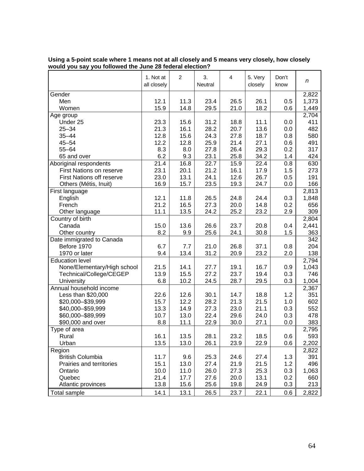|                                  | 1. Not at<br>all closely | $\overline{c}$ | 3.<br>Neutral | 4    | 5. Very<br>closely | Don't<br>know | $\boldsymbol{n}$ |
|----------------------------------|--------------------------|----------------|---------------|------|--------------------|---------------|------------------|
| Gender                           |                          |                |               |      |                    |               | 2,822            |
| Men                              | 12.1                     | 11.3           | 23.4          | 26.5 | 26.1               | 0.5           | 1,373            |
| Women                            | 15.9                     | 14.8           | 29.5          | 21.0 | 18.2               | 0.6           | 1,449            |
| Age group                        |                          |                |               |      |                    |               | 2,704            |
| Under 25                         | 23.3                     | 15.6           | 31.2          | 18.8 | 11.1               | 0.0           | 411              |
| $25 - 34$                        | 21.3                     | 16.1           | 28.2          | 20.7 | 13.6               | 0.0           | 482              |
| $35 - 44$                        | 12.8                     | 15.6           | 24.3          | 27.8 | 18.7               | 0.8           | 580              |
| $45 - 54$                        | 12.2                     | 12.8           | 25.9          | 21.4 | 27.1               | 0.6           | 491              |
| $55 - 64$                        | 8.3                      | 8.0            | 27.8          | 26.4 | 29.3               | 0.2           | 317              |
| 65 and over                      | 6.2                      | 9.3            | 23.1          | 25.8 | 34.2               | 1.4           | 424              |
| Aboriginal respondents           | 21.4                     | 16.8           | 22.7          | 15.9 | 22.4               | 0.8           | 630              |
| <b>First Nations on reserve</b>  | 23.1                     | 20.1           | 21.2          | 16.1 | 17.9               | 1.5           | 273              |
| <b>First Nations off reserve</b> | 23.0                     | 13.1           | 24.1          | 12.6 | 26.7               | 0.5           | 191              |
| Others (Métis, Inuit)            | 16.9                     | 15.7           | 23.5          | 19.3 | 24.7               | 0.0           | 166              |
| First language                   |                          |                |               |      |                    |               | 2,813            |
| English                          | 12.1                     | 11.8           | 26.5          | 24.8 | 24.4               | 0.3           | 1,848            |
| French                           | 21.2                     | 16.5           | 27.3          | 20.0 | 14.8               | 0.2           | 656              |
| Other language                   | 11.1                     | 13.5           | 24.2          | 25.2 | 23.2               | 2.9           | 309              |
| Country of birth                 |                          |                |               |      |                    |               | 2,804            |
| Canada                           | 15.0                     | 13.6           | 26.6          | 23.7 | 20.8               | 0.4           | 2,441            |
| Other country                    | 8.2                      | 9.9            | 25.6          | 24.1 | 30.8               | 1.5           | 363              |
| Date immigrated to Canada        |                          |                |               |      |                    |               | 342              |
| Before 1970                      | 6.7                      | 7.7            | 21.0          | 26.8 | 37.1               | 0.8           | 204              |
| 1970 or later                    | 9.4                      | 13.4           | 31.2          | 20.9 | 23.2               | 2.0           | 138              |
| <b>Education level</b>           |                          |                |               |      |                    |               | 2,794            |
| None/Elementary/High school      | 21.5                     | 14.1           | 27.7          | 19.1 | 16.7               | 0.9           | 1,043            |
| Technical/College/CEGEP          | 13.9                     | 15.5           | 27.2          | 23.7 | 19.4               | 0.3           | 746              |
| University                       | 6.8                      | 10.2           | 24.5          | 28.7 | 29.5               | 0.3           | 1,004            |
| Annual household income          |                          |                |               |      |                    |               | 2,367            |
| Less than \$20,000               | 22.6                     | 12.6           | 30.1          | 14.7 | 18.8               | 1.2           | 351              |
| \$20,000-\$39,999                | 15.7                     | 12.2           | 28.2          | 21.3 | 21.5               | 1.0           | 602              |
| \$40,000-\$59,999                | 13.3                     | 14.9           | 27.3          | 23.0 | 21.1               | 0.3           | 552              |
| \$60,000-\$89,999                | 10.7                     | 13.0           | 22.4          | 29.6 | 24.0               | 0.3           | 478              |
| \$90,000 and over                | 8.8                      | 11.1           | 22.9          | 30.0 | 27.1               | 0.0           | 383              |
| Type of area                     |                          |                |               |      |                    |               | 2,795            |
| Rural                            | 16.1                     | 13.5           | 28.1          | 23.2 | 18.5               | 0.6           | 593              |
| Urban                            | 13.5                     | 13.0           | 26.1          | 23.9 | 22.9               | 0.6           | 2,202            |
| Region                           |                          |                |               |      |                    |               | 2,822            |
| <b>British Columbia</b>          | 11.7                     | 9.6            | 25.3          | 24.6 | 27.4               | 1.3           | 391              |
| Prairies and territories         | 15.1                     | 13.0           | 27.4          | 21.9 | 21.5               | 1.2           | 496              |
| Ontario                          | 10.0                     | 11.0           | 26.0          | 27.3 | 25.3               | 0.3           | 1,063            |
| Quebec                           | 21.4                     | 17.7           | 27.6          | 20.0 | 13.1               | 0.2           | 660              |
| Atlantic provinces               | 13.8                     | 15.6           | 25.6          | 19.8 | 24.9               | 0.3           | 213              |
| Total sample                     | 14.1                     | 13.1           | 26.5          | 23.7 | 22.1               | 0.6           | 2,822            |

| Using a 5-point scale where 1 means not at all closely and 5 means very closely, how closely |  |  |  |  |  |  |  |  |  |  |  |
|----------------------------------------------------------------------------------------------|--|--|--|--|--|--|--|--|--|--|--|
| would you say you followed the June 28 federal election?                                     |  |  |  |  |  |  |  |  |  |  |  |
|                                                                                              |  |  |  |  |  |  |  |  |  |  |  |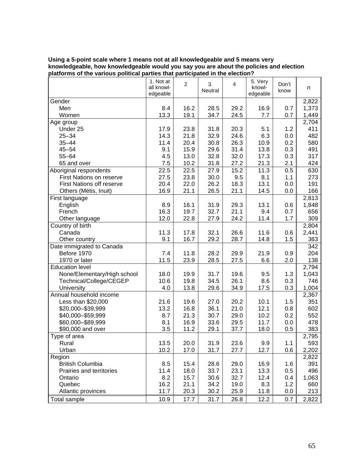| Using a 5-point scale where 1 means not at all knowledgeable and 5 means very          |
|----------------------------------------------------------------------------------------|
| knowledgeable, how knowledgeable would you say you are about the policies and election |
| platforms of the various political parties that participated in the election?          |

|                                  | 1. Not at<br>all knowl-<br>edgeable | $\overline{c}$ | 3.<br>Neutral | 4    | 5. Very<br>knowl-<br>edgeable | Don't<br>know | n     |
|----------------------------------|-------------------------------------|----------------|---------------|------|-------------------------------|---------------|-------|
| Gender                           |                                     |                |               |      |                               |               | 2,822 |
| Men                              | 8.4                                 | 16.2           | 28.5          | 29.2 | 16.9                          | 0.7           | 1,373 |
| Women                            | 13.3                                | 19.1           | 34.7          | 24.5 | 7.7                           | 0.7           | 1,449 |
| Age group                        |                                     |                |               |      |                               |               | 2,704 |
| Under 25                         | 17.9                                | 23.8           | 31.8          | 20.3 | 5.1                           | 1.2           | 411   |
| $25 - 34$                        | 14.3                                | 21.8           | 32.9          | 24.6 | 6.3                           | 0.0           | 482   |
| $35 - 44$                        | 11.4                                | 20.4           | 30.8          | 26.3 | 10.9                          | 0.2           | 580   |
| $45 - 54$                        | 9.1                                 | 15.9           | 29.6          | 31.4 | 13.8                          | 0.3           | 491   |
| $55 - 64$                        | 4.5                                 | 13.0           | 32.8          | 32.0 | 17.3                          | 0.3           | 317   |
| 65 and over                      | 7.5                                 | 10.2           | 31.8          | 27.2 | 21.3                          | 2.1           | 424   |
| Aboriginal respondents           | 22.5                                | 22.5           | 27.9          | 15.2 | 11.3                          | 0.5           | 630   |
| First Nations on reserve         | 27.5                                | 23.8           | 30.0          | 9.5  | 8.1                           | 1.1           | 273   |
| <b>First Nations off reserve</b> | 20.4                                | 22.0           | 26.2          | 18.3 | 13.1                          | 0.0           | 191   |
| Others (Métis, Inuit)            | 16.9                                | 21.1           | 26.5          | 21.1 | 14.5                          | 0.0           | 166   |
| First language                   |                                     |                |               |      |                               |               | 2,813 |
| English                          | 8.9                                 | 16.1           | 31.9          | 29.3 | 13.1                          | 0.6           | 1,848 |
| French                           | 16.3                                | 19.7           | 32.7          | 21.1 | 9.4                           | 0.7           | 656   |
| Other language                   | 12.0                                | 22.8           | 27.9          | 24.2 | 11.4                          | 1.7           | 309   |
| Country of birth                 |                                     |                |               |      |                               |               | 2,804 |
| Canada                           | 11.3                                | 17.8           | 32.1          | 26.6 | 11.6                          | 0.6           | 2,441 |
| Other country                    | 9.1                                 | 16.7           | 29.2          | 28.7 | 14.8                          | 1.5           | 363   |
| Date immigrated to Canada        |                                     |                |               |      |                               |               | 342   |
| Before 1970                      | 7.4                                 | 11.8           | 28.2          | 29.9 | 21.9                          | 0.9           | 204   |
| 1970 or later                    | 11.5                                | 23.9           | 28.5          | 27.5 | 6.6                           | 2.0           | 138   |
| <b>Education level</b>           |                                     |                |               |      |                               |               | 2,794 |
| None/Elementary/High school      | 18.0                                | 19.9           | 31.7          | 19.6 | 9.5                           | 1.3           | 1,043 |
| Technical/College/CEGEP          | 10.6                                | 19.8           | 34.5          | 26.1 | 8.6                           | 0.3           | 746   |
| University                       | 4.0                                 | 13.8           | 29.6          | 34.9 | 17.5                          | 0.3           | 1,004 |
| Annual household income          |                                     |                |               |      |                               |               | 2,367 |
| Less than \$20,000               | 21.6                                | 19.6           | 27.0          | 20.2 | 10.1                          | 1.5           | 351   |
| \$20,000-\$39,999                | 13.2                                | 16.8           | 36.1          | 21.0 | 12.1                          | 0.8           | 602   |
| \$40,000-\$59,999                | 8.7                                 | 21.3           | 30.7          | 29.0 | 10.2                          | 0.2           | 552   |
| \$60,000-\$89,999                | 8.1                                 | 16.9           | 33.6          | 29.5 | 11.7                          | 0.0           | 478   |
| \$90,000 and over                | 3.5                                 | 11.2           | 29.1          | 37.7 | 18.0                          | 0.5           | 383   |
| Type of area                     |                                     |                |               |      |                               |               | 2,795 |
| Rural                            | 13.5                                | 20.0           | 31.9          | 23.6 | 9.9                           | 1.1           | 593   |
| Urban                            | 10.2                                | 17.0           | 31.7          | 27.7 | 12.7                          | 0.6           | 2,202 |
| Region                           |                                     |                |               |      |                               |               | 2,822 |
| <b>British Columbia</b>          | 8.5                                 | 15.4           | 28.6          | 29.0 | 16.9                          | 1.6           | 391   |
| Prairies and territories         | 11.4                                |                | 33.7          | 23.1 |                               | 0.5           | 496   |
| Ontario                          | 8.2                                 | 18.0<br>15.7   | 30.6          | 32.7 | 13.3<br>12.4                  | 0.4           | 1,063 |
| Quebec                           | 16.2                                | 21.1           | 34.2          | 19.0 | 8.3                           | 1.2           | 660   |
| Atlantic provinces               | 11.7                                | 20.3           | 30.2          | 25.9 | 11.8                          | 0.0           | 213   |
|                                  |                                     |                |               |      |                               |               |       |
| Total sample                     | 10.9                                | 17.7           | 31.7          | 26.8 | 12.2                          | 0.7           | 2,822 |